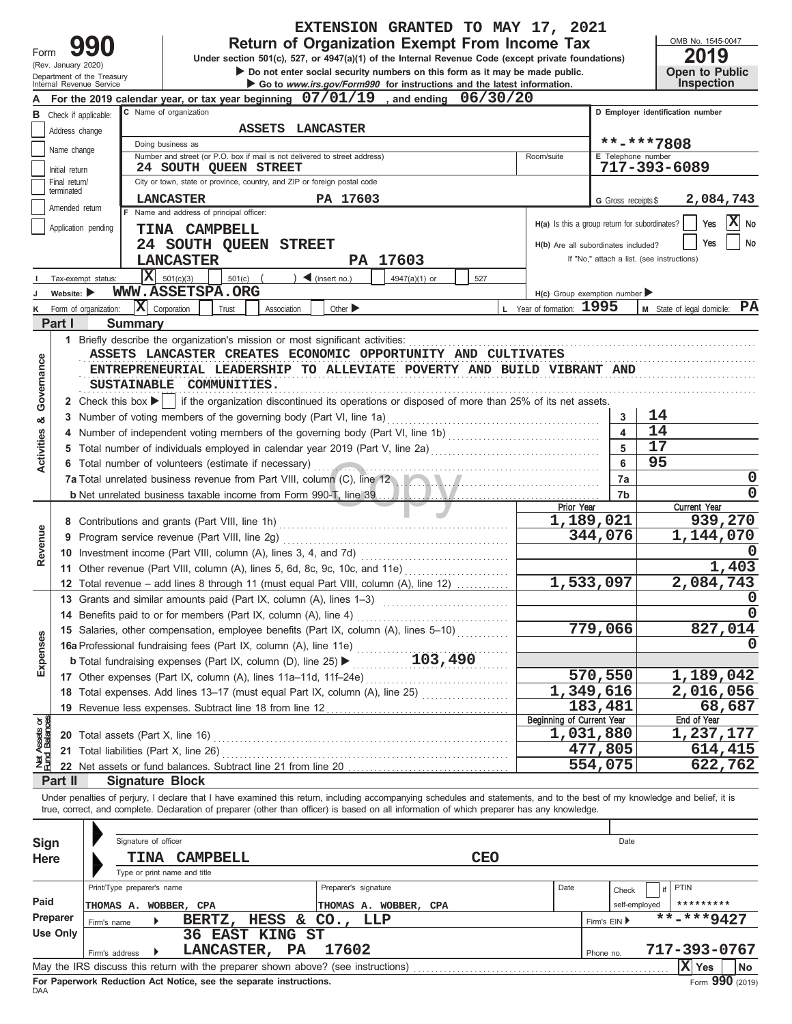|                                |                                                |                                                        |                                |                                                                                                               |                        |                              | EXTENSION GRANTED TO MAY 17, 2021                                                                                                                                          |            |                                               |                         |                                                 |                                     |
|--------------------------------|------------------------------------------------|--------------------------------------------------------|--------------------------------|---------------------------------------------------------------------------------------------------------------|------------------------|------------------------------|----------------------------------------------------------------------------------------------------------------------------------------------------------------------------|------------|-----------------------------------------------|-------------------------|-------------------------------------------------|-------------------------------------|
|                                |                                                |                                                        |                                |                                                                                                               |                        |                              | <b>Return of Organization Exempt From Income Tax</b>                                                                                                                       |            |                                               |                         |                                                 | OMB No. 1545-0047                   |
| Form                           |                                                | (Rev. January 2020)                                    |                                |                                                                                                               |                        |                              | Under section 501(c), 527, or 4947(a)(1) of the Internal Revenue Code (except private foundations)                                                                         |            |                                               |                         |                                                 | 2019                                |
|                                |                                                | Department of the Treasury<br>Internal Revenue Service |                                |                                                                                                               |                        |                              | Do not enter social security numbers on this form as it may be made public.<br>Go to www.irs.gov/Form990 for instructions and the latest information.                      |            |                                               |                         |                                                 | <b>Open to Public</b><br>Inspection |
|                                |                                                |                                                        |                                |                                                                                                               |                        |                              | For the 2019 calendar year, or tax year beginning 07/01/19, and ending 06/30/20                                                                                            |            |                                               |                         |                                                 |                                     |
|                                |                                                | <b>B</b> Check if applicable:                          | C Name of organization         |                                                                                                               |                        |                              |                                                                                                                                                                            |            |                                               |                         | D Employer identification number                |                                     |
|                                |                                                | Address change                                         |                                |                                                                                                               | ASSETS LANCASTER       |                              |                                                                                                                                                                            |            |                                               |                         |                                                 |                                     |
|                                | Name change                                    |                                                        | Doing business as              |                                                                                                               |                        |                              |                                                                                                                                                                            |            |                                               |                         | **-***7808                                      |                                     |
|                                |                                                |                                                        |                                | Number and street (or P.O. box if mail is not delivered to street address)<br>24 SOUTH QUEEN STREET           |                        |                              |                                                                                                                                                                            |            | Room/suite                                    | E Telephone number      | 717-393-6089                                    |                                     |
|                                | Initial return<br>Final return/                |                                                        |                                | City or town, state or province, country, and ZIP or foreign postal code                                      |                        |                              |                                                                                                                                                                            |            |                                               |                         |                                                 |                                     |
|                                | terminated                                     |                                                        |                                | <b>LANCASTER</b>                                                                                              |                        | PA 17603                     |                                                                                                                                                                            |            |                                               |                         |                                                 | 2,084,743                           |
|                                |                                                | Amended return                                         |                                | F Name and address of principal officer:                                                                      |                        |                              |                                                                                                                                                                            |            |                                               | G Gross receipts \$     |                                                 |                                     |
|                                |                                                | Application pending                                    |                                | <b>TINA CAMPBELL</b>                                                                                          |                        |                              |                                                                                                                                                                            |            | H(a) Is this a group return for subordinates? |                         |                                                 | $ \mathbf{X} $ No<br>Yes            |
|                                |                                                |                                                        |                                | 24 SOUTH QUEEN STREET                                                                                         |                        |                              |                                                                                                                                                                            |            | H(b) Are all subordinates included?           |                         |                                                 | No<br>Yes                           |
|                                |                                                |                                                        |                                | <b>LANCASTER</b>                                                                                              |                        |                              | PA 17603                                                                                                                                                                   |            |                                               |                         | If "No," attach a list. (see instructions)      |                                     |
|                                |                                                | Tax-exempt status:                                     | $X = 501(c)(3)$                | 501(c)                                                                                                        |                        | $\triangleleft$ (insert no.) | 4947(a)(1) or                                                                                                                                                              | 527        |                                               |                         |                                                 |                                     |
|                                | Website: $\blacktriangleright$                 |                                                        |                                | WWW.ASSETSPA.ORG                                                                                              |                        |                              |                                                                                                                                                                            |            | $H(c)$ Group exemption number                 |                         |                                                 |                                     |
| κ                              |                                                | Form of organization:                                  | $\bar{\mathbf{X}}$ Corporation | Trust                                                                                                         | Association            | Other $\blacktriangleright$  |                                                                                                                                                                            |            | L Year of formation: 1995                     |                         | <b>M</b> State of legal domicile: $\mathbf{PA}$ |                                     |
|                                | Part I                                         |                                                        | <b>Summary</b>                 |                                                                                                               |                        |                              |                                                                                                                                                                            |            |                                               |                         |                                                 |                                     |
|                                |                                                |                                                        |                                | 1 Briefly describe the organization's mission or most significant activities:                                 |                        |                              |                                                                                                                                                                            |            |                                               |                         |                                                 |                                     |
|                                |                                                |                                                        |                                |                                                                                                               |                        |                              | ASSETS LANCASTER CREATES ECONOMIC OPPORTUNITY AND CULTIVATES                                                                                                               |            |                                               |                         |                                                 |                                     |
|                                |                                                |                                                        |                                |                                                                                                               |                        |                              |                                                                                                                                                                            |            |                                               |                         |                                                 |                                     |
|                                |                                                |                                                        |                                |                                                                                                               |                        |                              | ENTREPRENEURIAL LEADERSHIP TO ALLEVIATE POVERTY AND BUILD VIBRANT AND                                                                                                      |            |                                               |                         |                                                 |                                     |
|                                |                                                |                                                        |                                | SUSTAINABLE COMMUNITIES.                                                                                      |                        |                              |                                                                                                                                                                            |            |                                               |                         |                                                 |                                     |
| Governance                     |                                                |                                                        |                                |                                                                                                               |                        |                              | 2 Check this box ▶   if the organization discontinued its operations or disposed of more than 25% of its net assets.                                                       |            |                                               |                         |                                                 |                                     |
| න්                             | 3.                                             |                                                        |                                | Number of voting members of the governing body (Part VI, line 1a)                                             |                        |                              |                                                                                                                                                                            |            |                                               | 3                       | 14                                              |                                     |
|                                | 4                                              |                                                        |                                |                                                                                                               |                        |                              | Number of independent voting members of the governing body (Part VI, line 1b) [11] [11] Number of independent voting                                                       |            |                                               | $\overline{\mathbf{4}}$ | 14                                              |                                     |
| <b>Activities</b>              | 5                                              |                                                        |                                | Total number of individuals employed in calendar year 2019 (Part V, line 2a) [[[[[[[[[[[[[[[[[[[[[[[[[[[[[[[[ |                        | 5                            | 17                                                                                                                                                                         |            |                                               |                         |                                                 |                                     |
|                                |                                                |                                                        |                                | 6 Total number of volunteers (estimate if necessary)                                                          |                        |                              | 6                                                                                                                                                                          | 95         |                                               |                         |                                                 |                                     |
|                                |                                                |                                                        |                                |                                                                                                               |                        |                              | 7a Total unrelated business revenue from Part VIII, column (C), line 12                                                                                                    |            |                                               | 7a                      |                                                 | 0                                   |
|                                |                                                |                                                        |                                | <b>b</b> Net unrelated business taxable income from Form 990-T, line 39                                       |                        |                              |                                                                                                                                                                            |            |                                               | 7 <sub>b</sub>          |                                                 | O                                   |
|                                |                                                |                                                        |                                |                                                                                                               |                        |                              |                                                                                                                                                                            |            | Prior Year                                    |                         | Current Year                                    |                                     |
|                                | 9 Program service revenue (Part VIII, line 2g) |                                                        |                                |                                                                                                               |                        |                              |                                                                                                                                                                            |            |                                               | 1,189,021<br>344,076    |                                                 | 939,270                             |
| Revenue                        |                                                |                                                        |                                |                                                                                                               |                        |                              |                                                                                                                                                                            |            |                                               | 1,144,070               |                                                 |                                     |
|                                |                                                |                                                        |                                | 10 Investment income (Part VIII, column (A), lines 3, 4, and 7d)                                              |                        |                              |                                                                                                                                                                            |            |                                               |                         |                                                 | 1,403                               |
|                                |                                                |                                                        |                                | 11 Other revenue (Part VIII, column (A), lines 5, 6d, 8c, 9c, 10c, and 11e)                                   |                        |                              |                                                                                                                                                                            |            |                                               | 1,533,097               |                                                 | 2,084,743                           |
|                                |                                                |                                                        |                                |                                                                                                               |                        |                              | 12 Total revenue - add lines 8 through 11 (must equal Part VIII, column (A), line 12)                                                                                      |            |                                               |                         |                                                 |                                     |
|                                |                                                |                                                        |                                | 13 Grants and similar amounts paid (Part IX, column (A), lines 1-3)                                           |                        |                              |                                                                                                                                                                            |            |                                               |                         |                                                 | 0                                   |
|                                |                                                |                                                        |                                |                                                                                                               |                        |                              |                                                                                                                                                                            |            |                                               |                         |                                                 |                                     |
|                                |                                                |                                                        |                                |                                                                                                               |                        |                              | 15 Salaries, other compensation, employee benefits (Part IX, column (A), lines 5-10)                                                                                       |            |                                               | 779,066                 | 827,014                                         |                                     |
|                                |                                                |                                                        |                                |                                                                                                               |                        |                              |                                                                                                                                                                            |            |                                               |                         |                                                 |                                     |
| Expenses                       |                                                |                                                        |                                |                                                                                                               |                        |                              |                                                                                                                                                                            |            |                                               |                         |                                                 |                                     |
|                                |                                                |                                                        |                                |                                                                                                               |                        |                              |                                                                                                                                                                            |            |                                               | 570,550<br>1,349,616    | 1,189,042<br>2,016,056                          |                                     |
|                                |                                                |                                                        |                                |                                                                                                               |                        |                              | 18 Total expenses. Add lines 13-17 (must equal Part IX, column (A), line 25)                                                                                               |            |                                               | 183,481                 |                                                 |                                     |
|                                |                                                |                                                        |                                |                                                                                                               |                        |                              |                                                                                                                                                                            |            | <b>Beginning of Current Year</b>              |                         | End of Year                                     | 68,687                              |
|                                |                                                | <b>20</b> Total assets (Part X, line 16)               |                                |                                                                                                               |                        |                              |                                                                                                                                                                            |            |                                               | 1,031,880               |                                                 | 1,237,177                           |
|                                |                                                |                                                        |                                | 21 Total liabilities (Part X, line 26)                                                                        |                        |                              |                                                                                                                                                                            |            |                                               | 477,805                 |                                                 | 614,415                             |
| Net Assets or<br>Fund Balances |                                                |                                                        |                                |                                                                                                               |                        |                              |                                                                                                                                                                            |            |                                               | 554,075                 |                                                 | 622,762                             |
|                                | Part II                                        |                                                        | <b>Signature Block</b>         |                                                                                                               |                        |                              |                                                                                                                                                                            |            |                                               |                         |                                                 |                                     |
|                                |                                                |                                                        |                                |                                                                                                               |                        |                              | Under penalties of perjury, I declare that I have examined this return, including accompanying schedules and statements, and to the best of my knowledge and belief, it is |            |                                               |                         |                                                 |                                     |
|                                |                                                |                                                        |                                |                                                                                                               |                        |                              | true, correct, and complete. Declaration of preparer (other than officer) is based on all information of which preparer has any knowledge.                                 |            |                                               |                         |                                                 |                                     |
|                                |                                                |                                                        |                                |                                                                                                               |                        |                              |                                                                                                                                                                            |            |                                               |                         |                                                 |                                     |
| <b>Sign</b>                    |                                                |                                                        | Signature of officer           |                                                                                                               |                        |                              |                                                                                                                                                                            |            |                                               | Date                    |                                                 |                                     |
|                                |                                                |                                                        |                                | TINA CAMPBELL                                                                                                 |                        |                              |                                                                                                                                                                            | <b>CEO</b> |                                               |                         |                                                 |                                     |
| <b>Here</b>                    |                                                |                                                        | Type or print name and title   |                                                                                                               |                        |                              |                                                                                                                                                                            |            |                                               |                         |                                                 |                                     |
|                                |                                                |                                                        | Print/Type preparer's name     |                                                                                                               |                        | Preparer's signature         |                                                                                                                                                                            |            | Date                                          |                         | PTIN                                            |                                     |
| Paid                           |                                                |                                                        |                                |                                                                                                               |                        |                              |                                                                                                                                                                            |            |                                               | Check                   |                                                 |                                     |
|                                | Preparer                                       |                                                        |                                | THOMAS A. WOBBER, CPA                                                                                         |                        |                              | THOMAS A. WOBBER, CPA                                                                                                                                                      |            |                                               |                         | self-employed<br>**-***9427                     | *********                           |
|                                | <b>Use Only</b>                                | Firm's name                                            |                                |                                                                                                               | BERTZ, HESS & CO., LLP |                              |                                                                                                                                                                            |            |                                               | Firm's EIN ▶            |                                                 |                                     |
|                                |                                                |                                                        |                                | LANCASTER, PA                                                                                                 | 36 EAST KING ST        | 17602                        |                                                                                                                                                                            |            |                                               |                         | 717-393-0767                                    |                                     |
|                                |                                                | Firm's address                                         |                                | May the IRS discuss this return with the preparer shown above? (see instructions)                             |                        |                              |                                                                                                                                                                            |            |                                               | Phone no.               | $ X $ Yes                                       | No                                  |
|                                |                                                |                                                        |                                |                                                                                                               |                        |                              |                                                                                                                                                                            |            |                                               |                         |                                                 |                                     |

| Sign        |                            | Signature of officer |                                                                               |                        |                                                                                   |            | Date |              |               |                                  |           |  |
|-------------|----------------------------|----------------------|-------------------------------------------------------------------------------|------------------------|-----------------------------------------------------------------------------------|------------|------|--------------|---------------|----------------------------------|-----------|--|
| <b>Here</b> |                            | TINA                 | CAMPBELL                                                                      |                        |                                                                                   | <b>CEO</b> |      |              |               |                                  |           |  |
|             |                            |                      | Type or print name and title                                                  |                        |                                                                                   |            |      |              |               |                                  |           |  |
|             | Print/Type preparer's name |                      |                                                                               |                        | Date<br>Preparer's signature                                                      |            |      |              | Check         | PTIN                             |           |  |
| Paid        | THOMAS A. WOBBER, CPA      |                      |                                                                               |                        | THOMAS A. WOBBER, CPA                                                             |            |      |              | self-emploved | *********                        |           |  |
| Preparer    | Firm's name                |                      | BERTZ,                                                                        |                        | HESS & CO., LLP                                                                   |            |      | Firm's EIN ▶ |               | $\overline{\text{***}}$ ****9427 |           |  |
| Use Only    |                            |                      |                                                                               | <b>36 EAST KING ST</b> |                                                                                   |            |      |              |               |                                  |           |  |
|             | Firm's address             |                      | <b>LANCASTER,</b>                                                             | PA                     | 17602                                                                             |            |      | Phone no.    |               | 717-393-0767                     |           |  |
|             |                            |                      |                                                                               |                        | May the IRS discuss this return with the preparer shown above? (see instructions) |            |      |              |               | $ X $ Yes                        | <b>No</b> |  |
|             |                            |                      | First Francisco and Francisco And Martin and also accessed the description of |                        |                                                                                   |            |      |              |               |                                  | 000.      |  |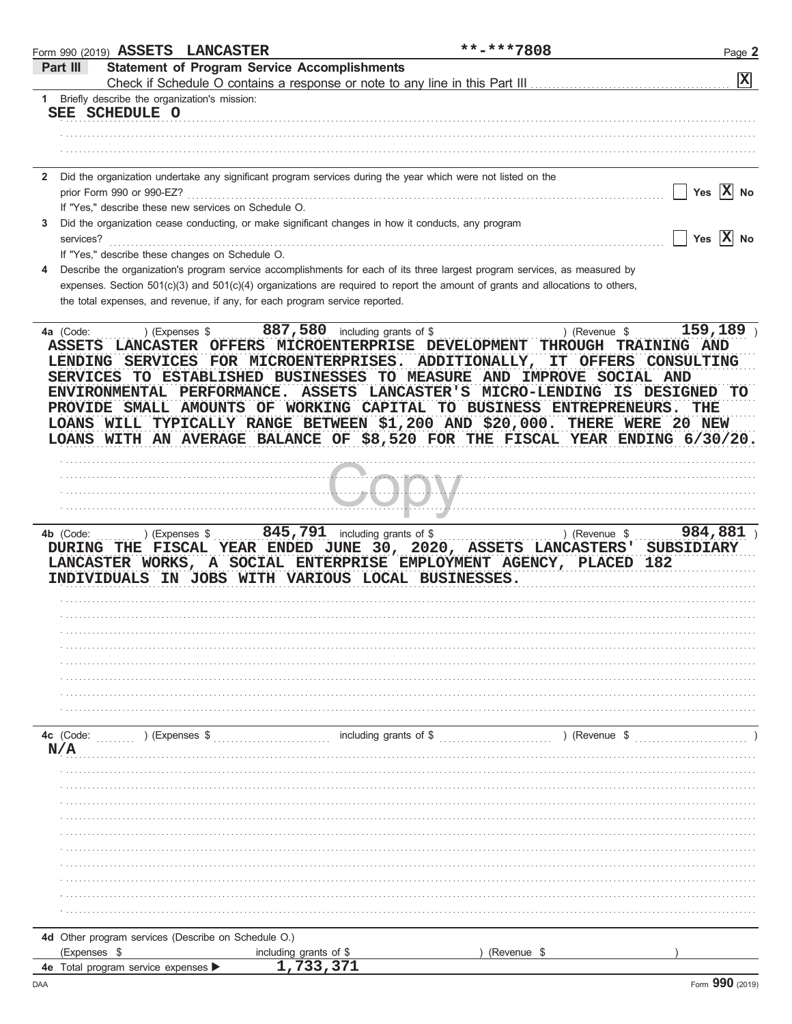|                  | Form 990 (2019) ASSETS LANCASTER                     |                                                                                                                                                                                                                                                                                                                                                                                                                                                                      | **-***7808             |               | Page 2         |
|------------------|------------------------------------------------------|----------------------------------------------------------------------------------------------------------------------------------------------------------------------------------------------------------------------------------------------------------------------------------------------------------------------------------------------------------------------------------------------------------------------------------------------------------------------|------------------------|---------------|----------------|
| Part III         |                                                      | <b>Statement of Program Service Accomplishments</b><br>Check if Schedule O contains a response or note to any line in this Part III                                                                                                                                                                                                                                                                                                                                  |                        |               | $ \mathbf{x} $ |
|                  | 1 Briefly describe the organization's mission:       |                                                                                                                                                                                                                                                                                                                                                                                                                                                                      |                        |               |                |
|                  | SEE SCHEDULE O                                       |                                                                                                                                                                                                                                                                                                                                                                                                                                                                      |                        |               |                |
|                  |                                                      |                                                                                                                                                                                                                                                                                                                                                                                                                                                                      |                        |               |                |
|                  |                                                      |                                                                                                                                                                                                                                                                                                                                                                                                                                                                      |                        |               |                |
|                  |                                                      |                                                                                                                                                                                                                                                                                                                                                                                                                                                                      |                        |               |                |
| $\mathbf{2}$     |                                                      | Did the organization undertake any significant program services during the year which were not listed on the                                                                                                                                                                                                                                                                                                                                                         |                        |               |                |
|                  | prior Form 990 or 990-EZ?                            |                                                                                                                                                                                                                                                                                                                                                                                                                                                                      |                        |               | Yes $ X $ No   |
|                  | If "Yes," describe these new services on Schedule O. |                                                                                                                                                                                                                                                                                                                                                                                                                                                                      |                        |               |                |
| 3<br>services?   |                                                      | Did the organization cease conducting, or make significant changes in how it conducts, any program                                                                                                                                                                                                                                                                                                                                                                   |                        |               | Yes $X$ No     |
|                  | If "Yes," describe these changes on Schedule O.      |                                                                                                                                                                                                                                                                                                                                                                                                                                                                      |                        |               |                |
| 4                |                                                      | Describe the organization's program service accomplishments for each of its three largest program services, as measured by                                                                                                                                                                                                                                                                                                                                           |                        |               |                |
|                  |                                                      | expenses. Section 501(c)(3) and 501(c)(4) organizations are required to report the amount of grants and allocations to others,                                                                                                                                                                                                                                                                                                                                       |                        |               |                |
|                  |                                                      | the total expenses, and revenue, if any, for each program service reported.                                                                                                                                                                                                                                                                                                                                                                                          |                        |               |                |
|                  |                                                      |                                                                                                                                                                                                                                                                                                                                                                                                                                                                      |                        |               |                |
|                  |                                                      | LENDING SERVICES FOR MICROENTERPRISES. ADDITIONALLY, IT OFFERS CONSULTING<br>SERVICES TO ESTABLISHED BUSINESSES TO MEASURE AND IMPROVE SOCIAL AND<br>ENVIRONMENTAL PERFORMANCE. ASSETS LANCASTER'S MICRO-LENDING IS DESIGNED TO<br>PROVIDE SMALL AMOUNTS OF WORKING CAPITAL TO BUSINESS ENTREPRENEURS.<br>LOANS WILL TYPICALLY RANGE BETWEEN \$1,200 AND \$20,000. THERE WERE 20 NEW<br>LOANS WITH AN AVERAGE BALANCE OF \$8,520 FOR THE FISCAL YEAR ENDING 6/30/20. |                        |               | THE            |
|                  |                                                      |                                                                                                                                                                                                                                                                                                                                                                                                                                                                      |                        |               |                |
|                  |                                                      |                                                                                                                                                                                                                                                                                                                                                                                                                                                                      |                        |               |                |
|                  |                                                      |                                                                                                                                                                                                                                                                                                                                                                                                                                                                      |                        |               |                |
|                  |                                                      | بالمتحاط والاحتجاج والملحا                                                                                                                                                                                                                                                                                                                                                                                                                                           |                        |               |                |
|                  |                                                      |                                                                                                                                                                                                                                                                                                                                                                                                                                                                      |                        |               |                |
| 4b (Code:        | ) (Expenses \$                                       | $845,791$ including grants of \$<br>DURING THE FISCAL YEAR ENDED JUNE 30, 2020, ASSETS LANCASTERS' SUBSIDIARY<br>LANCASTER WORKS, A SOCIAL ENTERPRISE EMPLOYMENT AGENCY, PLACED 182<br>INDIVIDUALS IN JOBS WITH VARIOUS LOCAL BUSINESSES.                                                                                                                                                                                                                            |                        | ) (Revenue \$ | 984,881)       |
|                  |                                                      |                                                                                                                                                                                                                                                                                                                                                                                                                                                                      |                        |               |                |
|                  |                                                      |                                                                                                                                                                                                                                                                                                                                                                                                                                                                      |                        |               |                |
|                  |                                                      |                                                                                                                                                                                                                                                                                                                                                                                                                                                                      |                        |               |                |
|                  |                                                      |                                                                                                                                                                                                                                                                                                                                                                                                                                                                      |                        |               |                |
|                  |                                                      |                                                                                                                                                                                                                                                                                                                                                                                                                                                                      |                        |               |                |
|                  |                                                      |                                                                                                                                                                                                                                                                                                                                                                                                                                                                      |                        |               |                |
| 4c (Code:<br>N/A | $(Ex)$ (Expenses \$                                  |                                                                                                                                                                                                                                                                                                                                                                                                                                                                      | including grants of \$ | ) (Revenue \$ |                |
|                  |                                                      |                                                                                                                                                                                                                                                                                                                                                                                                                                                                      |                        |               |                |
|                  |                                                      |                                                                                                                                                                                                                                                                                                                                                                                                                                                                      |                        |               |                |
|                  |                                                      |                                                                                                                                                                                                                                                                                                                                                                                                                                                                      |                        |               |                |
|                  |                                                      |                                                                                                                                                                                                                                                                                                                                                                                                                                                                      |                        |               |                |
|                  |                                                      |                                                                                                                                                                                                                                                                                                                                                                                                                                                                      |                        |               |                |
|                  |                                                      |                                                                                                                                                                                                                                                                                                                                                                                                                                                                      |                        |               |                |
|                  |                                                      |                                                                                                                                                                                                                                                                                                                                                                                                                                                                      |                        |               |                |
|                  |                                                      |                                                                                                                                                                                                                                                                                                                                                                                                                                                                      |                        |               |                |
|                  |                                                      |                                                                                                                                                                                                                                                                                                                                                                                                                                                                      |                        |               |                |
|                  |                                                      |                                                                                                                                                                                                                                                                                                                                                                                                                                                                      |                        |               |                |
|                  | 4d Other program services (Describe on Schedule O.)  |                                                                                                                                                                                                                                                                                                                                                                                                                                                                      |                        |               |                |
| (Expenses \$     |                                                      | including grants of \$                                                                                                                                                                                                                                                                                                                                                                                                                                               | (Revenue \$            |               |                |
|                  | 4e Total program service expenses                    | 1,733,371                                                                                                                                                                                                                                                                                                                                                                                                                                                            |                        |               |                |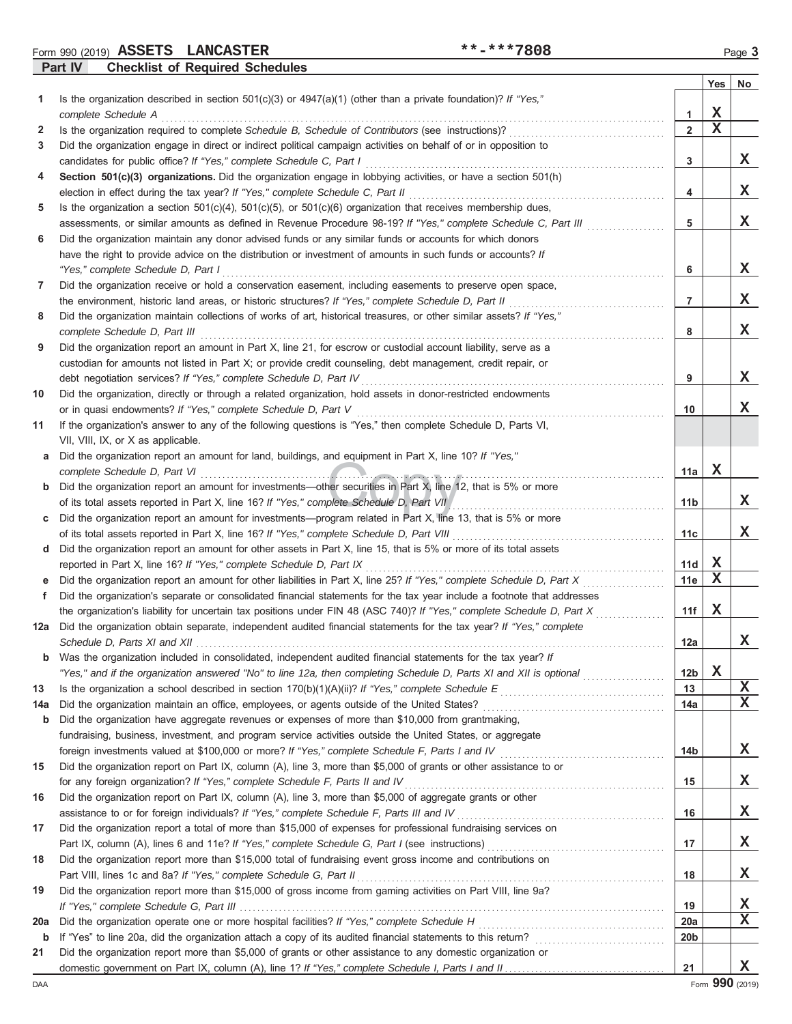Form 990 (2019) Page **3 ASSETS LANCASTER \*\*-\*\*\*7808**

**Part IV Checklist of Required Schedules**

|              | encember of required concuent                                                                                                                                                                           |                     |             |    |
|--------------|---------------------------------------------------------------------------------------------------------------------------------------------------------------------------------------------------------|---------------------|-------------|----|
|              |                                                                                                                                                                                                         |                     | Yes         | No |
| 1.           | Is the organization described in section $501(c)(3)$ or $4947(a)(1)$ (other than a private foundation)? If "Yes,"<br>complete Schedule A                                                                |                     | $\mathbf X$ |    |
| $\mathbf{2}$ | Is the organization required to complete Schedule B, Schedule of Contributors (see instructions)?                                                                                                       | 1<br>$\overline{2}$ | $\mathbf x$ |    |
| 3            | Did the organization engage in direct or indirect political campaign activities on behalf of or in opposition to                                                                                        |                     |             |    |
|              | candidates for public office? If "Yes," complete Schedule C, Part I                                                                                                                                     | 3                   |             | X  |
| 4            | Section 501(c)(3) organizations. Did the organization engage in lobbying activities, or have a section 501(h)                                                                                           |                     |             |    |
|              | election in effect during the tax year? If "Yes," complete Schedule C, Part II                                                                                                                          | 4                   |             | x  |
| 5            | Is the organization a section $501(c)(4)$ , $501(c)(5)$ , or $501(c)(6)$ organization that receives membership dues,                                                                                    |                     |             |    |
|              | assessments, or similar amounts as defined in Revenue Procedure 98-19? If "Yes," complete Schedule C, Part III                                                                                          | 5                   |             | X  |
| 6            | Did the organization maintain any donor advised funds or any similar funds or accounts for which donors                                                                                                 |                     |             |    |
|              | have the right to provide advice on the distribution or investment of amounts in such funds or accounts? If                                                                                             |                     |             |    |
|              | "Yes," complete Schedule D, Part I                                                                                                                                                                      | 6                   |             | X  |
| 7            | Did the organization receive or hold a conservation easement, including easements to preserve open space,                                                                                               |                     |             |    |
|              | the environment, historic land areas, or historic structures? If "Yes," complete Schedule D, Part II                                                                                                    | 7                   |             | x  |
| 8            | Did the organization maintain collections of works of art, historical treasures, or other similar assets? If "Yes,"                                                                                     |                     |             |    |
|              | complete Schedule D, Part III                                                                                                                                                                           | 8                   |             | x  |
| 9            | Did the organization report an amount in Part X, line 21, for escrow or custodial account liability, serve as a                                                                                         |                     |             |    |
|              | custodian for amounts not listed in Part X; or provide credit counseling, debt management, credit repair, or                                                                                            |                     |             |    |
|              | debt negotiation services? If "Yes," complete Schedule D, Part IV                                                                                                                                       | 9                   |             | X  |
| 10           | Did the organization, directly or through a related organization, hold assets in donor-restricted endowments                                                                                            |                     |             |    |
|              | or in quasi endowments? If "Yes," complete Schedule D, Part V                                                                                                                                           | 10                  |             | X  |
| 11           | If the organization's answer to any of the following questions is "Yes," then complete Schedule D, Parts VI,                                                                                            |                     |             |    |
|              | VII, VIII, IX, or X as applicable.                                                                                                                                                                      |                     |             |    |
| a            | Did the organization report an amount for land, buildings, and equipment in Part X, line 10? If "Yes,"<br>complete Schedule D, Part VI                                                                  | 11a                 | х           |    |
| $\mathbf b$  | Did the organization report an amount for investments—other securities in Part X, line 12, that is 5% or more                                                                                           |                     |             |    |
|              | of its total assets reported in Part X, line 16? If "Yes," complete Schedule D, Part VII                                                                                                                | 11 <sub>b</sub>     |             | X  |
| C            | Did the organization report an amount for investments—program related in Part X, line 13, that is 5% or more                                                                                            |                     |             |    |
|              | of its total assets reported in Part X, line 16? If "Yes," complete Schedule D, Part VIII                                                                                                               | 11c                 |             | X  |
| d            | Did the organization report an amount for other assets in Part X, line 15, that is 5% or more of its total assets                                                                                       |                     |             |    |
|              | reported in Part X, line 16? If "Yes," complete Schedule D, Part IX                                                                                                                                     | 11d                 | x           |    |
| е            | Did the organization report an amount for other liabilities in Part X, line 25? If "Yes," complete Schedule D, Part X                                                                                   | 11e                 | X           |    |
| f            | Did the organization's separate or consolidated financial statements for the tax year include a footnote that addresses                                                                                 |                     |             |    |
|              | the organization's liability for uncertain tax positions under FIN 48 (ASC 740)? If "Yes," complete Schedule D, Part X                                                                                  | 11f                 | x           |    |
| 12a          | Did the organization obtain separate, independent audited financial statements for the tax year? If "Yes," complete                                                                                     |                     |             |    |
|              |                                                                                                                                                                                                         | 12a                 |             | x  |
| b            | Was the organization included in consolidated, independent audited financial statements for the tax year? If                                                                                            |                     |             |    |
|              | "Yes," and if the organization answered "No" to line 12a, then completing Schedule D, Parts XI and XII is optional                                                                                      | 12 <sub>b</sub>     | X           |    |
| 13           |                                                                                                                                                                                                         | 13                  |             | X  |
| 14a          | Did the organization maintain an office, employees, or agents outside of the United States?                                                                                                             | 14a                 |             | X  |
| b            | Did the organization have aggregate revenues or expenses of more than \$10,000 from grantmaking,                                                                                                        |                     |             |    |
|              | fundraising, business, investment, and program service activities outside the United States, or aggregate                                                                                               |                     |             |    |
|              | foreign investments valued at \$100,000 or more? If "Yes," complete Schedule F, Parts I and IV [[[[[[[[[[[[[[[                                                                                          | 14b                 |             | X  |
| 15           | Did the organization report on Part IX, column (A), line 3, more than \$5,000 of grants or other assistance to or                                                                                       |                     |             | X  |
|              | for any foreign organization? If "Yes," complete Schedule F, Parts II and IV                                                                                                                            | 15                  |             |    |
| 16           | Did the organization report on Part IX, column (A), line 3, more than \$5,000 of aggregate grants or other<br>assistance to or for foreign individuals? If "Yes," complete Schedule F, Parts III and IV | 16                  |             | X  |
| 17           | Did the organization report a total of more than \$15,000 of expenses for professional fundraising services on                                                                                          |                     |             |    |
|              |                                                                                                                                                                                                         | 17                  |             | х  |
| 18           | Did the organization report more than \$15,000 total of fundraising event gross income and contributions on                                                                                             |                     |             |    |
|              | Part VIII, lines 1c and 8a? If "Yes," complete Schedule G, Part II                                                                                                                                      | 18                  |             | X  |
| 19           | Did the organization report more than \$15,000 of gross income from gaming activities on Part VIII, line 9a?                                                                                            |                     |             |    |
|              |                                                                                                                                                                                                         | 19                  |             | x  |
| 20a          |                                                                                                                                                                                                         | 20a                 |             | X  |
| b            |                                                                                                                                                                                                         | 20b                 |             |    |
| 21           | Did the organization report more than \$5,000 of grants or other assistance to any domestic organization or                                                                                             |                     |             |    |
|              |                                                                                                                                                                                                         | 21                  |             | X  |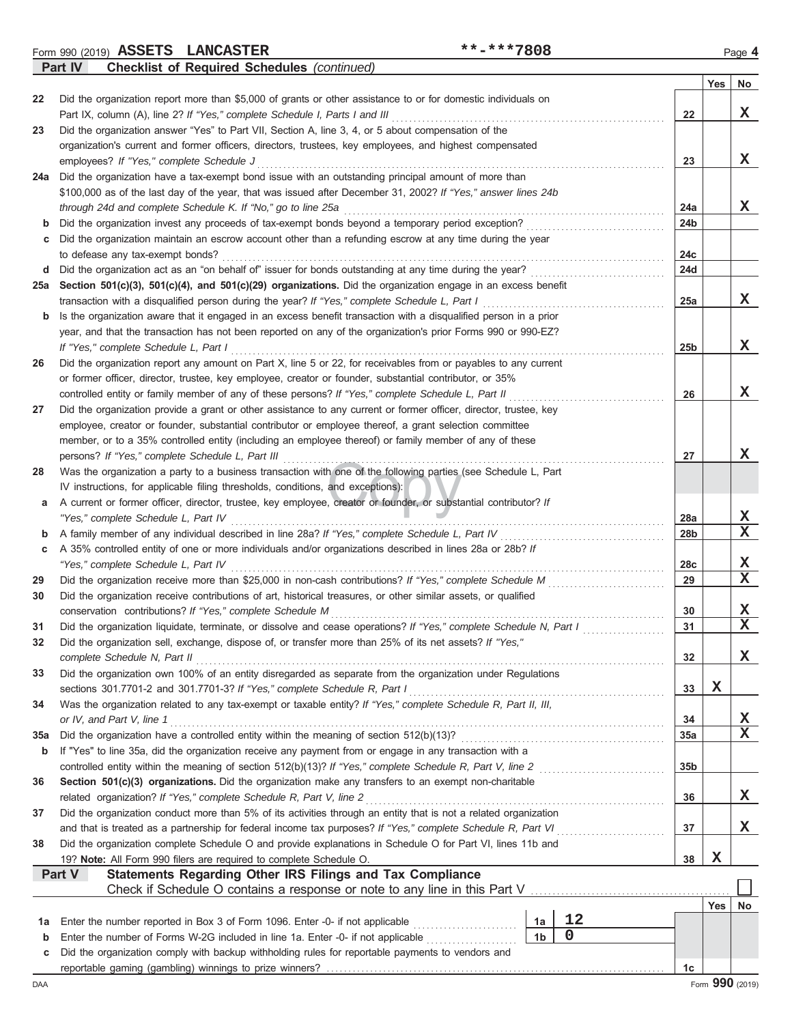Form 990 (2019) Page **4 ASSETS LANCASTER \*\*-\*\*\*7808 Part IV Checklist of Required Schedules** *(continued)*

| Yes<br>No<br>Did the organization report more than \$5,000 of grants or other assistance to or for domestic individuals on<br>22<br>X<br>Part IX, column (A), line 2? If "Yes," complete Schedule I, Parts I and III<br>22<br>Did the organization answer "Yes" to Part VII, Section A, line 3, 4, or 5 about compensation of the<br>23<br>organization's current and former officers, directors, trustees, key employees, and highest compensated<br>x<br>employees? If "Yes," complete Schedule J<br>23<br>Did the organization have a tax-exempt bond issue with an outstanding principal amount of more than<br>24a<br>\$100,000 as of the last day of the year, that was issued after December 31, 2002? If "Yes," answer lines 24b<br>x<br>through 24d and complete Schedule K. If "No," go to line 25a<br>24a<br>Did the organization invest any proceeds of tax-exempt bonds beyond a temporary period exception?<br>24 <sub>b</sub><br>b<br>Did the organization maintain an escrow account other than a refunding escrow at any time during the year<br>c<br>to defease any tax-exempt bonds?<br>24c<br>Did the organization act as an "on behalf of" issuer for bonds outstanding at any time during the year?<br>24d<br>d<br>Section 501(c)(3), 501(c)(4), and 501(c)(29) organizations. Did the organization engage in an excess benefit<br>25a<br>X<br>transaction with a disqualified person during the year? If "Yes," complete Schedule L, Part I<br>25a<br>Is the organization aware that it engaged in an excess benefit transaction with a disqualified person in a prior<br>b<br>year, and that the transaction has not been reported on any of the organization's prior Forms 990 or 990-EZ?<br>x<br>If "Yes," complete Schedule L, Part I<br>25 <sub>b</sub><br>Did the organization report any amount on Part X, line 5 or 22, for receivables from or payables to any current<br>26<br>or former officer, director, trustee, key employee, creator or founder, substantial contributor, or 35%<br>X.<br>controlled entity or family member of any of these persons? If "Yes," complete Schedule L, Part II<br>26<br>Did the organization provide a grant or other assistance to any current or former officer, director, trustee, key<br>27<br>employee, creator or founder, substantial contributor or employee thereof, a grant selection committee<br>member, or to a 35% controlled entity (including an employee thereof) or family member of any of these<br>X.<br>persons? If "Yes," complete Schedule L, Part III<br>27<br>Was the organization a party to a business transaction with one of the following parties (see Schedule L, Part<br>28<br>IV instructions, for applicable filing thresholds, conditions, and exceptions):<br>A current or former officer, director, trustee, key employee, creator or founder, or substantial contributor? If<br>а<br>X<br>"Yes," complete Schedule L, Part IV<br>28a<br>$\overline{\mathbf{X}}$<br>A family member of any individual described in line 28a? If "Yes," complete Schedule L, Part IV<br>28 <sub>b</sub><br>b<br>A 35% controlled entity of one or more individuals and/or organizations described in lines 28a or 28b? If<br>c<br>X<br>"Yes," complete Schedule L, Part IV<br>28c<br>$\mathbf x$<br>Did the organization receive more than \$25,000 in non-cash contributions? If "Yes," complete Schedule M<br>29<br>29<br>Did the organization receive contributions of art, historical treasures, or other similar assets, or qualified<br>30<br>X<br>conservation contributions? If "Yes," complete Schedule M<br>30<br>$\mathbf x$ |
|----------------------------------------------------------------------------------------------------------------------------------------------------------------------------------------------------------------------------------------------------------------------------------------------------------------------------------------------------------------------------------------------------------------------------------------------------------------------------------------------------------------------------------------------------------------------------------------------------------------------------------------------------------------------------------------------------------------------------------------------------------------------------------------------------------------------------------------------------------------------------------------------------------------------------------------------------------------------------------------------------------------------------------------------------------------------------------------------------------------------------------------------------------------------------------------------------------------------------------------------------------------------------------------------------------------------------------------------------------------------------------------------------------------------------------------------------------------------------------------------------------------------------------------------------------------------------------------------------------------------------------------------------------------------------------------------------------------------------------------------------------------------------------------------------------------------------------------------------------------------------------------------------------------------------------------------------------------------------------------------------------------------------------------------------------------------------------------------------------------------------------------------------------------------------------------------------------------------------------------------------------------------------------------------------------------------------------------------------------------------------------------------------------------------------------------------------------------------------------------------------------------------------------------------------------------------------------------------------------------------------------------------------------------------------------------------------------------------------------------------------------------------------------------------------------------------------------------------------------------------------------------------------------------------------------------------------------------------------------------------------------------------------------------------------------------------------------------------------------------------------------------------------------------------------------------------------------------------------------------------------------------------------------------------------------------------------------------------------------------------------------------------------------------------------------------------------------------------------------------------------------------------------------------------------------------------------------------------------------------------------------|
|                                                                                                                                                                                                                                                                                                                                                                                                                                                                                                                                                                                                                                                                                                                                                                                                                                                                                                                                                                                                                                                                                                                                                                                                                                                                                                                                                                                                                                                                                                                                                                                                                                                                                                                                                                                                                                                                                                                                                                                                                                                                                                                                                                                                                                                                                                                                                                                                                                                                                                                                                                                                                                                                                                                                                                                                                                                                                                                                                                                                                                                                                                                                                                                                                                                                                                                                                                                                                                                                                                                                                                                                                                  |
|                                                                                                                                                                                                                                                                                                                                                                                                                                                                                                                                                                                                                                                                                                                                                                                                                                                                                                                                                                                                                                                                                                                                                                                                                                                                                                                                                                                                                                                                                                                                                                                                                                                                                                                                                                                                                                                                                                                                                                                                                                                                                                                                                                                                                                                                                                                                                                                                                                                                                                                                                                                                                                                                                                                                                                                                                                                                                                                                                                                                                                                                                                                                                                                                                                                                                                                                                                                                                                                                                                                                                                                                                                  |
|                                                                                                                                                                                                                                                                                                                                                                                                                                                                                                                                                                                                                                                                                                                                                                                                                                                                                                                                                                                                                                                                                                                                                                                                                                                                                                                                                                                                                                                                                                                                                                                                                                                                                                                                                                                                                                                                                                                                                                                                                                                                                                                                                                                                                                                                                                                                                                                                                                                                                                                                                                                                                                                                                                                                                                                                                                                                                                                                                                                                                                                                                                                                                                                                                                                                                                                                                                                                                                                                                                                                                                                                                                  |
|                                                                                                                                                                                                                                                                                                                                                                                                                                                                                                                                                                                                                                                                                                                                                                                                                                                                                                                                                                                                                                                                                                                                                                                                                                                                                                                                                                                                                                                                                                                                                                                                                                                                                                                                                                                                                                                                                                                                                                                                                                                                                                                                                                                                                                                                                                                                                                                                                                                                                                                                                                                                                                                                                                                                                                                                                                                                                                                                                                                                                                                                                                                                                                                                                                                                                                                                                                                                                                                                                                                                                                                                                                  |
|                                                                                                                                                                                                                                                                                                                                                                                                                                                                                                                                                                                                                                                                                                                                                                                                                                                                                                                                                                                                                                                                                                                                                                                                                                                                                                                                                                                                                                                                                                                                                                                                                                                                                                                                                                                                                                                                                                                                                                                                                                                                                                                                                                                                                                                                                                                                                                                                                                                                                                                                                                                                                                                                                                                                                                                                                                                                                                                                                                                                                                                                                                                                                                                                                                                                                                                                                                                                                                                                                                                                                                                                                                  |
|                                                                                                                                                                                                                                                                                                                                                                                                                                                                                                                                                                                                                                                                                                                                                                                                                                                                                                                                                                                                                                                                                                                                                                                                                                                                                                                                                                                                                                                                                                                                                                                                                                                                                                                                                                                                                                                                                                                                                                                                                                                                                                                                                                                                                                                                                                                                                                                                                                                                                                                                                                                                                                                                                                                                                                                                                                                                                                                                                                                                                                                                                                                                                                                                                                                                                                                                                                                                                                                                                                                                                                                                                                  |
|                                                                                                                                                                                                                                                                                                                                                                                                                                                                                                                                                                                                                                                                                                                                                                                                                                                                                                                                                                                                                                                                                                                                                                                                                                                                                                                                                                                                                                                                                                                                                                                                                                                                                                                                                                                                                                                                                                                                                                                                                                                                                                                                                                                                                                                                                                                                                                                                                                                                                                                                                                                                                                                                                                                                                                                                                                                                                                                                                                                                                                                                                                                                                                                                                                                                                                                                                                                                                                                                                                                                                                                                                                  |
|                                                                                                                                                                                                                                                                                                                                                                                                                                                                                                                                                                                                                                                                                                                                                                                                                                                                                                                                                                                                                                                                                                                                                                                                                                                                                                                                                                                                                                                                                                                                                                                                                                                                                                                                                                                                                                                                                                                                                                                                                                                                                                                                                                                                                                                                                                                                                                                                                                                                                                                                                                                                                                                                                                                                                                                                                                                                                                                                                                                                                                                                                                                                                                                                                                                                                                                                                                                                                                                                                                                                                                                                                                  |
|                                                                                                                                                                                                                                                                                                                                                                                                                                                                                                                                                                                                                                                                                                                                                                                                                                                                                                                                                                                                                                                                                                                                                                                                                                                                                                                                                                                                                                                                                                                                                                                                                                                                                                                                                                                                                                                                                                                                                                                                                                                                                                                                                                                                                                                                                                                                                                                                                                                                                                                                                                                                                                                                                                                                                                                                                                                                                                                                                                                                                                                                                                                                                                                                                                                                                                                                                                                                                                                                                                                                                                                                                                  |
|                                                                                                                                                                                                                                                                                                                                                                                                                                                                                                                                                                                                                                                                                                                                                                                                                                                                                                                                                                                                                                                                                                                                                                                                                                                                                                                                                                                                                                                                                                                                                                                                                                                                                                                                                                                                                                                                                                                                                                                                                                                                                                                                                                                                                                                                                                                                                                                                                                                                                                                                                                                                                                                                                                                                                                                                                                                                                                                                                                                                                                                                                                                                                                                                                                                                                                                                                                                                                                                                                                                                                                                                                                  |
|                                                                                                                                                                                                                                                                                                                                                                                                                                                                                                                                                                                                                                                                                                                                                                                                                                                                                                                                                                                                                                                                                                                                                                                                                                                                                                                                                                                                                                                                                                                                                                                                                                                                                                                                                                                                                                                                                                                                                                                                                                                                                                                                                                                                                                                                                                                                                                                                                                                                                                                                                                                                                                                                                                                                                                                                                                                                                                                                                                                                                                                                                                                                                                                                                                                                                                                                                                                                                                                                                                                                                                                                                                  |
|                                                                                                                                                                                                                                                                                                                                                                                                                                                                                                                                                                                                                                                                                                                                                                                                                                                                                                                                                                                                                                                                                                                                                                                                                                                                                                                                                                                                                                                                                                                                                                                                                                                                                                                                                                                                                                                                                                                                                                                                                                                                                                                                                                                                                                                                                                                                                                                                                                                                                                                                                                                                                                                                                                                                                                                                                                                                                                                                                                                                                                                                                                                                                                                                                                                                                                                                                                                                                                                                                                                                                                                                                                  |
|                                                                                                                                                                                                                                                                                                                                                                                                                                                                                                                                                                                                                                                                                                                                                                                                                                                                                                                                                                                                                                                                                                                                                                                                                                                                                                                                                                                                                                                                                                                                                                                                                                                                                                                                                                                                                                                                                                                                                                                                                                                                                                                                                                                                                                                                                                                                                                                                                                                                                                                                                                                                                                                                                                                                                                                                                                                                                                                                                                                                                                                                                                                                                                                                                                                                                                                                                                                                                                                                                                                                                                                                                                  |
|                                                                                                                                                                                                                                                                                                                                                                                                                                                                                                                                                                                                                                                                                                                                                                                                                                                                                                                                                                                                                                                                                                                                                                                                                                                                                                                                                                                                                                                                                                                                                                                                                                                                                                                                                                                                                                                                                                                                                                                                                                                                                                                                                                                                                                                                                                                                                                                                                                                                                                                                                                                                                                                                                                                                                                                                                                                                                                                                                                                                                                                                                                                                                                                                                                                                                                                                                                                                                                                                                                                                                                                                                                  |
|                                                                                                                                                                                                                                                                                                                                                                                                                                                                                                                                                                                                                                                                                                                                                                                                                                                                                                                                                                                                                                                                                                                                                                                                                                                                                                                                                                                                                                                                                                                                                                                                                                                                                                                                                                                                                                                                                                                                                                                                                                                                                                                                                                                                                                                                                                                                                                                                                                                                                                                                                                                                                                                                                                                                                                                                                                                                                                                                                                                                                                                                                                                                                                                                                                                                                                                                                                                                                                                                                                                                                                                                                                  |
|                                                                                                                                                                                                                                                                                                                                                                                                                                                                                                                                                                                                                                                                                                                                                                                                                                                                                                                                                                                                                                                                                                                                                                                                                                                                                                                                                                                                                                                                                                                                                                                                                                                                                                                                                                                                                                                                                                                                                                                                                                                                                                                                                                                                                                                                                                                                                                                                                                                                                                                                                                                                                                                                                                                                                                                                                                                                                                                                                                                                                                                                                                                                                                                                                                                                                                                                                                                                                                                                                                                                                                                                                                  |
|                                                                                                                                                                                                                                                                                                                                                                                                                                                                                                                                                                                                                                                                                                                                                                                                                                                                                                                                                                                                                                                                                                                                                                                                                                                                                                                                                                                                                                                                                                                                                                                                                                                                                                                                                                                                                                                                                                                                                                                                                                                                                                                                                                                                                                                                                                                                                                                                                                                                                                                                                                                                                                                                                                                                                                                                                                                                                                                                                                                                                                                                                                                                                                                                                                                                                                                                                                                                                                                                                                                                                                                                                                  |
|                                                                                                                                                                                                                                                                                                                                                                                                                                                                                                                                                                                                                                                                                                                                                                                                                                                                                                                                                                                                                                                                                                                                                                                                                                                                                                                                                                                                                                                                                                                                                                                                                                                                                                                                                                                                                                                                                                                                                                                                                                                                                                                                                                                                                                                                                                                                                                                                                                                                                                                                                                                                                                                                                                                                                                                                                                                                                                                                                                                                                                                                                                                                                                                                                                                                                                                                                                                                                                                                                                                                                                                                                                  |
|                                                                                                                                                                                                                                                                                                                                                                                                                                                                                                                                                                                                                                                                                                                                                                                                                                                                                                                                                                                                                                                                                                                                                                                                                                                                                                                                                                                                                                                                                                                                                                                                                                                                                                                                                                                                                                                                                                                                                                                                                                                                                                                                                                                                                                                                                                                                                                                                                                                                                                                                                                                                                                                                                                                                                                                                                                                                                                                                                                                                                                                                                                                                                                                                                                                                                                                                                                                                                                                                                                                                                                                                                                  |
|                                                                                                                                                                                                                                                                                                                                                                                                                                                                                                                                                                                                                                                                                                                                                                                                                                                                                                                                                                                                                                                                                                                                                                                                                                                                                                                                                                                                                                                                                                                                                                                                                                                                                                                                                                                                                                                                                                                                                                                                                                                                                                                                                                                                                                                                                                                                                                                                                                                                                                                                                                                                                                                                                                                                                                                                                                                                                                                                                                                                                                                                                                                                                                                                                                                                                                                                                                                                                                                                                                                                                                                                                                  |
|                                                                                                                                                                                                                                                                                                                                                                                                                                                                                                                                                                                                                                                                                                                                                                                                                                                                                                                                                                                                                                                                                                                                                                                                                                                                                                                                                                                                                                                                                                                                                                                                                                                                                                                                                                                                                                                                                                                                                                                                                                                                                                                                                                                                                                                                                                                                                                                                                                                                                                                                                                                                                                                                                                                                                                                                                                                                                                                                                                                                                                                                                                                                                                                                                                                                                                                                                                                                                                                                                                                                                                                                                                  |
|                                                                                                                                                                                                                                                                                                                                                                                                                                                                                                                                                                                                                                                                                                                                                                                                                                                                                                                                                                                                                                                                                                                                                                                                                                                                                                                                                                                                                                                                                                                                                                                                                                                                                                                                                                                                                                                                                                                                                                                                                                                                                                                                                                                                                                                                                                                                                                                                                                                                                                                                                                                                                                                                                                                                                                                                                                                                                                                                                                                                                                                                                                                                                                                                                                                                                                                                                                                                                                                                                                                                                                                                                                  |
|                                                                                                                                                                                                                                                                                                                                                                                                                                                                                                                                                                                                                                                                                                                                                                                                                                                                                                                                                                                                                                                                                                                                                                                                                                                                                                                                                                                                                                                                                                                                                                                                                                                                                                                                                                                                                                                                                                                                                                                                                                                                                                                                                                                                                                                                                                                                                                                                                                                                                                                                                                                                                                                                                                                                                                                                                                                                                                                                                                                                                                                                                                                                                                                                                                                                                                                                                                                                                                                                                                                                                                                                                                  |
|                                                                                                                                                                                                                                                                                                                                                                                                                                                                                                                                                                                                                                                                                                                                                                                                                                                                                                                                                                                                                                                                                                                                                                                                                                                                                                                                                                                                                                                                                                                                                                                                                                                                                                                                                                                                                                                                                                                                                                                                                                                                                                                                                                                                                                                                                                                                                                                                                                                                                                                                                                                                                                                                                                                                                                                                                                                                                                                                                                                                                                                                                                                                                                                                                                                                                                                                                                                                                                                                                                                                                                                                                                  |
|                                                                                                                                                                                                                                                                                                                                                                                                                                                                                                                                                                                                                                                                                                                                                                                                                                                                                                                                                                                                                                                                                                                                                                                                                                                                                                                                                                                                                                                                                                                                                                                                                                                                                                                                                                                                                                                                                                                                                                                                                                                                                                                                                                                                                                                                                                                                                                                                                                                                                                                                                                                                                                                                                                                                                                                                                                                                                                                                                                                                                                                                                                                                                                                                                                                                                                                                                                                                                                                                                                                                                                                                                                  |
|                                                                                                                                                                                                                                                                                                                                                                                                                                                                                                                                                                                                                                                                                                                                                                                                                                                                                                                                                                                                                                                                                                                                                                                                                                                                                                                                                                                                                                                                                                                                                                                                                                                                                                                                                                                                                                                                                                                                                                                                                                                                                                                                                                                                                                                                                                                                                                                                                                                                                                                                                                                                                                                                                                                                                                                                                                                                                                                                                                                                                                                                                                                                                                                                                                                                                                                                                                                                                                                                                                                                                                                                                                  |
|                                                                                                                                                                                                                                                                                                                                                                                                                                                                                                                                                                                                                                                                                                                                                                                                                                                                                                                                                                                                                                                                                                                                                                                                                                                                                                                                                                                                                                                                                                                                                                                                                                                                                                                                                                                                                                                                                                                                                                                                                                                                                                                                                                                                                                                                                                                                                                                                                                                                                                                                                                                                                                                                                                                                                                                                                                                                                                                                                                                                                                                                                                                                                                                                                                                                                                                                                                                                                                                                                                                                                                                                                                  |
|                                                                                                                                                                                                                                                                                                                                                                                                                                                                                                                                                                                                                                                                                                                                                                                                                                                                                                                                                                                                                                                                                                                                                                                                                                                                                                                                                                                                                                                                                                                                                                                                                                                                                                                                                                                                                                                                                                                                                                                                                                                                                                                                                                                                                                                                                                                                                                                                                                                                                                                                                                                                                                                                                                                                                                                                                                                                                                                                                                                                                                                                                                                                                                                                                                                                                                                                                                                                                                                                                                                                                                                                                                  |
|                                                                                                                                                                                                                                                                                                                                                                                                                                                                                                                                                                                                                                                                                                                                                                                                                                                                                                                                                                                                                                                                                                                                                                                                                                                                                                                                                                                                                                                                                                                                                                                                                                                                                                                                                                                                                                                                                                                                                                                                                                                                                                                                                                                                                                                                                                                                                                                                                                                                                                                                                                                                                                                                                                                                                                                                                                                                                                                                                                                                                                                                                                                                                                                                                                                                                                                                                                                                                                                                                                                                                                                                                                  |
|                                                                                                                                                                                                                                                                                                                                                                                                                                                                                                                                                                                                                                                                                                                                                                                                                                                                                                                                                                                                                                                                                                                                                                                                                                                                                                                                                                                                                                                                                                                                                                                                                                                                                                                                                                                                                                                                                                                                                                                                                                                                                                                                                                                                                                                                                                                                                                                                                                                                                                                                                                                                                                                                                                                                                                                                                                                                                                                                                                                                                                                                                                                                                                                                                                                                                                                                                                                                                                                                                                                                                                                                                                  |
|                                                                                                                                                                                                                                                                                                                                                                                                                                                                                                                                                                                                                                                                                                                                                                                                                                                                                                                                                                                                                                                                                                                                                                                                                                                                                                                                                                                                                                                                                                                                                                                                                                                                                                                                                                                                                                                                                                                                                                                                                                                                                                                                                                                                                                                                                                                                                                                                                                                                                                                                                                                                                                                                                                                                                                                                                                                                                                                                                                                                                                                                                                                                                                                                                                                                                                                                                                                                                                                                                                                                                                                                                                  |
|                                                                                                                                                                                                                                                                                                                                                                                                                                                                                                                                                                                                                                                                                                                                                                                                                                                                                                                                                                                                                                                                                                                                                                                                                                                                                                                                                                                                                                                                                                                                                                                                                                                                                                                                                                                                                                                                                                                                                                                                                                                                                                                                                                                                                                                                                                                                                                                                                                                                                                                                                                                                                                                                                                                                                                                                                                                                                                                                                                                                                                                                                                                                                                                                                                                                                                                                                                                                                                                                                                                                                                                                                                  |
|                                                                                                                                                                                                                                                                                                                                                                                                                                                                                                                                                                                                                                                                                                                                                                                                                                                                                                                                                                                                                                                                                                                                                                                                                                                                                                                                                                                                                                                                                                                                                                                                                                                                                                                                                                                                                                                                                                                                                                                                                                                                                                                                                                                                                                                                                                                                                                                                                                                                                                                                                                                                                                                                                                                                                                                                                                                                                                                                                                                                                                                                                                                                                                                                                                                                                                                                                                                                                                                                                                                                                                                                                                  |
| Did the organization liquidate, terminate, or dissolve and cease operations? If "Yes," complete Schedule N, Part I<br>31<br>31                                                                                                                                                                                                                                                                                                                                                                                                                                                                                                                                                                                                                                                                                                                                                                                                                                                                                                                                                                                                                                                                                                                                                                                                                                                                                                                                                                                                                                                                                                                                                                                                                                                                                                                                                                                                                                                                                                                                                                                                                                                                                                                                                                                                                                                                                                                                                                                                                                                                                                                                                                                                                                                                                                                                                                                                                                                                                                                                                                                                                                                                                                                                                                                                                                                                                                                                                                                                                                                                                                   |
| Did the organization sell, exchange, dispose of, or transfer more than 25% of its net assets? If "Yes,"<br>32                                                                                                                                                                                                                                                                                                                                                                                                                                                                                                                                                                                                                                                                                                                                                                                                                                                                                                                                                                                                                                                                                                                                                                                                                                                                                                                                                                                                                                                                                                                                                                                                                                                                                                                                                                                                                                                                                                                                                                                                                                                                                                                                                                                                                                                                                                                                                                                                                                                                                                                                                                                                                                                                                                                                                                                                                                                                                                                                                                                                                                                                                                                                                                                                                                                                                                                                                                                                                                                                                                                    |
| X<br>complete Schedule N, Part II<br>32                                                                                                                                                                                                                                                                                                                                                                                                                                                                                                                                                                                                                                                                                                                                                                                                                                                                                                                                                                                                                                                                                                                                                                                                                                                                                                                                                                                                                                                                                                                                                                                                                                                                                                                                                                                                                                                                                                                                                                                                                                                                                                                                                                                                                                                                                                                                                                                                                                                                                                                                                                                                                                                                                                                                                                                                                                                                                                                                                                                                                                                                                                                                                                                                                                                                                                                                                                                                                                                                                                                                                                                          |
| Did the organization own 100% of an entity disregarded as separate from the organization under Regulations<br>33                                                                                                                                                                                                                                                                                                                                                                                                                                                                                                                                                                                                                                                                                                                                                                                                                                                                                                                                                                                                                                                                                                                                                                                                                                                                                                                                                                                                                                                                                                                                                                                                                                                                                                                                                                                                                                                                                                                                                                                                                                                                                                                                                                                                                                                                                                                                                                                                                                                                                                                                                                                                                                                                                                                                                                                                                                                                                                                                                                                                                                                                                                                                                                                                                                                                                                                                                                                                                                                                                                                 |
| x<br>sections 301.7701-2 and 301.7701-3? If "Yes," complete Schedule R, Part I<br>33                                                                                                                                                                                                                                                                                                                                                                                                                                                                                                                                                                                                                                                                                                                                                                                                                                                                                                                                                                                                                                                                                                                                                                                                                                                                                                                                                                                                                                                                                                                                                                                                                                                                                                                                                                                                                                                                                                                                                                                                                                                                                                                                                                                                                                                                                                                                                                                                                                                                                                                                                                                                                                                                                                                                                                                                                                                                                                                                                                                                                                                                                                                                                                                                                                                                                                                                                                                                                                                                                                                                             |
| Was the organization related to any tax-exempt or taxable entity? If "Yes," complete Schedule R, Part II, III,<br>34                                                                                                                                                                                                                                                                                                                                                                                                                                                                                                                                                                                                                                                                                                                                                                                                                                                                                                                                                                                                                                                                                                                                                                                                                                                                                                                                                                                                                                                                                                                                                                                                                                                                                                                                                                                                                                                                                                                                                                                                                                                                                                                                                                                                                                                                                                                                                                                                                                                                                                                                                                                                                                                                                                                                                                                                                                                                                                                                                                                                                                                                                                                                                                                                                                                                                                                                                                                                                                                                                                             |
| X<br>or IV, and Part V, line 1<br>34                                                                                                                                                                                                                                                                                                                                                                                                                                                                                                                                                                                                                                                                                                                                                                                                                                                                                                                                                                                                                                                                                                                                                                                                                                                                                                                                                                                                                                                                                                                                                                                                                                                                                                                                                                                                                                                                                                                                                                                                                                                                                                                                                                                                                                                                                                                                                                                                                                                                                                                                                                                                                                                                                                                                                                                                                                                                                                                                                                                                                                                                                                                                                                                                                                                                                                                                                                                                                                                                                                                                                                                             |
| $\overline{\mathbf{x}}$<br>Did the organization have a controlled entity within the meaning of section 512(b)(13)?<br>35a<br>35a                                                                                                                                                                                                                                                                                                                                                                                                                                                                                                                                                                                                                                                                                                                                                                                                                                                                                                                                                                                                                                                                                                                                                                                                                                                                                                                                                                                                                                                                                                                                                                                                                                                                                                                                                                                                                                                                                                                                                                                                                                                                                                                                                                                                                                                                                                                                                                                                                                                                                                                                                                                                                                                                                                                                                                                                                                                                                                                                                                                                                                                                                                                                                                                                                                                                                                                                                                                                                                                                                                 |
| If "Yes" to line 35a, did the organization receive any payment from or engage in any transaction with a<br>b                                                                                                                                                                                                                                                                                                                                                                                                                                                                                                                                                                                                                                                                                                                                                                                                                                                                                                                                                                                                                                                                                                                                                                                                                                                                                                                                                                                                                                                                                                                                                                                                                                                                                                                                                                                                                                                                                                                                                                                                                                                                                                                                                                                                                                                                                                                                                                                                                                                                                                                                                                                                                                                                                                                                                                                                                                                                                                                                                                                                                                                                                                                                                                                                                                                                                                                                                                                                                                                                                                                     |
| controlled entity within the meaning of section 512(b)(13)? If "Yes," complete Schedule R, Part V, line 2<br>35b                                                                                                                                                                                                                                                                                                                                                                                                                                                                                                                                                                                                                                                                                                                                                                                                                                                                                                                                                                                                                                                                                                                                                                                                                                                                                                                                                                                                                                                                                                                                                                                                                                                                                                                                                                                                                                                                                                                                                                                                                                                                                                                                                                                                                                                                                                                                                                                                                                                                                                                                                                                                                                                                                                                                                                                                                                                                                                                                                                                                                                                                                                                                                                                                                                                                                                                                                                                                                                                                                                                 |
| Section 501(c)(3) organizations. Did the organization make any transfers to an exempt non-charitable<br>36                                                                                                                                                                                                                                                                                                                                                                                                                                                                                                                                                                                                                                                                                                                                                                                                                                                                                                                                                                                                                                                                                                                                                                                                                                                                                                                                                                                                                                                                                                                                                                                                                                                                                                                                                                                                                                                                                                                                                                                                                                                                                                                                                                                                                                                                                                                                                                                                                                                                                                                                                                                                                                                                                                                                                                                                                                                                                                                                                                                                                                                                                                                                                                                                                                                                                                                                                                                                                                                                                                                       |
| x<br>related organization? If "Yes," complete Schedule R, Part V, line 2<br>36                                                                                                                                                                                                                                                                                                                                                                                                                                                                                                                                                                                                                                                                                                                                                                                                                                                                                                                                                                                                                                                                                                                                                                                                                                                                                                                                                                                                                                                                                                                                                                                                                                                                                                                                                                                                                                                                                                                                                                                                                                                                                                                                                                                                                                                                                                                                                                                                                                                                                                                                                                                                                                                                                                                                                                                                                                                                                                                                                                                                                                                                                                                                                                                                                                                                                                                                                                                                                                                                                                                                                   |
| Did the organization conduct more than 5% of its activities through an entity that is not a related organization<br>37                                                                                                                                                                                                                                                                                                                                                                                                                                                                                                                                                                                                                                                                                                                                                                                                                                                                                                                                                                                                                                                                                                                                                                                                                                                                                                                                                                                                                                                                                                                                                                                                                                                                                                                                                                                                                                                                                                                                                                                                                                                                                                                                                                                                                                                                                                                                                                                                                                                                                                                                                                                                                                                                                                                                                                                                                                                                                                                                                                                                                                                                                                                                                                                                                                                                                                                                                                                                                                                                                                           |
| x<br>and that is treated as a partnership for federal income tax purposes? If "Yes," complete Schedule R, Part VI<br>37                                                                                                                                                                                                                                                                                                                                                                                                                                                                                                                                                                                                                                                                                                                                                                                                                                                                                                                                                                                                                                                                                                                                                                                                                                                                                                                                                                                                                                                                                                                                                                                                                                                                                                                                                                                                                                                                                                                                                                                                                                                                                                                                                                                                                                                                                                                                                                                                                                                                                                                                                                                                                                                                                                                                                                                                                                                                                                                                                                                                                                                                                                                                                                                                                                                                                                                                                                                                                                                                                                          |
| Did the organization complete Schedule O and provide explanations in Schedule O for Part VI, lines 11b and<br>38                                                                                                                                                                                                                                                                                                                                                                                                                                                                                                                                                                                                                                                                                                                                                                                                                                                                                                                                                                                                                                                                                                                                                                                                                                                                                                                                                                                                                                                                                                                                                                                                                                                                                                                                                                                                                                                                                                                                                                                                                                                                                                                                                                                                                                                                                                                                                                                                                                                                                                                                                                                                                                                                                                                                                                                                                                                                                                                                                                                                                                                                                                                                                                                                                                                                                                                                                                                                                                                                                                                 |
| X<br>19? Note: All Form 990 filers are required to complete Schedule O.<br>38                                                                                                                                                                                                                                                                                                                                                                                                                                                                                                                                                                                                                                                                                                                                                                                                                                                                                                                                                                                                                                                                                                                                                                                                                                                                                                                                                                                                                                                                                                                                                                                                                                                                                                                                                                                                                                                                                                                                                                                                                                                                                                                                                                                                                                                                                                                                                                                                                                                                                                                                                                                                                                                                                                                                                                                                                                                                                                                                                                                                                                                                                                                                                                                                                                                                                                                                                                                                                                                                                                                                                    |
| Part V<br>Statements Regarding Other IRS Filings and Tax Compliance                                                                                                                                                                                                                                                                                                                                                                                                                                                                                                                                                                                                                                                                                                                                                                                                                                                                                                                                                                                                                                                                                                                                                                                                                                                                                                                                                                                                                                                                                                                                                                                                                                                                                                                                                                                                                                                                                                                                                                                                                                                                                                                                                                                                                                                                                                                                                                                                                                                                                                                                                                                                                                                                                                                                                                                                                                                                                                                                                                                                                                                                                                                                                                                                                                                                                                                                                                                                                                                                                                                                                              |
| Check if Schedule O contains a response or note to any line in this Part V                                                                                                                                                                                                                                                                                                                                                                                                                                                                                                                                                                                                                                                                                                                                                                                                                                                                                                                                                                                                                                                                                                                                                                                                                                                                                                                                                                                                                                                                                                                                                                                                                                                                                                                                                                                                                                                                                                                                                                                                                                                                                                                                                                                                                                                                                                                                                                                                                                                                                                                                                                                                                                                                                                                                                                                                                                                                                                                                                                                                                                                                                                                                                                                                                                                                                                                                                                                                                                                                                                                                                       |
| Yes<br>No<br>12                                                                                                                                                                                                                                                                                                                                                                                                                                                                                                                                                                                                                                                                                                                                                                                                                                                                                                                                                                                                                                                                                                                                                                                                                                                                                                                                                                                                                                                                                                                                                                                                                                                                                                                                                                                                                                                                                                                                                                                                                                                                                                                                                                                                                                                                                                                                                                                                                                                                                                                                                                                                                                                                                                                                                                                                                                                                                                                                                                                                                                                                                                                                                                                                                                                                                                                                                                                                                                                                                                                                                                                                                  |
| Enter the number reported in Box 3 of Form 1096. Enter -0- if not applicable<br>1a<br>1a<br>$\mathbf 0$<br>1 <sub>b</sub><br>Enter the number of Forms W-2G included in line 1a. Enter -0- if not applicable                                                                                                                                                                                                                                                                                                                                                                                                                                                                                                                                                                                                                                                                                                                                                                                                                                                                                                                                                                                                                                                                                                                                                                                                                                                                                                                                                                                                                                                                                                                                                                                                                                                                                                                                                                                                                                                                                                                                                                                                                                                                                                                                                                                                                                                                                                                                                                                                                                                                                                                                                                                                                                                                                                                                                                                                                                                                                                                                                                                                                                                                                                                                                                                                                                                                                                                                                                                                                     |
| b<br>Did the organization comply with backup withholding rules for reportable payments to vendors and                                                                                                                                                                                                                                                                                                                                                                                                                                                                                                                                                                                                                                                                                                                                                                                                                                                                                                                                                                                                                                                                                                                                                                                                                                                                                                                                                                                                                                                                                                                                                                                                                                                                                                                                                                                                                                                                                                                                                                                                                                                                                                                                                                                                                                                                                                                                                                                                                                                                                                                                                                                                                                                                                                                                                                                                                                                                                                                                                                                                                                                                                                                                                                                                                                                                                                                                                                                                                                                                                                                            |
| c<br>1c                                                                                                                                                                                                                                                                                                                                                                                                                                                                                                                                                                                                                                                                                                                                                                                                                                                                                                                                                                                                                                                                                                                                                                                                                                                                                                                                                                                                                                                                                                                                                                                                                                                                                                                                                                                                                                                                                                                                                                                                                                                                                                                                                                                                                                                                                                                                                                                                                                                                                                                                                                                                                                                                                                                                                                                                                                                                                                                                                                                                                                                                                                                                                                                                                                                                                                                                                                                                                                                                                                                                                                                                                          |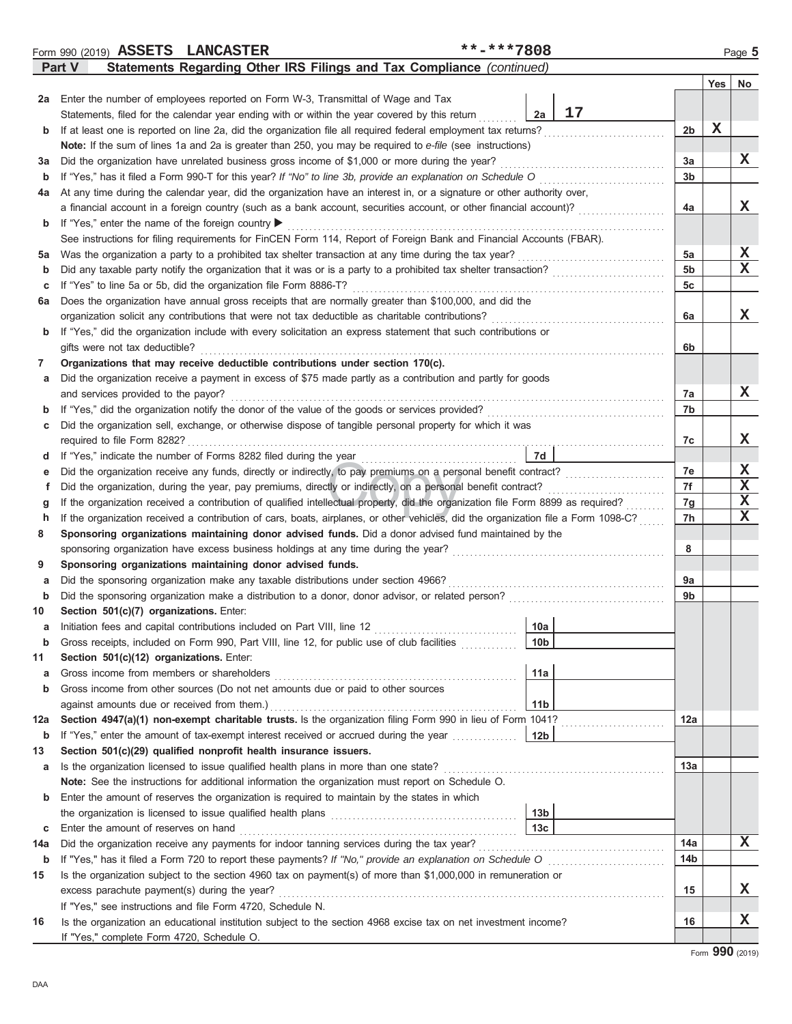|               |  | Form 990 (2019) ASSETS LANCASTER | **-***7808                                                            | Page 5 |
|---------------|--|----------------------------------|-----------------------------------------------------------------------|--------|
| <b>Part V</b> |  |                                  | Statements Regarding Other IRS Filings and Tax Compliance (continued) |        |

|        |                                                                                                                                                 |                 |    |                | Yes | No               |
|--------|-------------------------------------------------------------------------------------------------------------------------------------------------|-----------------|----|----------------|-----|------------------|
| 2a     | Enter the number of employees reported on Form W-3, Transmittal of Wage and Tax                                                                 |                 |    |                |     |                  |
|        | Statements, filed for the calendar year ending with or within the year covered by this return                                                   | 2a              | 17 |                |     |                  |
| b      | If at least one is reported on line 2a, did the organization file all required federal employment tax returns?                                  |                 |    | 2 <sub>b</sub> | X   |                  |
|        | Note: If the sum of lines 1a and 2a is greater than 250, you may be required to e-file (see instructions)                                       |                 |    |                |     |                  |
| за     | Did the organization have unrelated business gross income of \$1,000 or more during the year?                                                   |                 |    | За             |     | X                |
| b      | If "Yes," has it filed a Form 990-T for this year? If "No" to line 3b, provide an explanation on Schedule O                                     |                 | .  | 3b             |     |                  |
| 4a     | At any time during the calendar year, did the organization have an interest in, or a signature or other authority over,                         |                 |    |                |     |                  |
|        | a financial account in a foreign country (such as a bank account, securities account, or other financial account)?                              |                 |    | 4a             |     | X                |
| b      | If "Yes," enter the name of the foreign country ▶                                                                                               |                 |    |                |     |                  |
|        | See instructions for filing requirements for FinCEN Form 114, Report of Foreign Bank and Financial Accounts (FBAR).                             |                 |    |                |     |                  |
| 5a     | Was the organization a party to a prohibited tax shelter transaction at any time during the tax year?                                           |                 |    | 5a             |     | X                |
| b      |                                                                                                                                                 |                 |    | 5 <sub>b</sub> |     | x                |
| c      | If "Yes" to line 5a or 5b, did the organization file Form 8886-T?                                                                               |                 |    | 5c             |     |                  |
| 6а     | Does the organization have annual gross receipts that are normally greater than \$100,000, and did the                                          |                 |    |                |     |                  |
|        | organization solicit any contributions that were not tax deductible as charitable contributions?                                                |                 |    | 6a             |     | x                |
| b      | If "Yes," did the organization include with every solicitation an express statement that such contributions or                                  |                 |    |                |     |                  |
|        | gifts were not tax deductible?                                                                                                                  |                 |    | 6b             |     |                  |
| 7      | Organizations that may receive deductible contributions under section 170(c).                                                                   |                 |    |                |     |                  |
| а      | Did the organization receive a payment in excess of \$75 made partly as a contribution and partly for goods                                     |                 |    |                |     |                  |
|        | and services provided to the payor?                                                                                                             |                 |    | 7а             |     | X                |
| b      | If "Yes," did the organization notify the donor of the value of the goods or services provided?                                                 |                 |    | 7b             |     |                  |
| с      | Did the organization sell, exchange, or otherwise dispose of tangible personal property for which it was                                        |                 |    |                |     |                  |
|        | required to file Form 8282?                                                                                                                     |                 |    | 7c             |     | X                |
| d      | If "Yes," indicate the number of Forms 8282 filed during the year                                                                               | 7d              |    |                |     |                  |
| е      | Did the organization receive any funds, directly or indirectly, to pay premiums on a personal benefit contract?                                 |                 |    | 7e             |     | X                |
| f      | Did the organization, during the year, pay premiums, directly or indirectly, on a personal benefit contract?                                    |                 |    | 7f             |     | $\mathbf x$      |
| g      | If the organization received a contribution of qualified intellectual property, did the organization file Form 8899 as required?                |                 |    | 7g             |     | $\mathbf x$<br>X |
| h      | If the organization received a contribution of cars, boats, airplanes, or other vehicles, did the organization file a Form 1098-C?              |                 |    | 7h             |     |                  |
| 8      | Sponsoring organizations maintaining donor advised funds. Did a donor advised fund maintained by the                                            |                 |    |                |     |                  |
|        | sponsoring organization have excess business holdings at any time during the year?                                                              |                 |    | 8              |     |                  |
| 9      | Sponsoring organizations maintaining donor advised funds.<br>Did the sponsoring organization make any taxable distributions under section 4966? |                 |    | 9a             |     |                  |
| а<br>b |                                                                                                                                                 |                 |    | 9b             |     |                  |
| 10     | Section 501(c)(7) organizations. Enter:                                                                                                         |                 |    |                |     |                  |
| а      | Initiation fees and capital contributions included on Part VIII, line 12                                                                        | 10a             |    |                |     |                  |
| b      | Gross receipts, included on Form 990, Part VIII, line 12, for public use of club facilities                                                     | 10 <sub>b</sub> |    |                |     |                  |
| 11     | Section 501(c)(12) organizations. Enter:                                                                                                        |                 |    |                |     |                  |
| a      | Gross income from members or shareholders                                                                                                       | 11a             |    |                |     |                  |
| b      | Gross income from other sources (Do not net amounts due or paid to other sources                                                                |                 |    |                |     |                  |
|        | against amounts due or received from them.)                                                                                                     | 11 <sub>b</sub> |    |                |     |                  |
| 12a    | Section 4947(a)(1) non-exempt charitable trusts. Is the organization filing Form 990 in lieu of Form 1041?                                      |                 |    | 12a            |     |                  |
| b      | If "Yes," enter the amount of tax-exempt interest received or accrued during the year                                                           | 12 <sub>b</sub> |    |                |     |                  |
| 13     | Section 501(c)(29) qualified nonprofit health insurance issuers.                                                                                |                 |    |                |     |                  |
| а      | Is the organization licensed to issue qualified health plans in more than one state?                                                            |                 |    | 13а            |     |                  |
|        | Note: See the instructions for additional information the organization must report on Schedule O.                                               |                 |    |                |     |                  |
| b      | Enter the amount of reserves the organization is required to maintain by the states in which                                                    |                 |    |                |     |                  |
|        |                                                                                                                                                 | 13 <sub>b</sub> |    |                |     |                  |
| С      | Enter the amount of reserves on hand                                                                                                            | 13 <sub>c</sub> |    |                |     |                  |
| 14a    | Did the organization receive any payments for indoor tanning services during the tax year?                                                      |                 |    | 14a            |     | X                |
| b      |                                                                                                                                                 |                 |    | 14b            |     |                  |
| 15     | Is the organization subject to the section 4960 tax on payment(s) of more than \$1,000,000 in remuneration or                                   |                 |    |                |     |                  |
|        | excess parachute payment(s) during the year?                                                                                                    |                 |    | 15             |     | X.               |
|        | If "Yes," see instructions and file Form 4720, Schedule N.                                                                                      |                 |    |                |     |                  |
| 16     | Is the organization an educational institution subject to the section 4968 excise tax on net investment income?                                 |                 |    | 16             |     | X                |
|        | If "Yes," complete Form 4720, Schedule O.                                                                                                       |                 |    |                |     |                  |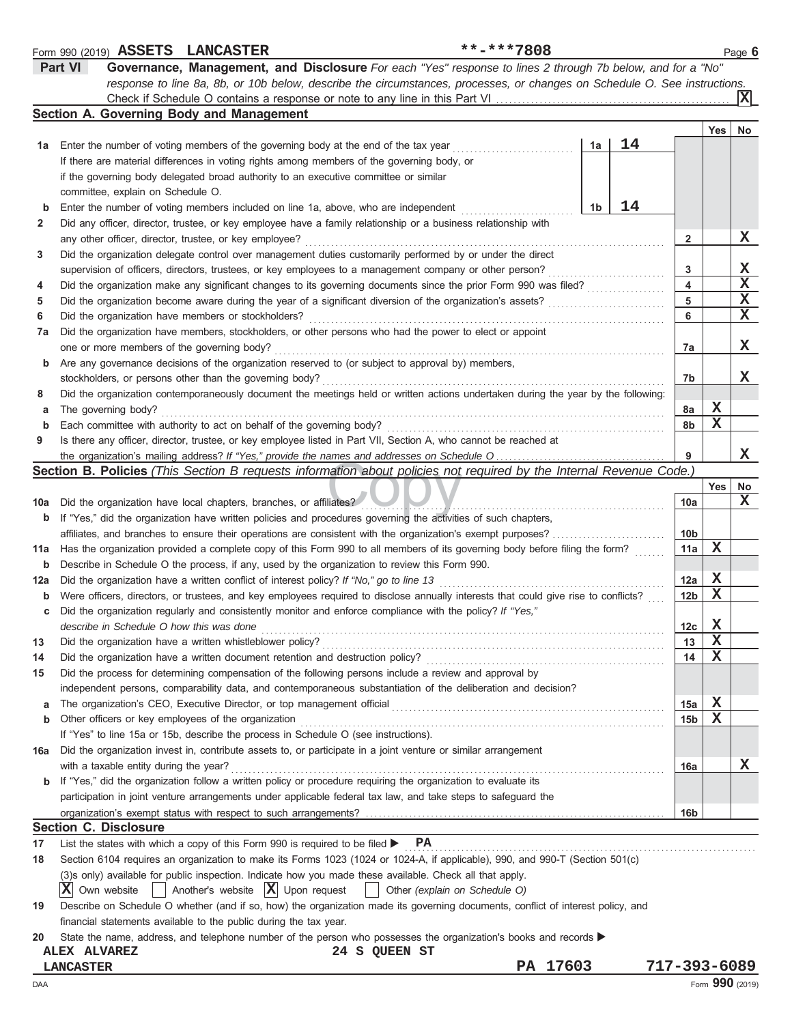|     | **-***7808<br>Form 990 (2019) ASSETS LANCASTER                                                                                                                                                                                 |                 |             | Page 6 |
|-----|--------------------------------------------------------------------------------------------------------------------------------------------------------------------------------------------------------------------------------|-----------------|-------------|--------|
|     | <b>Part VI</b><br>Governance, Management, and Disclosure For each "Yes" response to lines 2 through 7b below, and for a "No"                                                                                                   |                 |             |        |
|     | response to line 8a, 8b, or 10b below, describe the circumstances, processes, or changes on Schedule O. See instructions.                                                                                                      |                 |             |        |
|     |                                                                                                                                                                                                                                |                 |             | х      |
|     | Section A. Governing Body and Management                                                                                                                                                                                       |                 |             |        |
|     |                                                                                                                                                                                                                                |                 | Yes         | No     |
| 1а  | 14<br>1a<br>Enter the number of voting members of the governing body at the end of the tax year                                                                                                                                |                 |             |        |
|     | If there are material differences in voting rights among members of the governing body, or                                                                                                                                     |                 |             |        |
|     |                                                                                                                                                                                                                                |                 |             |        |
|     | if the governing body delegated broad authority to an executive committee or similar                                                                                                                                           |                 |             |        |
|     | committee, explain on Schedule O.                                                                                                                                                                                              |                 |             |        |
| b   | 14<br>1b<br>Enter the number of voting members included on line 1a, above, who are independent                                                                                                                                 |                 |             |        |
| 2   | Did any officer, director, trustee, or key employee have a family relationship or a business relationship with                                                                                                                 |                 |             |        |
|     | any other officer, director, trustee, or key employee?                                                                                                                                                                         | $\mathbf{2}$    |             | X      |
| 3   | Did the organization delegate control over management duties customarily performed by or under the direct                                                                                                                      |                 |             |        |
|     | supervision of officers, directors, trustees, or key employees to a management company or other person?                                                                                                                        | 3               |             | X      |
| 4   | Did the organization make any significant changes to its governing documents since the prior Form 990 was filed?                                                                                                               | 4               |             | X      |
| 5   | Did the organization become aware during the year of a significant diversion of the organization's assets?                                                                                                                     | 5               |             | х      |
| 6   | Did the organization have members or stockholders?                                                                                                                                                                             | 6               |             | х      |
| 7a  | Did the organization have members, stockholders, or other persons who had the power to elect or appoint                                                                                                                        |                 |             |        |
|     | one or more members of the governing body?                                                                                                                                                                                     | 7a              |             | X      |
|     | Are any governance decisions of the organization reserved to (or subject to approval by) members,                                                                                                                              |                 |             |        |
| b   |                                                                                                                                                                                                                                |                 |             | х      |
|     | stockholders, or persons other than the governing body?                                                                                                                                                                        | 7b              |             |        |
| 8   | Did the organization contemporaneously document the meetings held or written actions undertaken during the year by the following:                                                                                              |                 |             |        |
| а   | The governing body?                                                                                                                                                                                                            | 8a              | X           |        |
| b   | Each committee with authority to act on behalf of the governing body?                                                                                                                                                          | 8b              | $\mathbf X$ |        |
| 9   | Is there any officer, director, trustee, or key employee listed in Part VII, Section A, who cannot be reached at                                                                                                               |                 |             |        |
|     |                                                                                                                                                                                                                                | 9               |             | х      |
|     | <b>Section B. Policies</b> (This Section B requests information about policies not required by the Internal Revenue Code.)                                                                                                     |                 |             |        |
|     |                                                                                                                                                                                                                                |                 | Yes         | No     |
| 10a | Did the organization have local chapters, branches, or affiliates?                                                                                                                                                             | 10a             |             | х      |
| b   | If "Yes," did the organization have written policies and procedures governing the activities of such chapters,                                                                                                                 |                 |             |        |
|     | affiliates, and branches to ensure their operations are consistent with the organization's exempt purposes?                                                                                                                    | 10 <sub>b</sub> |             |        |
| 11a | Has the organization provided a complete copy of this Form 990 to all members of its governing body before filing the form?                                                                                                    | 11a             | х           |        |
| b   | Describe in Schedule O the process, if any, used by the organization to review this Form 990.                                                                                                                                  |                 |             |        |
|     | Did the organization have a written conflict of interest policy? If "No," go to line 13                                                                                                                                        | 12a             | X           |        |
| 12a |                                                                                                                                                                                                                                |                 | $\mathbf X$ |        |
| b   | Were officers, directors, or trustees, and key employees required to disclose annually interests that could give rise to conflicts?                                                                                            | 12 <sub>b</sub> |             |        |
|     | Did the organization regularly and consistently monitor and enforce compliance with the policy? If "Yes,"                                                                                                                      |                 |             |        |
|     | describe in Schedule O how this was done                                                                                                                                                                                       | 12c             | X           |        |
| 13  | Did the organization have a written whistleblower policy?                                                                                                                                                                      | 13              | $\mathbf X$ |        |
| 14  | Did the organization have a written document retention and destruction policy?                                                                                                                                                 | 14              | х           |        |
| 15  | Did the process for determining compensation of the following persons include a review and approval by                                                                                                                         |                 |             |        |
|     | independent persons, comparability data, and contemporaneous substantiation of the deliberation and decision?                                                                                                                  |                 |             |        |
| a   | The organization's CEO, Executive Director, or top management official [11] content to the organization's CEO, Executive Director, or top management official [11] content to the organization's CEO, Executive Director, or t | 15a             | $\mathbf x$ |        |
| b   | Other officers or key employees of the organization                                                                                                                                                                            | 15 <sub>b</sub> | X           |        |
|     | If "Yes" to line 15a or 15b, describe the process in Schedule O (see instructions).                                                                                                                                            |                 |             |        |
| 16a | Did the organization invest in, contribute assets to, or participate in a joint venture or similar arrangement                                                                                                                 |                 |             |        |
|     | with a taxable entity during the year?                                                                                                                                                                                         | 16a             |             | х      |
|     | <b>b</b> If "Yes," did the organization follow a written policy or procedure requiring the organization to evaluate its                                                                                                        |                 |             |        |
|     | participation in joint venture arrangements under applicable federal tax law, and take steps to safeguard the                                                                                                                  |                 |             |        |
|     |                                                                                                                                                                                                                                | 16 <sub>b</sub> |             |        |
|     | <b>Section C. Disclosure</b>                                                                                                                                                                                                   |                 |             |        |
|     |                                                                                                                                                                                                                                |                 |             |        |
| 17  | List the states with which a copy of this Form 990 is required to be filed ><br><b>PA</b>                                                                                                                                      |                 |             |        |
| 18  | Section 6104 requires an organization to make its Forms 1023 (1024 or 1024-A, if applicable), 990, and 990-T (Section 501(c)                                                                                                   |                 |             |        |
|     | (3)s only) available for public inspection. Indicate how you made these available. Check all that apply.                                                                                                                       |                 |             |        |
|     | Another's website $ \mathbf{X} $ Upon request<br>$ \mathbf{X} $ Own website<br>Other (explain on Schedule O)                                                                                                                   |                 |             |        |
| 19  | Describe on Schedule O whether (and if so, how) the organization made its governing documents, conflict of interest policy, and                                                                                                |                 |             |        |
|     | financial statements available to the public during the tax year.                                                                                                                                                              |                 |             |        |
| 20  | State the name, address, and telephone number of the person who possesses the organization's books and records                                                                                                                 |                 |             |        |
|     | 24 S QUEEN ST<br><b>ALEX ALVAREZ</b>                                                                                                                                                                                           |                 |             |        |
|     | PA 17603<br><b>LANCASTER</b>                                                                                                                                                                                                   | 717-393-6089    |             |        |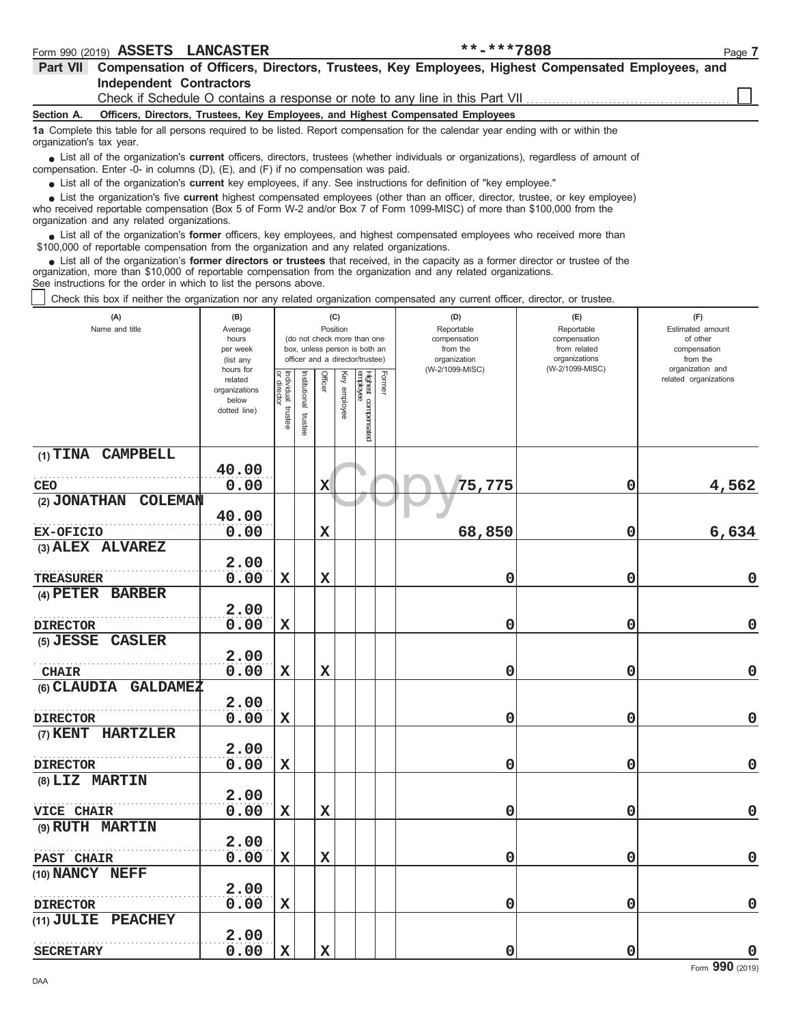| ASSETS<br>990 (2019)<br>Form<br>$\sim$ | - +<br>.<br>Paɑe | 7808** | <b>LANCASTER</b> |  |
|----------------------------------------|------------------|--------|------------------|--|
|----------------------------------------|------------------|--------|------------------|--|

| Part VII Compensation of Officers, Directors, Trustees, Key Employees, Highest Compensated Employees, and<br><b>Independent Contractors</b>                                                                                                                                                                                   |                                     |                                   |              |             |                 |                                                              |                                               |                                                   |                                                     |
|-------------------------------------------------------------------------------------------------------------------------------------------------------------------------------------------------------------------------------------------------------------------------------------------------------------------------------|-------------------------------------|-----------------------------------|--------------|-------------|-----------------|--------------------------------------------------------------|-----------------------------------------------|---------------------------------------------------|-----------------------------------------------------|
| Check if Schedule O contains a response or note to any line in this Part VII                                                                                                                                                                                                                                                  |                                     |                                   |              |             |                 |                                                              |                                               |                                                   |                                                     |
| Officers, Directors, Trustees, Key Employees, and Highest Compensated Employees<br>Section A.                                                                                                                                                                                                                                 |                                     |                                   |              |             |                 |                                                              |                                               |                                                   |                                                     |
| 1a Complete this table for all persons required to be listed. Report compensation for the calendar year ending with or within the<br>organization's tax year.                                                                                                                                                                 |                                     |                                   |              |             |                 |                                                              |                                               |                                                   |                                                     |
| • List all of the organization's <b>current</b> officers, directors, trustees (whether individuals or organizations), regardless of amount of<br>compensation. Enter -0- in columns (D), (E), and (F) if no compensation was paid.                                                                                            |                                     |                                   |              |             |                 |                                                              |                                               |                                                   |                                                     |
| • List all of the organization's current key employees, if any. See instructions for definition of "key employee."                                                                                                                                                                                                            |                                     |                                   |              |             |                 |                                                              |                                               |                                                   |                                                     |
| List the organization's five current highest compensated employees (other than an officer, director, trustee, or key employee)<br>who received reportable compensation (Box 5 of Form W-2 and/or Box 7 of Form 1099-MISC) of more than \$100,000 from the<br>organization and any related organizations.                      |                                     |                                   |              |             |                 |                                                              |                                               |                                                   |                                                     |
| List all of the organization's former officers, key employees, and highest compensated employees who received more than<br>\$100,000 of reportable compensation from the organization and any related organizations.                                                                                                          |                                     |                                   |              |             |                 |                                                              |                                               |                                                   |                                                     |
| • List all of the organization's former directors or trustees that received, in the capacity as a former director or trustee of the<br>organization, more than \$10,000 of reportable compensation from the organization and any related organizations.<br>See instructions for the order in which to list the persons above. |                                     |                                   |              |             |                 |                                                              |                                               |                                                   |                                                     |
| Check this box if neither the organization nor any related organization compensated any current officer, director, or trustee.                                                                                                                                                                                                |                                     |                                   |              |             |                 |                                                              |                                               |                                                   |                                                     |
| (A)<br>Name and title                                                                                                                                                                                                                                                                                                         | (B)<br>Average<br>hours<br>per week |                                   |              |             | (C)<br>Position | (do not check more than one<br>box, unless person is both an | (D)<br>Reportable<br>compensation<br>from the | (E)<br>Reportable<br>compensation<br>from related | (F)<br>Estimated amount<br>of other<br>compensation |
|                                                                                                                                                                                                                                                                                                                               | (list any<br>hours for              |                                   |              |             |                 | officer and a director/trustee)                              | organization<br>(W-2/1099-MISC)               | organizations<br>(W-2/1099-MISC)                  | from the<br>organization and                        |
|                                                                                                                                                                                                                                                                                                                               | related<br>organizations            |                                   | nstitutional | Officer     | Ķey             | Former                                                       |                                               |                                                   | related organizations                               |
|                                                                                                                                                                                                                                                                                                                               | below                               |                                   |              |             | employee        |                                                              |                                               |                                                   |                                                     |
|                                                                                                                                                                                                                                                                                                                               | dotted line)                        | Individual trustee<br>or director | trustee      |             |                 | Highest compensated<br>employee                              |                                               |                                                   |                                                     |
| (1) TINA CAMPBELL                                                                                                                                                                                                                                                                                                             |                                     |                                   |              |             |                 |                                                              |                                               |                                                   |                                                     |
|                                                                                                                                                                                                                                                                                                                               | 40.00                               |                                   |              |             |                 |                                                              |                                               |                                                   |                                                     |
| CEO                                                                                                                                                                                                                                                                                                                           | 0.00                                |                                   |              | X           |                 |                                                              | 75,775                                        | 0                                                 | 4,562                                               |
| (2) JONATHAN<br>COLEMAN                                                                                                                                                                                                                                                                                                       |                                     |                                   |              |             |                 |                                                              |                                               |                                                   |                                                     |
| EX-OFICIO                                                                                                                                                                                                                                                                                                                     | 40.00<br>0.00                       |                                   |              | $\mathbf X$ |                 |                                                              | 68,850                                        | 0                                                 | 6,634                                               |
| (3) ALEX ALVAREZ                                                                                                                                                                                                                                                                                                              |                                     |                                   |              |             |                 |                                                              |                                               |                                                   |                                                     |
|                                                                                                                                                                                                                                                                                                                               | 2.00                                |                                   |              |             |                 |                                                              |                                               |                                                   |                                                     |
| TREASURER                                                                                                                                                                                                                                                                                                                     | 0.00                                | $\mathbf x$                       |              | $\mathbf x$ |                 |                                                              | 0                                             | 0                                                 | $\mathbf 0$                                         |
| (4) PETER BARBER                                                                                                                                                                                                                                                                                                              | 2.00                                |                                   |              |             |                 |                                                              |                                               |                                                   |                                                     |
| <b>DIRECTOR</b>                                                                                                                                                                                                                                                                                                               | 0.00                                | $\mathbf x$                       |              |             |                 |                                                              | 0                                             | 0                                                 | 0                                                   |
| (5) JESSE CASLER                                                                                                                                                                                                                                                                                                              |                                     |                                   |              |             |                 |                                                              |                                               |                                                   |                                                     |
|                                                                                                                                                                                                                                                                                                                               | 2.00                                |                                   |              |             |                 |                                                              |                                               |                                                   |                                                     |
| <b>CHAIR</b>                                                                                                                                                                                                                                                                                                                  | 0.00                                | $\mathbf x$                       |              | $\mathbf X$ |                 |                                                              | 0                                             | 0                                                 | $\mathbf 0$                                         |
| (6) CLAUDIA GALDAMEZ                                                                                                                                                                                                                                                                                                          |                                     |                                   |              |             |                 |                                                              |                                               |                                                   |                                                     |
| <b>DIRECTOR</b>                                                                                                                                                                                                                                                                                                               | 2.00<br>0.00                        | $\mathbf X$                       |              |             |                 |                                                              | 0                                             | 0                                                 | $\mathbf 0$                                         |
| (7) KENT HARTZLER                                                                                                                                                                                                                                                                                                             |                                     |                                   |              |             |                 |                                                              |                                               |                                                   |                                                     |
|                                                                                                                                                                                                                                                                                                                               | 2.00                                |                                   |              |             |                 |                                                              |                                               |                                                   |                                                     |
| <b>DIRECTOR</b>                                                                                                                                                                                                                                                                                                               | 0.00                                | $\mathbf x$                       |              |             |                 |                                                              | 0                                             | 0                                                 | $\mathbf 0$                                         |
| (8) LIZ MARTIN                                                                                                                                                                                                                                                                                                                |                                     |                                   |              |             |                 |                                                              |                                               |                                                   |                                                     |
|                                                                                                                                                                                                                                                                                                                               | 2.00                                |                                   |              |             |                 |                                                              |                                               |                                                   |                                                     |
| VICE CHAIR                                                                                                                                                                                                                                                                                                                    | 0.00                                | X                                 |              | $\mathbf X$ |                 |                                                              | 0                                             | 0                                                 | $\mathbf 0$                                         |
| (9) RUTH MARTIN                                                                                                                                                                                                                                                                                                               |                                     |                                   |              |             |                 |                                                              |                                               |                                                   |                                                     |
|                                                                                                                                                                                                                                                                                                                               | 2.00                                |                                   |              |             |                 |                                                              |                                               |                                                   |                                                     |
| PAST CHAIR<br>(10) NANCY NEFF                                                                                                                                                                                                                                                                                                 | 0.00                                | X                                 |              | $\mathbf X$ |                 |                                                              | 0                                             | 0                                                 | $\mathbf 0$                                         |
|                                                                                                                                                                                                                                                                                                                               | 2.00                                |                                   |              |             |                 |                                                              |                                               |                                                   |                                                     |
| <b>DIRECTOR</b>                                                                                                                                                                                                                                                                                                               | 0.00                                | $\mathbf X$                       |              |             |                 |                                                              | 0                                             | 0                                                 | $\mathbf 0$                                         |
| (11) JULIE PEACHEY                                                                                                                                                                                                                                                                                                            |                                     |                                   |              |             |                 |                                                              |                                               |                                                   |                                                     |
|                                                                                                                                                                                                                                                                                                                               | 2.00                                |                                   |              |             |                 |                                                              |                                               |                                                   |                                                     |

**SECRETARY**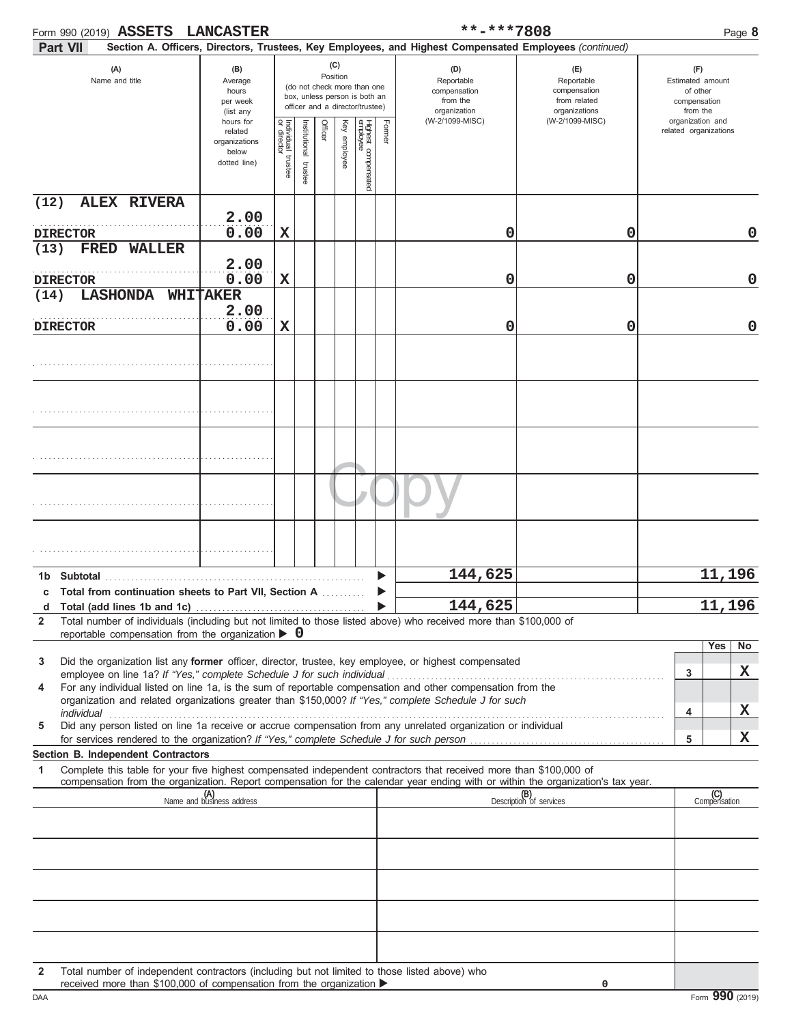| Form 990 (2019) ASSETS LANCASTER<br>Part VII                                                                                                                                                                              |                                                               |                                      |                       |          |                                                                                                        |                                 |        | **-***7808<br>Section A. Officers, Directors, Trustees, Key Employees, and Highest Compensated Employees (continued) |                                                                                       |                                                                 | Page 8              |
|---------------------------------------------------------------------------------------------------------------------------------------------------------------------------------------------------------------------------|---------------------------------------------------------------|--------------------------------------|-----------------------|----------|--------------------------------------------------------------------------------------------------------|---------------------------------|--------|----------------------------------------------------------------------------------------------------------------------|---------------------------------------------------------------------------------------|-----------------------------------------------------------------|---------------------|
| (A)<br>Name and title                                                                                                                                                                                                     | (B)<br>Average<br>hours<br>per week<br>(list any<br>hours for |                                      |                       | Position | (C)<br>(do not check more than one<br>box, unless person is both an<br>officer and a director/trustee) |                                 |        | (D)<br>Reportable<br>compensation<br>from the<br>organization                                                        | (E)<br>Reportable<br>compensation<br>from related<br>organizations<br>(W-2/1099-MISC) | (F)<br>Estimated amount<br>of other<br>compensation<br>from the |                     |
|                                                                                                                                                                                                                           | related<br>organizations<br>below<br>dotted line)             | Individual<br>or director<br>trustee | Institutional trustee | Officer  | Key employee                                                                                           | Highest compensated<br>employee | Former | (W-2/1099-MISC)                                                                                                      |                                                                                       | organization and<br>related organizations                       |                     |
| (12)<br><b>ALEX RIVERA</b>                                                                                                                                                                                                |                                                               |                                      |                       |          |                                                                                                        |                                 |        |                                                                                                                      |                                                                                       |                                                                 |                     |
|                                                                                                                                                                                                                           | 2.00<br>0.00                                                  |                                      |                       |          |                                                                                                        |                                 |        |                                                                                                                      |                                                                                       |                                                                 |                     |
| <b>DIRECTOR</b><br>(13)<br><b>FRED</b><br><b>WALLER</b>                                                                                                                                                                   |                                                               | $\mathbf x$                          |                       |          |                                                                                                        |                                 |        | 0                                                                                                                    | 0                                                                                     |                                                                 | 0                   |
| <b>DIRECTOR</b>                                                                                                                                                                                                           | 2.00<br>0.00                                                  | $\mathbf x$                          |                       |          |                                                                                                        |                                 |        | 0                                                                                                                    | 0                                                                                     |                                                                 | 0                   |
| <b>LASHONDA</b><br>(14)                                                                                                                                                                                                   | WHITAKER                                                      |                                      |                       |          |                                                                                                        |                                 |        |                                                                                                                      |                                                                                       |                                                                 |                     |
| <b>DIRECTOR</b>                                                                                                                                                                                                           | 2.00<br>0.00                                                  | $\mathbf x$                          |                       |          |                                                                                                        |                                 |        | 0                                                                                                                    | 0                                                                                     |                                                                 | 0                   |
|                                                                                                                                                                                                                           |                                                               |                                      |                       |          |                                                                                                        |                                 |        |                                                                                                                      |                                                                                       |                                                                 |                     |
|                                                                                                                                                                                                                           |                                                               |                                      |                       |          |                                                                                                        |                                 |        |                                                                                                                      |                                                                                       |                                                                 |                     |
|                                                                                                                                                                                                                           |                                                               |                                      |                       |          |                                                                                                        |                                 |        |                                                                                                                      |                                                                                       |                                                                 |                     |
|                                                                                                                                                                                                                           |                                                               |                                      |                       |          |                                                                                                        |                                 |        |                                                                                                                      |                                                                                       |                                                                 |                     |
|                                                                                                                                                                                                                           |                                                               |                                      |                       |          |                                                                                                        |                                 |        |                                                                                                                      |                                                                                       |                                                                 |                     |
|                                                                                                                                                                                                                           |                                                               |                                      |                       |          |                                                                                                        |                                 |        |                                                                                                                      |                                                                                       |                                                                 |                     |
|                                                                                                                                                                                                                           |                                                               |                                      |                       |          |                                                                                                        |                                 |        | 144,625                                                                                                              |                                                                                       |                                                                 | 11,196              |
| Total from continuation sheets to Part VII, Section A<br>C<br>d                                                                                                                                                           |                                                               |                                      |                       |          |                                                                                                        |                                 |        | 144,625                                                                                                              |                                                                                       |                                                                 | 11,196              |
| Total number of individuals (including but not limited to those listed above) who received more than \$100,000 of<br>$\mathbf{2}$<br>reportable compensation from the organization $\triangleright$ 0                     |                                                               |                                      |                       |          |                                                                                                        |                                 |        |                                                                                                                      |                                                                                       |                                                                 |                     |
|                                                                                                                                                                                                                           |                                                               |                                      |                       |          |                                                                                                        |                                 |        |                                                                                                                      |                                                                                       |                                                                 | Yes<br>No           |
| Did the organization list any former officer, director, trustee, key employee, or highest compensated<br>3                                                                                                                |                                                               |                                      |                       |          |                                                                                                        |                                 |        |                                                                                                                      |                                                                                       | 3                                                               | X                   |
| For any individual listed on line 1a, is the sum of reportable compensation and other compensation from the<br>4<br>organization and related organizations greater than \$150,000? If "Yes," complete Schedule J for such |                                                               |                                      |                       |          |                                                                                                        |                                 |        |                                                                                                                      |                                                                                       |                                                                 |                     |
| Did any person listed on line 1a receive or accrue compensation from any unrelated organization or individual<br>5                                                                                                        |                                                               |                                      |                       |          |                                                                                                        |                                 |        |                                                                                                                      |                                                                                       | 4                                                               | X<br>x              |
| for services rendered to the organization? If "Yes," complete Schedule J for such person<br>Section B. Independent Contractors                                                                                            |                                                               |                                      |                       |          |                                                                                                        |                                 |        |                                                                                                                      |                                                                                       | 5                                                               |                     |
| Complete this table for your five highest compensated independent contractors that received more than \$100,000 of<br>1                                                                                                   |                                                               |                                      |                       |          |                                                                                                        |                                 |        |                                                                                                                      |                                                                                       |                                                                 |                     |
| compensation from the organization. Report compensation for the calendar year ending with or within the organization's tax year.                                                                                          |                                                               |                                      |                       |          |                                                                                                        |                                 |        |                                                                                                                      |                                                                                       |                                                                 | (C)<br>Compensation |
|                                                                                                                                                                                                                           | (A)<br>Name and business address                              |                                      |                       |          |                                                                                                        |                                 |        |                                                                                                                      | (B)<br>Description of services                                                        |                                                                 |                     |

|    | reportable compensation from the organization $\blacktriangleright$ 0                                         |            |           |
|----|---------------------------------------------------------------------------------------------------------------|------------|-----------|
|    |                                                                                                               | <b>Yes</b> | <b>NO</b> |
| 3  | Did the organization list any <b>former</b> officer, director, trustee, key employee, or highest compensated  |            |           |
|    | employee on line 1a? If "Yes," complete Schedule J for such individual                                        |            |           |
| 4  | For any individual listed on line 1a, is the sum of reportable compensation and other compensation from the   |            |           |
|    | organization and related organizations greater than \$150,000? If "Yes," complete Schedule J for such         |            |           |
|    | individual                                                                                                    |            |           |
| 5. | Did any person listed on line 1a receive or accrue compensation from any unrelated organization or individual |            |           |
|    | for services rendered to the organization? If "Yes," complete Schedule J for such person                      |            |           |

### **Section B. Independent Contractors**

| Complete this table for your five highest compensated independent contractors that received more than \$100,000 of               |
|----------------------------------------------------------------------------------------------------------------------------------|
| compensation from the organization. Report compensation for the calendar year ending with or within the organization's tax year. |

|                                                                                                                                                                                                        | (A)<br>Name and business address | (B)<br>Description of services | (C)<br>Compensation |  |
|--------------------------------------------------------------------------------------------------------------------------------------------------------------------------------------------------------|----------------------------------|--------------------------------|---------------------|--|
|                                                                                                                                                                                                        |                                  |                                |                     |  |
|                                                                                                                                                                                                        |                                  |                                |                     |  |
|                                                                                                                                                                                                        |                                  |                                |                     |  |
|                                                                                                                                                                                                        |                                  |                                |                     |  |
|                                                                                                                                                                                                        |                                  |                                |                     |  |
| Total number of independent contractors (including but not limited to those listed above) who received more than \$100,000 of compensation from the organization $\blacktriangleright$<br>$\mathbf{2}$ |                                  |                                |                     |  |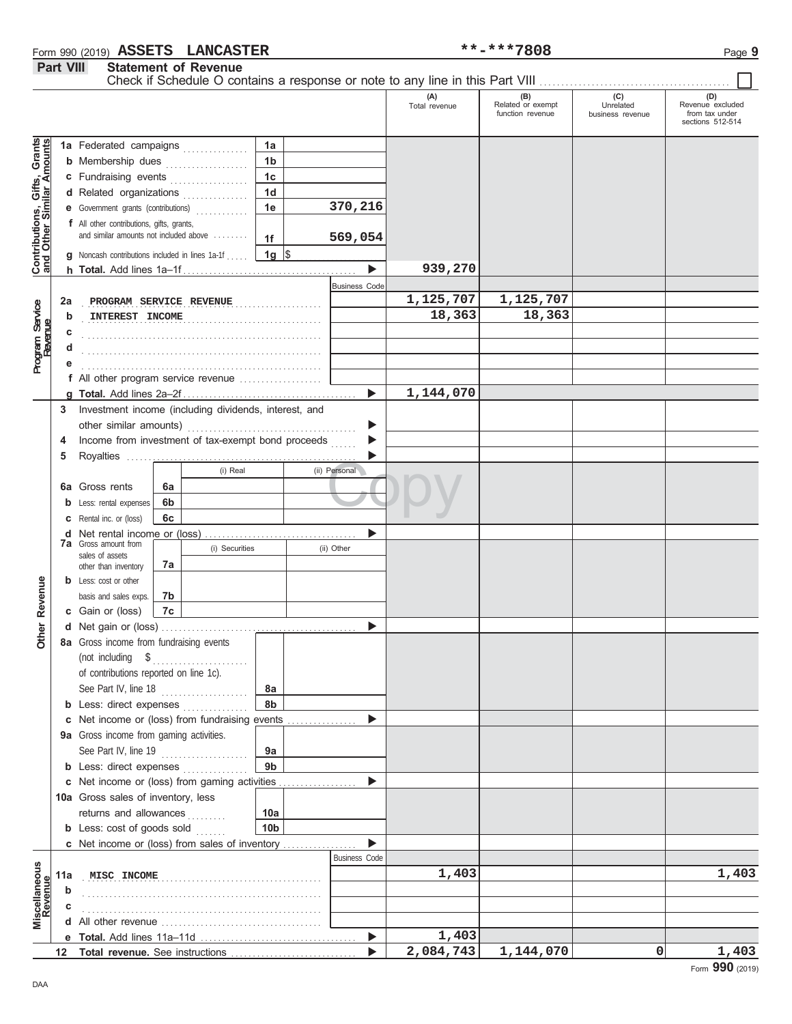### Form 990 (2019) Page **9 ASSETS LANCASTER \*\*-\*\*\*7808 Part VIII** Statement of Revenue

Statement of Revenus

٦

|                                                                  |     |                                                                                                                                                                                                                                     |    |                              |                 |                       | (A)<br>Total revenue | (B)<br>Related or exempt<br>function revenue | (C)<br>Unrelated<br>business revenue | (D)<br>Revenue excluded<br>from tax under |
|------------------------------------------------------------------|-----|-------------------------------------------------------------------------------------------------------------------------------------------------------------------------------------------------------------------------------------|----|------------------------------|-----------------|-----------------------|----------------------|----------------------------------------------|--------------------------------------|-------------------------------------------|
|                                                                  |     |                                                                                                                                                                                                                                     |    |                              |                 |                       |                      |                                              |                                      | sections 512-514                          |
|                                                                  |     | 1a Federated campaigns                                                                                                                                                                                                              |    |                              | 1a              |                       |                      |                                              |                                      |                                           |
| <b>Contributions, Gifts, Grants</b><br>and Other Similar Amounts |     | <b>b</b> Membership dues                                                                                                                                                                                                            |    | .                            | 1 <sub>b</sub>  |                       |                      |                                              |                                      |                                           |
|                                                                  |     | c Fundraising events                                                                                                                                                                                                                |    |                              | 1 <sub>c</sub>  |                       |                      |                                              |                                      |                                           |
|                                                                  |     | d Related organizations                                                                                                                                                                                                             |    | <u> 1999 - Jan Barbara I</u> | 1 <sub>d</sub>  |                       |                      |                                              |                                      |                                           |
|                                                                  |     | <b>e</b> Government grants (contributions)                                                                                                                                                                                          |    | <u>.</u>                     | 1e              | 370,216               |                      |                                              |                                      |                                           |
|                                                                  |     | f All other contributions, gifts, grants,                                                                                                                                                                                           |    |                              |                 |                       |                      |                                              |                                      |                                           |
|                                                                  |     | and similar amounts not included above                                                                                                                                                                                              |    |                              | 1f              | 569,054               |                      |                                              |                                      |                                           |
|                                                                  |     | <b>g</b> Noncash contributions included in lines 1a-1f                                                                                                                                                                              |    |                              | $1g \sqrt{3}$   |                       |                      |                                              |                                      |                                           |
|                                                                  |     |                                                                                                                                                                                                                                     |    |                              |                 | $\blacktriangleright$ | 939,270              |                                              |                                      |                                           |
|                                                                  |     |                                                                                                                                                                                                                                     |    |                              |                 | <b>Business Code</b>  |                      |                                              |                                      |                                           |
|                                                                  | 2a  | PROGRAM SERVICE REVENUE                                                                                                                                                                                                             |    |                              |                 |                       | 1,125,707            | 1,125,707                                    |                                      |                                           |
|                                                                  | b   | INTEREST INCOME                                                                                                                                                                                                                     |    |                              |                 |                       | 18,363               | 18,363                                       |                                      |                                           |
| Program Service<br>Revenue                                       | c   |                                                                                                                                                                                                                                     |    |                              |                 |                       |                      |                                              |                                      |                                           |
|                                                                  |     |                                                                                                                                                                                                                                     |    |                              |                 |                       |                      |                                              |                                      |                                           |
|                                                                  |     |                                                                                                                                                                                                                                     |    |                              |                 |                       |                      |                                              |                                      |                                           |
|                                                                  |     | f All other program service revenue                                                                                                                                                                                                 |    |                              |                 |                       |                      |                                              |                                      |                                           |
|                                                                  |     |                                                                                                                                                                                                                                     |    |                              |                 | ь                     | 1,144,070            |                                              |                                      |                                           |
|                                                                  | 3   | Investment income (including dividends, interest, and                                                                                                                                                                               |    |                              |                 |                       |                      |                                              |                                      |                                           |
|                                                                  |     |                                                                                                                                                                                                                                     |    |                              |                 |                       |                      |                                              |                                      |                                           |
|                                                                  | 4   | Income from investment of tax-exempt bond proceeds                                                                                                                                                                                  |    |                              |                 |                       |                      |                                              |                                      |                                           |
|                                                                  | 5   |                                                                                                                                                                                                                                     |    |                              |                 |                       |                      |                                              |                                      |                                           |
|                                                                  |     |                                                                                                                                                                                                                                     |    | (i) Real                     |                 | (ii) Personal         |                      |                                              |                                      |                                           |
|                                                                  |     | <b>6a</b> Gross rents                                                                                                                                                                                                               | 6a |                              |                 |                       |                      |                                              |                                      |                                           |
|                                                                  | b   | Less: rental expenses                                                                                                                                                                                                               | 6b |                              |                 |                       |                      |                                              |                                      |                                           |
|                                                                  | c   | Rental inc. or (loss)                                                                                                                                                                                                               | 6c |                              |                 |                       |                      |                                              |                                      |                                           |
|                                                                  | d   | <b>7a</b> Gross amount from                                                                                                                                                                                                         |    |                              |                 |                       |                      |                                              |                                      |                                           |
|                                                                  |     | sales of assets                                                                                                                                                                                                                     |    | (i) Securities               |                 | (ii) Other            |                      |                                              |                                      |                                           |
|                                                                  |     | other than inventory                                                                                                                                                                                                                | 7a |                              |                 |                       |                      |                                              |                                      |                                           |
|                                                                  |     | <b>b</b> Less: cost or other                                                                                                                                                                                                        |    |                              |                 |                       |                      |                                              |                                      |                                           |
| Revenue                                                          |     | basis and sales exps.                                                                                                                                                                                                               | 7b |                              |                 |                       |                      |                                              |                                      |                                           |
|                                                                  |     | c Gain or (loss)                                                                                                                                                                                                                    | 7c |                              |                 |                       |                      |                                              |                                      |                                           |
| <b>Other</b>                                                     |     |                                                                                                                                                                                                                                     |    |                              |                 |                       |                      |                                              |                                      |                                           |
|                                                                  |     | 8a Gross income from fundraising events                                                                                                                                                                                             |    |                              |                 |                       |                      |                                              |                                      |                                           |
|                                                                  |     | (not including \$<br>of contributions reported on line 1c).                                                                                                                                                                         |    |                              |                 |                       |                      |                                              |                                      |                                           |
|                                                                  |     | See Part IV, line 18                                                                                                                                                                                                                |    |                              | 8a              |                       |                      |                                              |                                      |                                           |
|                                                                  |     | <b>b</b> Less: direct expenses                                                                                                                                                                                                      |    |                              | 8b              |                       |                      |                                              |                                      |                                           |
|                                                                  |     | c Net income or (loss) from fundraising events                                                                                                                                                                                      |    |                              |                 |                       |                      |                                              |                                      |                                           |
|                                                                  |     | 9a Gross income from gaming activities.                                                                                                                                                                                             |    |                              |                 |                       |                      |                                              |                                      |                                           |
|                                                                  |     | See Part IV, line 19                                                                                                                                                                                                                |    |                              | 9a              |                       |                      |                                              |                                      |                                           |
|                                                                  |     | <b>b</b> Less: direct expenses                                                                                                                                                                                                      |    |                              | 9 <sub>b</sub>  |                       |                      |                                              |                                      |                                           |
|                                                                  |     | c Net income or (loss) from gaming activities                                                                                                                                                                                       |    |                              |                 |                       |                      |                                              |                                      |                                           |
|                                                                  |     | 10a Gross sales of inventory, less                                                                                                                                                                                                  |    |                              |                 |                       |                      |                                              |                                      |                                           |
|                                                                  |     | returns and allowances                                                                                                                                                                                                              |    |                              | 10a             |                       |                      |                                              |                                      |                                           |
|                                                                  |     | <b>b</b> Less: cost of goods sold                                                                                                                                                                                                   |    |                              | 10 <sub>b</sub> |                       |                      |                                              |                                      |                                           |
|                                                                  |     | c Net income or (loss) from sales of inventory                                                                                                                                                                                      |    |                              |                 |                       |                      |                                              |                                      |                                           |
|                                                                  |     |                                                                                                                                                                                                                                     |    |                              |                 | <b>Business Code</b>  |                      |                                              |                                      |                                           |
|                                                                  | 11a | MISC INCOME                                                                                                                                                                                                                         |    |                              |                 |                       | 1,403                |                                              |                                      | 1,403                                     |
|                                                                  | b   |                                                                                                                                                                                                                                     |    |                              |                 |                       |                      |                                              |                                      |                                           |
| Miscellaneous<br>Revenue                                         | с   |                                                                                                                                                                                                                                     |    |                              |                 |                       |                      |                                              |                                      |                                           |
|                                                                  | d   | All other revenue <i>continued</i> and the continuum of the set of the set of the set of the set of the set of the set of the set of the set of the set of the set of the set of the set of the set of the set of the set of the se |    |                              |                 |                       |                      |                                              |                                      |                                           |
|                                                                  |     |                                                                                                                                                                                                                                     |    |                              |                 | ▶                     | 1,403                |                                              |                                      |                                           |
|                                                                  | 12  |                                                                                                                                                                                                                                     |    |                              |                 |                       | 2,084,743            | 1,144,070                                    | 0                                    | 1,403                                     |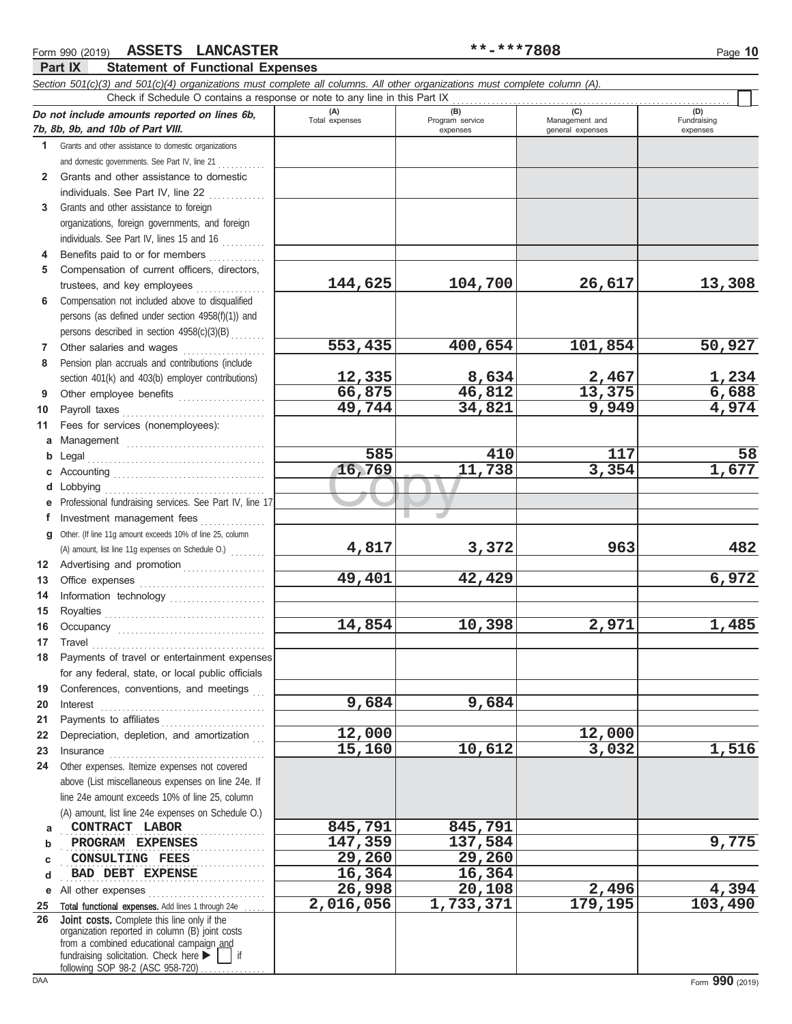fundraising solicitation. Check here  $\blacktriangleright$   $\blacktriangleright$  if

following SOP 98-2 (ASC 958-720)

**Part IX Statement of Functional Expenses**

#### $\frac{16,769}{\sqrt{100}}$ *Section 501(c)(3) and 501(c)(4) organizations must complete all columns. All other organizations must complete column (A).* **Do not include amounts reported on lines 6b, 7b, 8b, 9b, and 10b of Part VIII. 1 2** Grants and other assistance to domestic **3** Grants and other assistance to foreign **4 5 6 7** Other salaries and wages **. . . . . . . . . . . . .** . . . **8 9 10 11** Fees for services (nonemployees): **a** Management . . . . . . . . . . . . . . . . . . . . . . . . . . . . . . . . **b** Legal . . . . . . . . . . . . . . . . . . . . . . . . . . . . . . . . . . . . . . . . . **c** Accounting . . . . . . . . . . . . . . . . . . . . . . . . . . . . . . . . . . . **d** Lobbying . . . . . . . . . . . . . . . . . . . . . . . . . . . . . . . . . . . . . **e** Professional fundraising services. See Part IV, line 17 **f g** Other. (If line 11g amount exceeds 10% of line 25, column **12** Advertising and promotion . . . . . . . . . . . . . . . . . . **13 14 15 16 17 18 19 20 21 22** Depreciation, depletion, and amortization . . . **23 24** Other expenses. Itemize expenses not covered **a b c d e** All other expenses . . . . . . . . . . . . . . . . . . . . . . . . . . . **25 26** Grants and other assistance to domestic organizations and domestic governments. See Part IV, line 21 individuals. See Part IV, line 22 organizations, foreign governments, and foreign individuals. See Part IV, lines 15 and 16 Benefits paid to or for members . . . . . . . . . . . . . Compensation of current officers, directors, trustees, and key employees Compensation not included above to disqualified persons (as defined under section 4958(f)(1)) and persons described in section  $4958(c)(3)(B)$ Pension plan accruals and contributions (include section 401(k) and 403(b) employer contributions) Other employee benefits ..................... Payroll taxes . . . . . . . . . . . . . . . . . . . . . . . . . . . . . . . . . Investment management fees ................ Office expenses . . . . . . . . . . . . . . . . . . . . . . . . . . . . . Information technology . . . . . . . . . . . . . . . . . . . . . . Royalties . . . . . . . . . . . . . . . . . . . . . . . . . . . . . . . . . . . . . Occupancy . . . . . . . . . . . . . . . . . . . . . . . . . . . . . . . . . . Travel . . . . . . . . . . . . . . . . . . . . . . . . . . . . . . . . . . . . . . . . Payments of travel or entertainment expenses for any federal, state, or local public officials Conferences, conventions, and meetings Interest . . . . . . . . . . . . . . . . . . . . . . . . . . . . . . . . . . . . . . Payments to affiliates . . . . . . . . . . . . . . . . . . . . . . . . Insurance . . . . . . . . . . . . . . . . . . . . . . . . . . . . . . . . . . . . above (List miscellaneous expenses on line 24e. If line 24e amount exceeds 10% of line 25, column (A) amount, list line 24e expenses on Schedule O.) Total functional expenses. Add lines 1 through 24e organization reported in column (B) joint costs from a combined educational campaign and **(A) (B) (C) (D)** Total expenses Program service Management and expenses and general expenses (D)<br>Fundraising expenses **CONTRACT LABOR 845,791** 845,791 **PROGRAM EXPENSES** 2.147,359 137,584 **CONSULTING FEES** 29,260 29,260 **BAD DEBT EXPENSE** 16,364 16,364 Check if Schedule O contains a response or note to any line in this Part IX Joint costs. Complete this line only if the (A) amount, list line 11g expenses on Schedule O.) **144,625 104,700 26,617 13,308 553,435 400,654 101,854 50,927 12,335 8,634 2,467 1,234 66,875 46,812 13,375 6,688 49,744 34,821 9,949 4,974 585 410 117 58 16,769 11,738 3,354 1,677 4,817 3,372 963 482 49,401 42,429 6,972** 14,854 10,398 2,971 1,485 **9,684 9,684 12,000 12,000 15,160 10,612 3,032 1,516 26,998 20,108 2,496 4,394 2,016,056 1,733,371 179,195 103,490**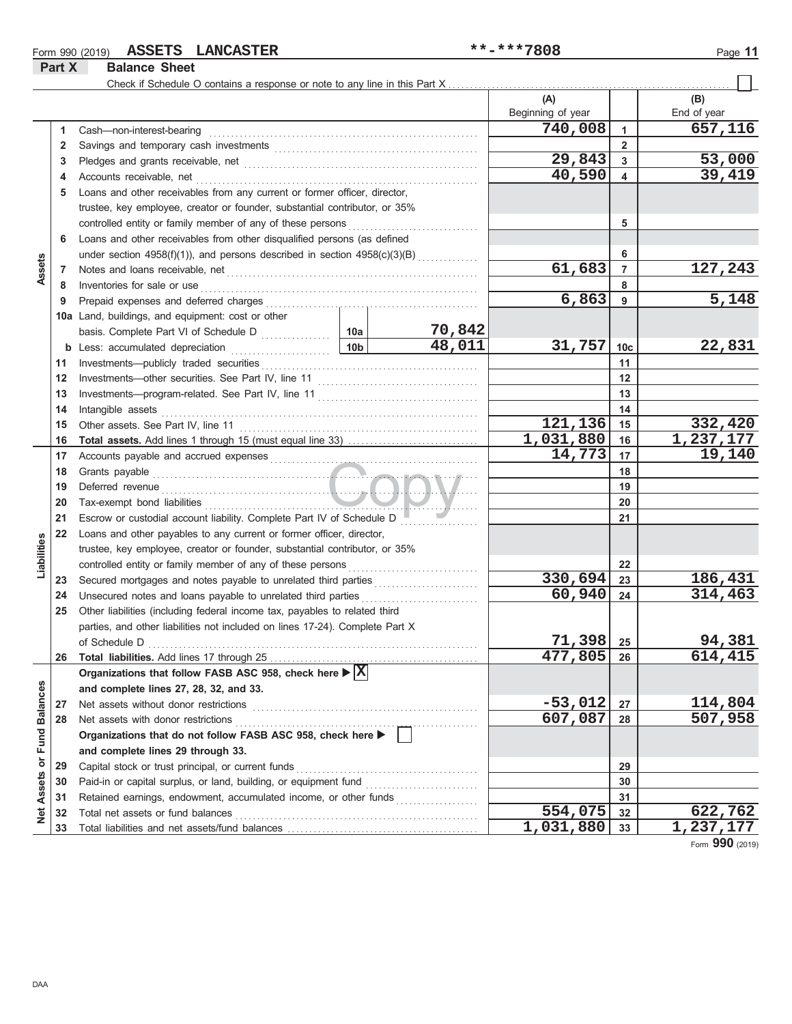# Form 990 (2019) Page **11 ASSETS LANCASTER \*\*-\*\*\*7808**

**Part X Balance Sheet**

#### Check if Schedule O contains a response or note to any line in this Part X **(A) (B)** Beginning of year | | End of year **740,008 657,116** Cash—non-interest-bearing . . . . . . . . . . . . . . . . . . . . . . . . . . . . . . . . . . . . . . . . . . . . . . . . . . . . . . . . . . . . . . **1 1 2 2** Savings and temporary cash investments . . . . . . . . . . . . . . . . . . . . . . . . . . . . . . . . . . . . . . . . . . . . . . . **29,843 53,000 3 3** Pledges and grants receivable, net . . . . . . . . . . . . . . . . . . . . . . . . . . . . . . . . . . . . . . . . . . . . . . . . . . . . . . **40,590 39,419 4 4** Accounts receivable, net . . . . . . . . . . . . . . . . . . . . . . . . . . . . . . . . . . . . . . . . . . . . . . . . . . . . . . . . . . . . . . . . . **5** Loans and other receivables from any current or former officer, director, trustee, key employee, creator or founder, substantial contributor, or 35% controlled entity or family member of any of these persons . . . . . . . . . . . . . . . . . . . . . . . . . . . . . . **5 6** Loans and other receivables from other disqualified persons (as defined under section 4958(f)(1)), and persons described in section  $4958(c)(3)(B)$ **6 Assets 61,683 127,243 7 7** Notes and loans receivable, net . . . . . . . . . . . . . . . . . . . . . . . . . . . . . . . . . . . . . . . . . . . . . . . . . . . . . . . . . . **8 8** Inventories for sale or use . . . . . . . . . . . . . . . . . . . . . . . . . . . . . . . . . . . . . . . . . . . . . . . . . . . . . . . . . . . . . . . . Prepaid expenses and deferred charges . . . . . . . . . . . . . . . . . . . . . . . . . . . . . . . . . . . . . . . . . . . . . . . . . **6,863 5,148 9 9 10a** Land, buildings, and equipment: cost or other **10a 70,842** basis. Complete Part VI of Schedule D **48,011 31,757 22,831 10c b** Less: accumulated depreciation . . . . . . . . . . . . . . . . . . 10b Investments—publicly traded securities . . . . . . . . . . . . . . . . . . . . . . . . . . . . . . . . . . . . . . . . . . . . . . . . . . **11 11 12 12** Investments—other securities. See Part IV, line 11 . . . . . . . . . . . . . . . . . . . . . . . . . . . . . . . . . . . . . **13 13** Investments—program-related. See Part IV, line 11 . . . . . . . . . . . . . . . . . . . . . . . . . . . . . . . . . . . . . **14** Intangible assets Intangible assets . . . . . . . . . . . . . . . . . . . . . . . . . . . . . . . . . . . . . . . . . . . . . . . . . . . . . . . . . . . . . . . . . . . . . . . . . **14 121,136 332,420 15 15** Other assets. See Part IV, line 11 . . . . . . . . . . . . . . . . . . . . . . . . . . . . . . . . . . . . . . . . . . . . . . . . . . . . . . . **1,031,880 1,237,177 Total assets.** Add lines 1 through 15 (must equal line 33) . . . . . . . . . . . . . . . . . . . . . . . . . . . . . . **16 16** Accounts payable and accrued expenses . . . . . . . . . . . . . . . . . . . . . . . . . . . . . . . . . . . . . . . . . . . . . . . . **14,773 19,140 17 17** Copy Grants payable **18 18 19** Deferred revenue . . . . . . . . . . . . . . . . . . . . . . . . . . . . . . . . . . . . . . . . . . . . . . . . . . . . . . . . . . . . . . . . . . . . . . . . . **19 20 20** Tax-exempt bond liabilities . . . . . . . . . . . . . . . . . . . . . . . . . . . . . . . . . . . . . . . . . . . . . . . . . . . . . . . . . . . . . . . **21 21** Escrow or custodial account liability. Complete Part IV of Schedule D ................. **22** Loans and other payables to any current or former officer, director, Liabilities **Liabilities** trustee, key employee, creator or founder, substantial contributor, or 35% **22** controlled entity or family member of any of these persons Secured mortgages and notes payable to unrelated third parties . . . . . . . . . . . . . . . . . . . . . . . . **330,694 186,431 23 23 24** Unsecured notes and loans payable to unrelated third parties **60,940 314,463 24 25** Other liabilities (including federal income tax, payables to related third parties, and other liabilities not included on lines 17-24). Complete Part X **71,398 94,381 25** of Schedule D . . . . . . . . . . . . . . . . . . . . . . . . . . . . . . . . . . . . . . . . . . . . . . . . . . . . . . . . . . . . . . . . . . . . . . . . . . . . **477,805 614,415 26** Total liabilities. Add lines 17 through 25 **26 Organizations that follow FASB ASC 958, check here X** Net Assets or Fund Balances **Net Assets or Fund Balances and complete lines 27, 28, 32, and 33.** Net assets without donor restrictions . . . . . . . . . . . . . . . . . . . . . . . . . . . . . . . . . . . . . . . . . . . . . . . . . . . . **27 -53,012 114,804 27 607,087 507,958 28 28** Net assets with donor restrictions . . . . . . . . . . . . . . . . . . . . . . . . . . . . . . . . . . . . . . . . . . . . . . . . . . . . . . . . **Organizations that do not follow FASB ASC 958, check here and complete lines 29 through 33.** Capital stock or trust principal, or current funds . . . . . . . . . . . . . . . . . . . . . . . . . . . . . . . . . . . . . . . . . . **29 29** Paid-in or capital surplus, or land, building, or equipment fund ........................... **30 30 31** Retained earnings, endowment, accumulated income, or other funds . . . . . . . . . . . . . . . . . . . **31** Total net assets or fund balances . . . . . . . . . . . . . . . . . . . . . . . . . . . . . . . . . . . . . . . . . . . . . . . . . . . . . . . . **554,075 622,762 32 32** 1,031,880 33 1,237,177 **33** Total liabilities and net assets/fund balances ....... **33**

Form **990** (2019)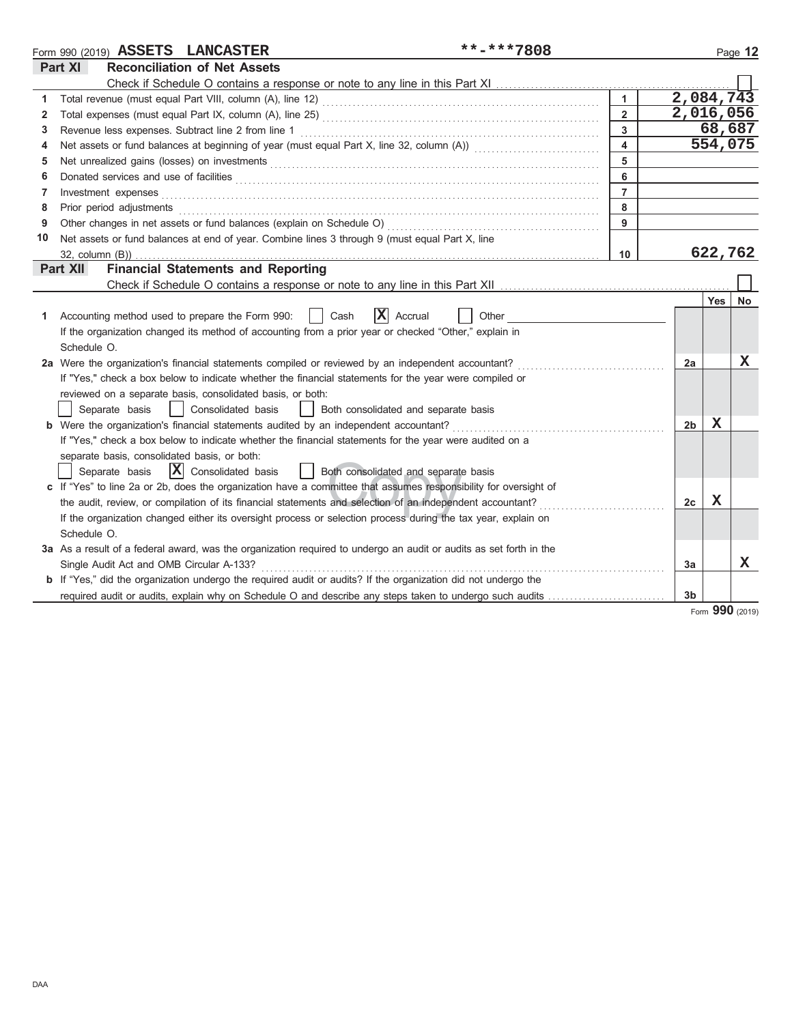|    | **-***7808<br>Form 990 (2019) ASSETS LANCASTER                                                                        |                         |           |         | Page 12     |
|----|-----------------------------------------------------------------------------------------------------------------------|-------------------------|-----------|---------|-------------|
|    | Part XI<br><b>Reconciliation of Net Assets</b>                                                                        |                         |           |         |             |
|    | Check if Schedule O contains a response or note to any line in this Part XI                                           |                         |           |         |             |
| 1  |                                                                                                                       | $\mathbf{1}$            | 2,084,743 |         |             |
| 2  |                                                                                                                       | $\overline{2}$          | 2,016,056 |         |             |
| 3  | Revenue less expenses. Subtract line 2 from line 1                                                                    | $\overline{3}$          |           | 68,687  |             |
| 4  |                                                                                                                       | $\overline{\mathbf{4}}$ |           | 554,075 |             |
| 5  |                                                                                                                       | 5                       |           |         |             |
| 6  |                                                                                                                       | 6                       |           |         |             |
| 7  | Investment expenses                                                                                                   | $\overline{7}$          |           |         |             |
| 8  | Prior period adjustments                                                                                              | 8                       |           |         |             |
| 9  | Other changes in net assets or fund balances (explain on Schedule O)                                                  | 9                       |           |         |             |
| 10 | Net assets or fund balances at end of year. Combine lines 3 through 9 (must equal Part X, line                        |                         |           |         |             |
|    | $32$ , column $(B)$ )                                                                                                 | 10                      |           | 622,762 |             |
|    | <b>Financial Statements and Reporting</b><br>Part XII                                                                 |                         |           |         |             |
|    |                                                                                                                       |                         |           |         |             |
|    |                                                                                                                       |                         |           | Yes     | No          |
| 1. | X<br>Accrual<br>Accounting method used to prepare the Form 990:<br>Cash<br>Other                                      |                         |           |         |             |
|    | If the organization changed its method of accounting from a prior year or checked "Other," explain in                 |                         |           |         |             |
|    | Schedule O.                                                                                                           |                         |           |         |             |
|    | 2a Were the organization's financial statements compiled or reviewed by an independent accountant?                    |                         | 2a        |         | $\mathbf X$ |
|    | If "Yes," check a box below to indicate whether the financial statements for the year were compiled or                |                         |           |         |             |
|    | reviewed on a separate basis, consolidated basis, or both:                                                            |                         |           |         |             |
|    | Separate basis<br>  Consolidated basis<br>  Both consolidated and separate basis                                      |                         |           |         |             |
|    | b Were the organization's financial statements audited by an independent accountant?                                  |                         | 2b        | x       |             |
|    | If "Yes," check a box below to indicate whether the financial statements for the year were audited on a               |                         |           |         |             |
|    | separate basis, consolidated basis, or both:                                                                          |                         |           |         |             |
|    | $ \mathbf{X} $ Consolidated basis<br>Separate basis<br>    Both consolidated and separate basis                       |                         |           |         |             |
|    | c If "Yes" to line 2a or 2b, does the organization have a committee that assumes responsibility for oversight of      |                         |           |         |             |
|    | the audit, review, or compilation of its financial statements and selection of an independent accountant?             |                         | 2c        | X       |             |
|    | If the organization changed either its oversight process or selection process during the tax year, explain on         |                         |           |         |             |
|    | Schedule O.                                                                                                           |                         |           |         |             |
|    | 3a As a result of a federal award, was the organization required to undergo an audit or audits as set forth in the    |                         |           |         |             |
|    | Single Audit Act and OMB Circular A-133?                                                                              |                         | Зa        |         | X.          |
|    | <b>b</b> If "Yes," did the organization undergo the required audit or audits? If the organization did not undergo the |                         |           |         |             |
|    |                                                                                                                       |                         | 3b        |         |             |

Form **990** (2019)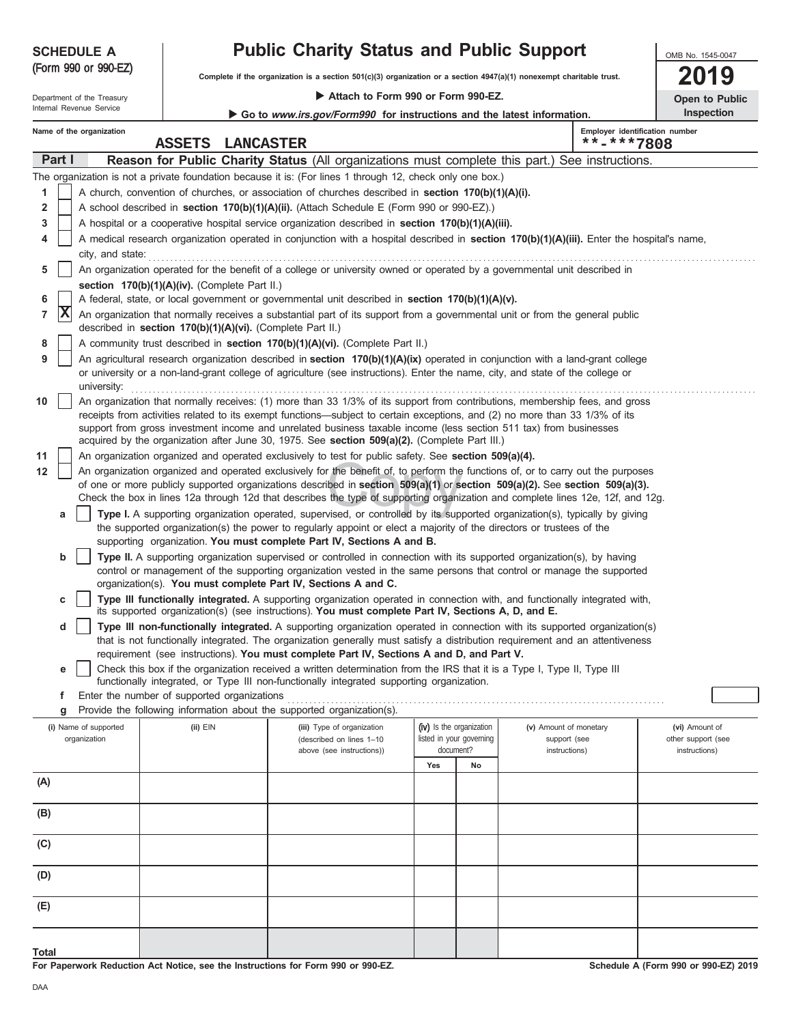| <b>SCHEDULE A</b>    |  |  |
|----------------------|--|--|
| (Form 990 or 990-EZ) |  |  |

# **Public Charity Status and Public Support**

**Complete if the organization is a section 501(c)(3) organization or a section 4947(a)(1) nonexempt charitable trust.**

 **Attach to Form 990 or Form 990-EZ.**

|                          |  | Department of the Treasury |  |
|--------------------------|--|----------------------------|--|
| Internal Revenue Service |  |                            |  |

|  | Go to <i>www.irs.gov/Form990</i> for instructions and the latest information. |  |
|--|-------------------------------------------------------------------------------|--|
|  |                                                                               |  |

| OMB No. 1545-0047 |  |
|-------------------|--|
| <b>01</b>         |  |

|                   |  | <b>Open to Public</b> |  |  |  |  |  |  |
|-------------------|--|-----------------------|--|--|--|--|--|--|
| <b>Inspection</b> |  |                       |  |  |  |  |  |  |

|       |                                                                                                                                                                                                                                                  | Name of the organization                                                                                                       | <b>ASSETS</b>                                              |                                                                                                                                                                                                                                                     |                                                                                                               |                          |                        |  | Employer identification number |  |  |  |
|-------|--------------------------------------------------------------------------------------------------------------------------------------------------------------------------------------------------------------------------------------------------|--------------------------------------------------------------------------------------------------------------------------------|------------------------------------------------------------|-----------------------------------------------------------------------------------------------------------------------------------------------------------------------------------------------------------------------------------------------------|---------------------------------------------------------------------------------------------------------------|--------------------------|------------------------|--|--------------------------------|--|--|--|
|       |                                                                                                                                                                                                                                                  |                                                                                                                                | <b>LANCASTER</b>                                           |                                                                                                                                                                                                                                                     | **-***7808<br>Reason for Public Charity Status (All organizations must complete this part.) See instructions. |                          |                        |  |                                |  |  |  |
|       | Part I                                                                                                                                                                                                                                           |                                                                                                                                |                                                            |                                                                                                                                                                                                                                                     |                                                                                                               |                          |                        |  |                                |  |  |  |
|       |                                                                                                                                                                                                                                                  |                                                                                                                                |                                                            | The organization is not a private foundation because it is: (For lines 1 through 12, check only one box.)                                                                                                                                           |                                                                                                               |                          |                        |  |                                |  |  |  |
| 1     |                                                                                                                                                                                                                                                  |                                                                                                                                |                                                            | A church, convention of churches, or association of churches described in section 170(b)(1)(A)(i).                                                                                                                                                  |                                                                                                               |                          |                        |  |                                |  |  |  |
| 2     |                                                                                                                                                                                                                                                  |                                                                                                                                |                                                            | A school described in section 170(b)(1)(A)(ii). (Attach Schedule E (Form 990 or 990-EZ).)                                                                                                                                                           |                                                                                                               |                          |                        |  |                                |  |  |  |
| 3     |                                                                                                                                                                                                                                                  |                                                                                                                                |                                                            | A hospital or a cooperative hospital service organization described in section 170(b)(1)(A)(iii).                                                                                                                                                   |                                                                                                               |                          |                        |  |                                |  |  |  |
| 4     |                                                                                                                                                                                                                                                  |                                                                                                                                |                                                            | A medical research organization operated in conjunction with a hospital described in section 170(b)(1)(A)(iii). Enter the hospital's name,                                                                                                          |                                                                                                               |                          |                        |  |                                |  |  |  |
| 5     |                                                                                                                                                                                                                                                  | city, and state:                                                                                                               |                                                            | An organization operated for the benefit of a college or university owned or operated by a governmental unit described in                                                                                                                           |                                                                                                               |                          |                        |  |                                |  |  |  |
|       |                                                                                                                                                                                                                                                  |                                                                                                                                | section 170(b)(1)(A)(iv). (Complete Part II.)              |                                                                                                                                                                                                                                                     |                                                                                                               |                          |                        |  |                                |  |  |  |
| 6     |                                                                                                                                                                                                                                                  |                                                                                                                                |                                                            | A federal, state, or local government or governmental unit described in section 170(b)(1)(A)(v).                                                                                                                                                    |                                                                                                               |                          |                        |  |                                |  |  |  |
| 7     | x                                                                                                                                                                                                                                                |                                                                                                                                |                                                            | An organization that normally receives a substantial part of its support from a governmental unit or from the general public                                                                                                                        |                                                                                                               |                          |                        |  |                                |  |  |  |
|       |                                                                                                                                                                                                                                                  |                                                                                                                                | described in section 170(b)(1)(A)(vi). (Complete Part II.) |                                                                                                                                                                                                                                                     |                                                                                                               |                          |                        |  |                                |  |  |  |
| 8     |                                                                                                                                                                                                                                                  | A community trust described in section 170(b)(1)(A)(vi). (Complete Part II.)                                                   |                                                            |                                                                                                                                                                                                                                                     |                                                                                                               |                          |                        |  |                                |  |  |  |
| 9     |                                                                                                                                                                                                                                                  | An agricultural research organization described in section 170(b)(1)(A)(ix) operated in conjunction with a land-grant college  |                                                            |                                                                                                                                                                                                                                                     |                                                                                                               |                          |                        |  |                                |  |  |  |
|       |                                                                                                                                                                                                                                                  | or university or a non-land-grant college of agriculture (see instructions). Enter the name, city, and state of the college or |                                                            |                                                                                                                                                                                                                                                     |                                                                                                               |                          |                        |  |                                |  |  |  |
|       |                                                                                                                                                                                                                                                  | university:                                                                                                                    |                                                            | An organization that normally receives: (1) more than 33 1/3% of its support from contributions, membership fees, and gross                                                                                                                         |                                                                                                               |                          |                        |  |                                |  |  |  |
| 10    |                                                                                                                                                                                                                                                  |                                                                                                                                |                                                            |                                                                                                                                                                                                                                                     |                                                                                                               |                          |                        |  |                                |  |  |  |
|       | receipts from activities related to its exempt functions—subject to certain exceptions, and (2) no more than 33 1/3% of its<br>support from gross investment income and unrelated business taxable income (less section 511 tax) from businesses |                                                                                                                                |                                                            |                                                                                                                                                                                                                                                     |                                                                                                               |                          |                        |  |                                |  |  |  |
|       |                                                                                                                                                                                                                                                  |                                                                                                                                |                                                            | acquired by the organization after June 30, 1975. See section 509(a)(2). (Complete Part III.)                                                                                                                                                       |                                                                                                               |                          |                        |  |                                |  |  |  |
| 11    |                                                                                                                                                                                                                                                  |                                                                                                                                |                                                            | An organization organized and operated exclusively to test for public safety. See section 509(a)(4).                                                                                                                                                |                                                                                                               |                          |                        |  |                                |  |  |  |
| 12    |                                                                                                                                                                                                                                                  |                                                                                                                                |                                                            | An organization organized and operated exclusively for the benefit of, to perform the functions of, or to carry out the purposes                                                                                                                    |                                                                                                               |                          |                        |  |                                |  |  |  |
|       |                                                                                                                                                                                                                                                  |                                                                                                                                |                                                            | of one or more publicly supported organizations described in section 509(a)(1) or section 509(a)(2). See section 509(a)(3).                                                                                                                         |                                                                                                               |                          |                        |  |                                |  |  |  |
|       |                                                                                                                                                                                                                                                  |                                                                                                                                |                                                            | Check the box in lines 12a through 12d that describes the type of supporting organization and complete lines 12e, 12f, and 12g.                                                                                                                     |                                                                                                               |                          |                        |  |                                |  |  |  |
|       | a                                                                                                                                                                                                                                                |                                                                                                                                |                                                            | Type I. A supporting organization operated, supervised, or controlled by its supported organization(s), typically by giving<br>the supported organization(s) the power to regularly appoint or elect a majority of the directors or trustees of the |                                                                                                               |                          |                        |  |                                |  |  |  |
|       |                                                                                                                                                                                                                                                  |                                                                                                                                |                                                            | supporting organization. You must complete Part IV, Sections A and B.                                                                                                                                                                               |                                                                                                               |                          |                        |  |                                |  |  |  |
|       | b                                                                                                                                                                                                                                                |                                                                                                                                |                                                            | Type II. A supporting organization supervised or controlled in connection with its supported organization(s), by having                                                                                                                             |                                                                                                               |                          |                        |  |                                |  |  |  |
|       |                                                                                                                                                                                                                                                  |                                                                                                                                |                                                            | control or management of the supporting organization vested in the same persons that control or manage the supported                                                                                                                                |                                                                                                               |                          |                        |  |                                |  |  |  |
|       |                                                                                                                                                                                                                                                  |                                                                                                                                |                                                            | organization(s). You must complete Part IV, Sections A and C.                                                                                                                                                                                       |                                                                                                               |                          |                        |  |                                |  |  |  |
|       | c                                                                                                                                                                                                                                                |                                                                                                                                |                                                            | Type III functionally integrated. A supporting organization operated in connection with, and functionally integrated with,<br>its supported organization(s) (see instructions). You must complete Part IV, Sections A, D, and E.                    |                                                                                                               |                          |                        |  |                                |  |  |  |
|       | d                                                                                                                                                                                                                                                |                                                                                                                                |                                                            | Type III non-functionally integrated. A supporting organization operated in connection with its supported organization(s)                                                                                                                           |                                                                                                               |                          |                        |  |                                |  |  |  |
|       |                                                                                                                                                                                                                                                  |                                                                                                                                |                                                            | that is not functionally integrated. The organization generally must satisfy a distribution requirement and an attentiveness                                                                                                                        |                                                                                                               |                          |                        |  |                                |  |  |  |
|       |                                                                                                                                                                                                                                                  |                                                                                                                                |                                                            | requirement (see instructions). You must complete Part IV, Sections A and D, and Part V.                                                                                                                                                            |                                                                                                               |                          |                        |  |                                |  |  |  |
|       | е                                                                                                                                                                                                                                                |                                                                                                                                |                                                            | Check this box if the organization received a written determination from the IRS that it is a Type I, Type II, Type III                                                                                                                             |                                                                                                               |                          |                        |  |                                |  |  |  |
|       |                                                                                                                                                                                                                                                  |                                                                                                                                |                                                            | functionally integrated, or Type III non-functionally integrated supporting organization.                                                                                                                                                           |                                                                                                               |                          |                        |  |                                |  |  |  |
|       | f                                                                                                                                                                                                                                                |                                                                                                                                | Enter the number of supported organizations                | Provide the following information about the supported organization(s).                                                                                                                                                                              |                                                                                                               |                          |                        |  |                                |  |  |  |
|       | g                                                                                                                                                                                                                                                | (i) Name of supported                                                                                                          | $(ii)$ $EIN$                                               | (iii) Type of organization                                                                                                                                                                                                                          |                                                                                                               | (iv) Is the organization | (v) Amount of monetary |  | (vi) Amount of                 |  |  |  |
|       |                                                                                                                                                                                                                                                  | organization                                                                                                                   |                                                            | (described on lines 1-10                                                                                                                                                                                                                            |                                                                                                               | listed in your governing | support (see           |  | other support (see             |  |  |  |
|       |                                                                                                                                                                                                                                                  |                                                                                                                                |                                                            | above (see instructions))                                                                                                                                                                                                                           |                                                                                                               | document?                | instructions)          |  | instructions)                  |  |  |  |
|       |                                                                                                                                                                                                                                                  |                                                                                                                                |                                                            |                                                                                                                                                                                                                                                     | Yes                                                                                                           | No                       |                        |  |                                |  |  |  |
| (A)   |                                                                                                                                                                                                                                                  |                                                                                                                                |                                                            |                                                                                                                                                                                                                                                     |                                                                                                               |                          |                        |  |                                |  |  |  |
| (B)   |                                                                                                                                                                                                                                                  |                                                                                                                                |                                                            |                                                                                                                                                                                                                                                     |                                                                                                               |                          |                        |  |                                |  |  |  |
|       |                                                                                                                                                                                                                                                  |                                                                                                                                |                                                            |                                                                                                                                                                                                                                                     |                                                                                                               |                          |                        |  |                                |  |  |  |
| (C)   |                                                                                                                                                                                                                                                  |                                                                                                                                |                                                            |                                                                                                                                                                                                                                                     |                                                                                                               |                          |                        |  |                                |  |  |  |
| (D)   |                                                                                                                                                                                                                                                  |                                                                                                                                |                                                            |                                                                                                                                                                                                                                                     |                                                                                                               |                          |                        |  |                                |  |  |  |
|       |                                                                                                                                                                                                                                                  |                                                                                                                                |                                                            |                                                                                                                                                                                                                                                     |                                                                                                               |                          |                        |  |                                |  |  |  |
| (E)   |                                                                                                                                                                                                                                                  |                                                                                                                                |                                                            |                                                                                                                                                                                                                                                     |                                                                                                               |                          |                        |  |                                |  |  |  |
|       |                                                                                                                                                                                                                                                  |                                                                                                                                |                                                            |                                                                                                                                                                                                                                                     |                                                                                                               |                          |                        |  |                                |  |  |  |
| Total |                                                                                                                                                                                                                                                  |                                                                                                                                |                                                            |                                                                                                                                                                                                                                                     |                                                                                                               |                          |                        |  |                                |  |  |  |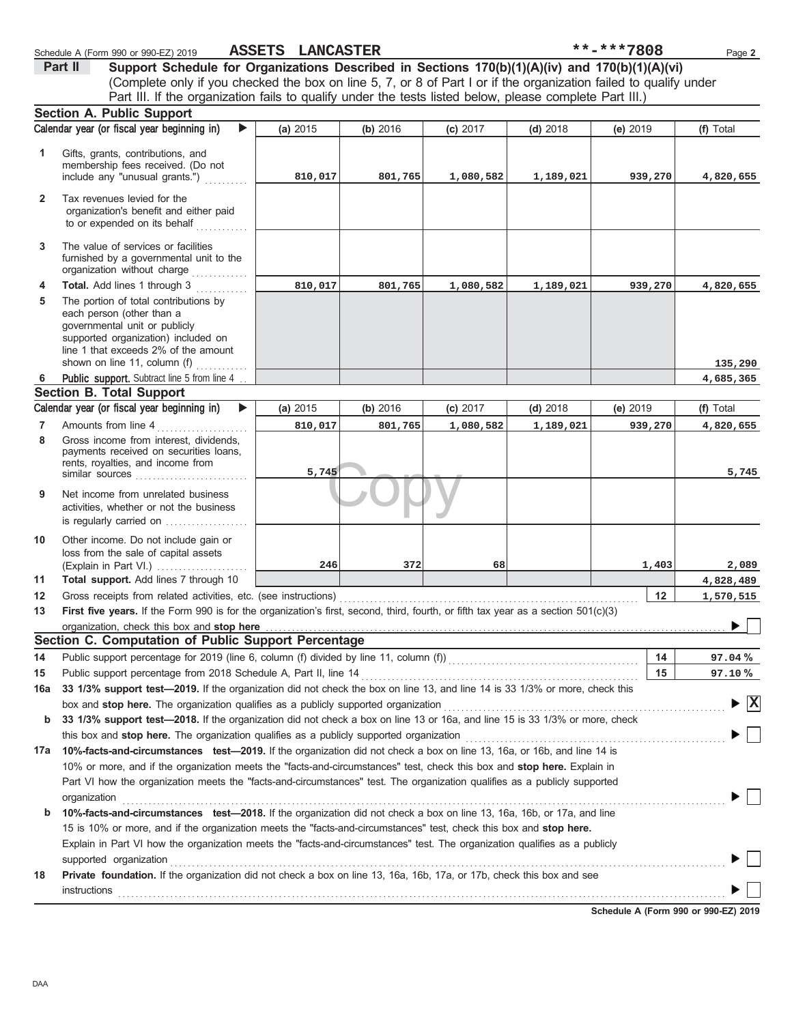|              | Schedule A (Form 990 or 990-EZ) 2019                                                                                                                                                            | ASSETS LANCASTER |          |           |            | **-***7808 | Page 2                             |
|--------------|-------------------------------------------------------------------------------------------------------------------------------------------------------------------------------------------------|------------------|----------|-----------|------------|------------|------------------------------------|
|              | Support Schedule for Organizations Described in Sections 170(b)(1)(A)(iv) and 170(b)(1)(A)(vi)<br>Part II                                                                                       |                  |          |           |            |            |                                    |
|              | (Complete only if you checked the box on line 5, 7, or 8 of Part I or if the organization failed to qualify under                                                                               |                  |          |           |            |            |                                    |
|              | Part III. If the organization fails to qualify under the tests listed below, please complete Part III.)                                                                                         |                  |          |           |            |            |                                    |
|              | <b>Section A. Public Support</b>                                                                                                                                                                |                  |          |           |            |            |                                    |
|              | Calendar year (or fiscal year beginning in)<br>$\blacktriangleright$                                                                                                                            | (a) 2015         | (b) 2016 | (c) 2017  | $(d)$ 2018 | (e) 2019   | (f) Total                          |
| 1            | Gifts, grants, contributions, and                                                                                                                                                               |                  |          |           |            |            |                                    |
|              | membership fees received. (Do not                                                                                                                                                               |                  |          |           |            |            |                                    |
|              | include any "unusual grants.")                                                                                                                                                                  | 810,017          | 801,765  | 1,080,582 | 1,189,021  | 939,270    | 4,820,655                          |
| $\mathbf{2}$ | Tax revenues levied for the                                                                                                                                                                     |                  |          |           |            |            |                                    |
|              | organization's benefit and either paid                                                                                                                                                          |                  |          |           |            |            |                                    |
|              | to or expended on its behalf                                                                                                                                                                    |                  |          |           |            |            |                                    |
| 3            | The value of services or facilities                                                                                                                                                             |                  |          |           |            |            |                                    |
|              | furnished by a governmental unit to the                                                                                                                                                         |                  |          |           |            |            |                                    |
|              | organization without charge                                                                                                                                                                     |                  |          |           |            |            |                                    |
| 4            | Total. Add lines 1 through 3                                                                                                                                                                    | 810,017          | 801,765  | 1,080,582 | 1,189,021  | 939,270    | 4,820,655                          |
| 5            | The portion of total contributions by<br>each person (other than a                                                                                                                              |                  |          |           |            |            |                                    |
|              | governmental unit or publicly                                                                                                                                                                   |                  |          |           |            |            |                                    |
|              | supported organization) included on                                                                                                                                                             |                  |          |           |            |            |                                    |
|              | line 1 that exceeds 2% of the amount                                                                                                                                                            |                  |          |           |            |            |                                    |
| 6            | shown on line 11, column (f)<br>Public support. Subtract line 5 from line 4                                                                                                                     |                  |          |           |            |            | 135,290<br>4,685,365               |
|              | <b>Section B. Total Support</b>                                                                                                                                                                 |                  |          |           |            |            |                                    |
|              | Calendar year (or fiscal year beginning in)<br>$\blacktriangleright$                                                                                                                            | (a) 2015         | (b) 2016 | (c) 2017  | $(d)$ 2018 | (e) 2019   | (f) Total                          |
| 7            | Amounts from line 4                                                                                                                                                                             | 810,017          | 801,765  | 1,080,582 | 1,189,021  | 939,270    | 4,820,655                          |
| 8            | Gross income from interest, dividends,                                                                                                                                                          |                  |          |           |            |            |                                    |
|              | payments received on securities loans,                                                                                                                                                          |                  |          |           |            |            |                                    |
|              | rents, royalties, and income from<br>similar sources                                                                                                                                            | 5,745            |          |           |            |            | 5,745                              |
|              |                                                                                                                                                                                                 |                  |          |           |            |            |                                    |
| 9            | Net income from unrelated business<br>activities, whether or not the business                                                                                                                   |                  |          |           |            |            |                                    |
|              | is regularly carried on                                                                                                                                                                         |                  |          |           |            |            |                                    |
| 10           | Other income. Do not include gain or                                                                                                                                                            |                  |          |           |            |            |                                    |
|              | loss from the sale of capital assets                                                                                                                                                            |                  |          |           |            |            |                                    |
|              | (Explain in Part VI.)                                                                                                                                                                           | 246              | 372      | 68        |            | 1,403      | 2,089                              |
| 11           | Total support. Add lines 7 through 10                                                                                                                                                           |                  |          |           |            |            | 4,828,489                          |
| 12           | Gross receipts from related activities, etc. (see instructions)                                                                                                                                 |                  |          |           |            | 12         | 1,570,515                          |
| 13           | First five years. If the Form 990 is for the organization's first, second, third, fourth, or fifth tax year as a section 501(c)(3)                                                              |                  |          |           |            |            |                                    |
|              | organization, check this box and stop here <b>construction and construction</b> construction of the state of the state or                                                                       |                  |          |           |            |            |                                    |
|              | Section C. Computation of Public Support Percentage                                                                                                                                             |                  |          |           |            |            |                                    |
| 14           | Public support percentage for 2019 (line 6, column (f) divided by line 11, column (f)) [[[[[[[[[[[[[[[[[[[[[[                                                                                   |                  |          |           |            | 14         | 97.04%                             |
| 15           | Public support percentage from 2018 Schedule A, Part II, line 14<br>33 1/3% support test-2019. If the organization did not check the box on line 13, and line 14 is 33 1/3% or more, check this |                  |          |           |            | 15         | 97.10%                             |
| 16a          | box and stop here. The organization qualifies as a publicly supported organization                                                                                                              |                  |          |           |            |            | $\blacktriangleright$ $\mathbf{X}$ |
| b            | 33 1/3% support test-2018. If the organization did not check a box on line 13 or 16a, and line 15 is 33 1/3% or more, check                                                                     |                  |          |           |            |            |                                    |
|              | this box and stop here. The organization qualifies as a publicly supported organization                                                                                                         |                  |          |           |            |            |                                    |
| 17a          | 10%-facts-and-circumstances test-2019. If the organization did not check a box on line 13, 16a, or 16b, and line 14 is                                                                          |                  |          |           |            |            |                                    |
|              | 10% or more, and if the organization meets the "facts-and-circumstances" test, check this box and stop here. Explain in                                                                         |                  |          |           |            |            |                                    |
|              | Part VI how the organization meets the "facts-and-circumstances" test. The organization qualifies as a publicly supported                                                                       |                  |          |           |            |            |                                    |
|              | organization                                                                                                                                                                                    |                  |          |           |            |            |                                    |
| b            | 10%-facts-and-circumstances test-2018. If the organization did not check a box on line 13, 16a, 16b, or 17a, and line                                                                           |                  |          |           |            |            |                                    |
|              | 15 is 10% or more, and if the organization meets the "facts-and-circumstances" test, check this box and stop here.                                                                              |                  |          |           |            |            |                                    |
|              | Explain in Part VI how the organization meets the "facts-and-circumstances" test. The organization qualifies as a publicly                                                                      |                  |          |           |            |            |                                    |
|              | supported organization                                                                                                                                                                          |                  |          |           |            |            |                                    |
| 18           | Private foundation. If the organization did not check a box on line 13, 16a, 16b, 17a, or 17b, check this box and see                                                                           |                  |          |           |            |            |                                    |
|              | instructions                                                                                                                                                                                    |                  |          |           |            |            |                                    |

|--|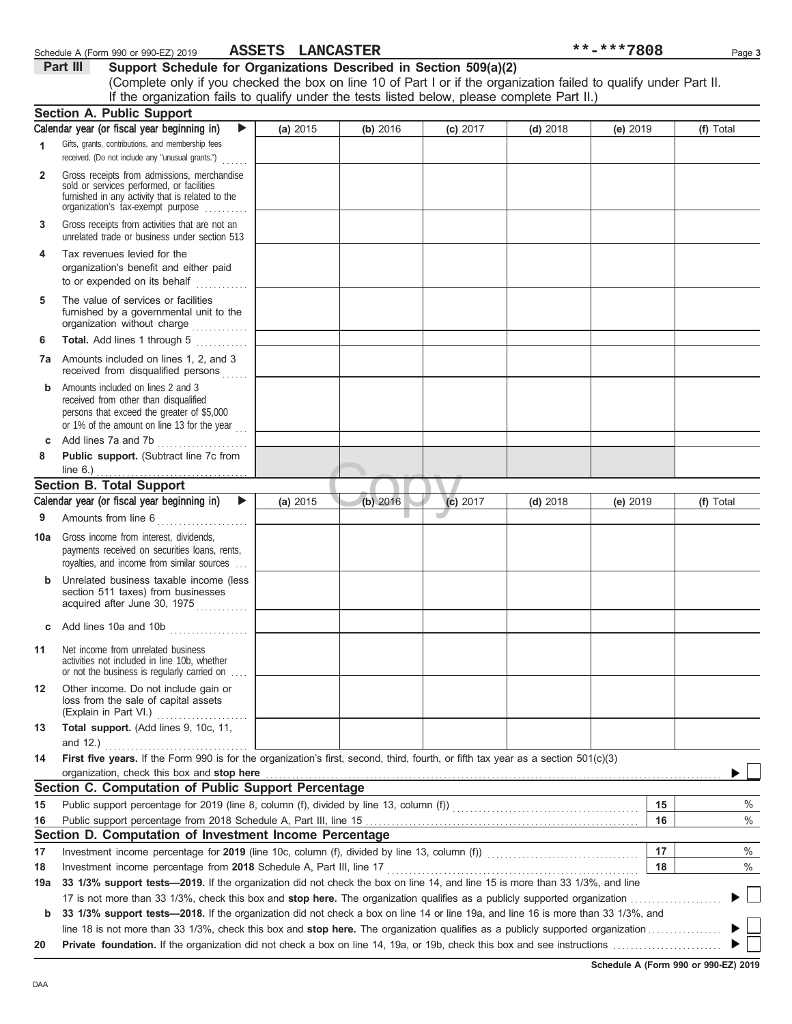|              | If the organization fails to qualify under the tests listed below, please complete Part II.)                                                                                      |          |            |            |            |          |    |           |
|--------------|-----------------------------------------------------------------------------------------------------------------------------------------------------------------------------------|----------|------------|------------|------------|----------|----|-----------|
|              | <b>Section A. Public Support</b>                                                                                                                                                  |          |            |            |            |          |    |           |
|              | Calendar year (or fiscal year beginning in)<br>▶                                                                                                                                  | (a) 2015 | (b) 2016   | $(c)$ 2017 | $(d)$ 2018 | (e) 2019 |    | (f) Total |
| 1            | Gifts, grants, contributions, and membership fees                                                                                                                                 |          |            |            |            |          |    |           |
|              | received. (Do not include any "unusual grants.")                                                                                                                                  |          |            |            |            |          |    |           |
| $\mathbf{2}$ | Gross receipts from admissions, merchandise<br>sold or services performed, or facilities<br>furnished in any activity that is related to the<br>organization's fax-exempt purpose |          |            |            |            |          |    |           |
| 3            | Gross receipts from activities that are not an<br>unrelated trade or business under section 513                                                                                   |          |            |            |            |          |    |           |
| 4            | Tax revenues levied for the<br>organization's benefit and either paid<br>to or expended on its behalf<br>dia ang pagala                                                           |          |            |            |            |          |    |           |
| 5            | The value of services or facilities<br>furnished by a governmental unit to the<br>organization without charge                                                                     |          |            |            |            |          |    |           |
| 6            | Total. Add lines 1 through 5<br>.                                                                                                                                                 |          |            |            |            |          |    |           |
| 7a           | Amounts included on lines 1, 2, and 3<br>received from disqualified persons                                                                                                       |          |            |            |            |          |    |           |
| b            | Amounts included on lines 2 and 3<br>received from other than disqualified<br>persons that exceed the greater of \$5,000<br>or 1% of the amount on line 13 for the year           |          |            |            |            |          |    |           |
| c            | Add lines 7a and 7b<br>.                                                                                                                                                          |          |            |            |            |          |    |           |
| 8            | Public support. (Subtract line 7c from                                                                                                                                            |          |            |            |            |          |    |           |
|              | line $6.$ )<br><b>Section B. Total Support</b>                                                                                                                                    |          |            |            |            |          |    |           |
|              | Calendar year (or fiscal year beginning in)<br>▶                                                                                                                                  |          | $(b)$ 2016 |            |            |          |    |           |
|              |                                                                                                                                                                                   | (a) 2015 |            | (c) 2017   | $(d)$ 2018 | (e) 2019 |    | (f) Total |
| 9            | Amounts from line 6<br><u> 1999 - Alexandr Steinberg, ameri</u> kan                                                                                                               |          |            |            |            |          |    |           |
| 10a          | Gross income from interest, dividends,<br>payments received on securities loans, rents,<br>royalties, and income from similar sources                                             |          |            |            |            |          |    |           |
|              | Unrelated business taxable income (less<br>section 511 taxes) from businesses<br>acquired after June 30, 1975                                                                     |          |            |            |            |          |    |           |
| c            | Add lines 10a and 10b                                                                                                                                                             |          |            |            |            |          |    |           |
| 11           | Net income from unrelated business<br>activities not included in line 10b, whether<br>or not the business is regularly carried on                                                 |          |            |            |            |          |    |           |
| 12           | Other income. Do not include gain or<br>loss from the sale of capital assets<br>(Explain in Part VI.)                                                                             |          |            |            |            |          |    |           |
| 13           | Total support. (Add lines 9, 10c, 11,<br>and $12.$ )                                                                                                                              |          |            |            |            |          |    |           |
| 14           | First five years. If the Form 990 is for the organization's first, second, third, fourth, or fifth tax year as a section 501(c)(3)                                                |          |            |            |            |          |    |           |
|              | organization, check this box and stop here                                                                                                                                        |          |            |            |            |          |    |           |
|              | Section C. Computation of Public Support Percentage                                                                                                                               |          |            |            |            |          |    |           |
| 15           |                                                                                                                                                                                   |          |            |            |            |          | 15 | $\%$      |
| 16           |                                                                                                                                                                                   |          |            |            |            |          | 16 | $\%$      |
|              | Section D. Computation of Investment Income Percentage                                                                                                                            |          |            |            |            |          |    |           |
| 17           |                                                                                                                                                                                   |          |            |            |            |          | 17 | $\%$      |
| 18           | Investment income percentage from 2018 Schedule A, Part III, line 17                                                                                                              |          |            |            |            |          | 18 | %         |
| 19a          | 33 1/3% support tests-2019. If the organization did not check the box on line 14, and line 15 is more than 33 1/3%, and line                                                      |          |            |            |            |          |    |           |
| b            | 33 1/3% support tests-2018. If the organization did not check a box on line 14 or line 19a, and line 16 is more than 33 1/3%, and                                                 |          |            |            |            |          |    |           |
|              |                                                                                                                                                                                   |          |            |            |            |          |    |           |
| 20           |                                                                                                                                                                                   |          |            |            |            |          |    |           |

(Complete only if you checked the box on line 10 of Part I or if the organization failed to qualify under Part II.

**Schedule A (Form 990 or 990-EZ) 2019**

### Schedule A (Form 990 or 990-EZ) 2019 **ASSETS LANCASTER** \*\*\*\*\*\*7808 Page 3 **ASSETS LANCASTER**

|          |  | ________________                                                  |  |
|----------|--|-------------------------------------------------------------------|--|
| Part III |  | Support Schedule for Organizations Described in Section 509(a)(2) |  |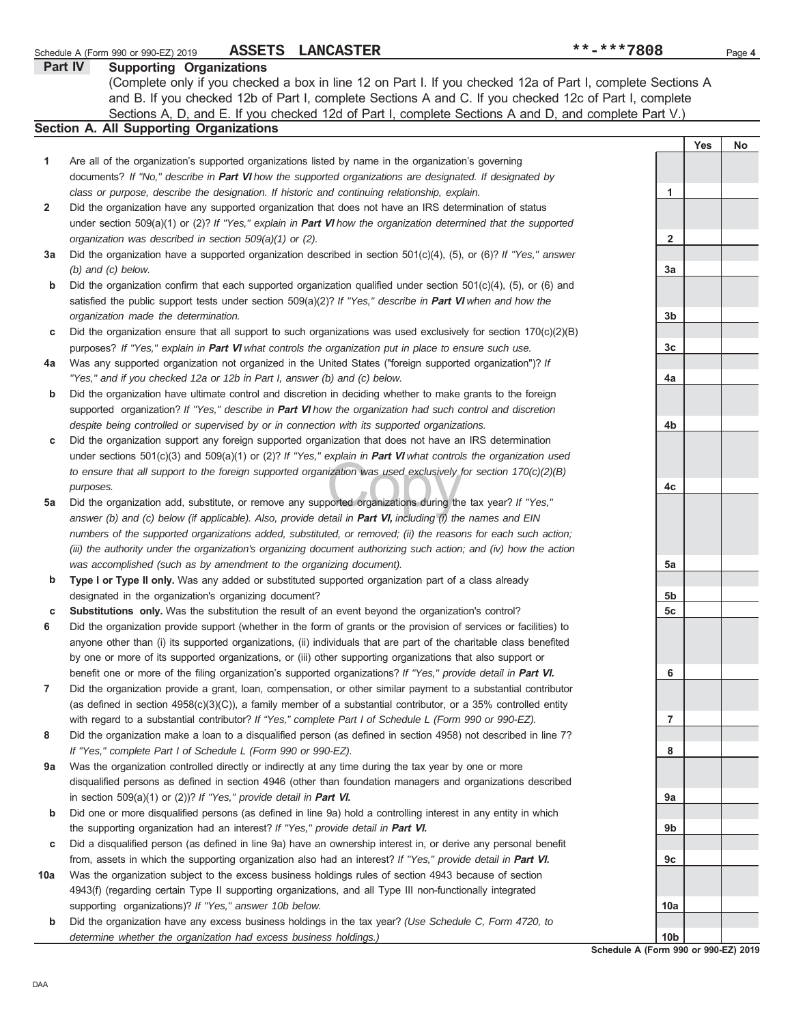| Part IV      | <b>Supporting Organizations</b>                                                                                          |                                                                           |            |    |  |  |  |  |  |  |
|--------------|--------------------------------------------------------------------------------------------------------------------------|---------------------------------------------------------------------------|------------|----|--|--|--|--|--|--|
|              | (Complete only if you checked a box in line 12 on Part I. If you checked 12a of Part I, complete Sections A              |                                                                           |            |    |  |  |  |  |  |  |
|              | and B. If you checked 12b of Part I, complete Sections A and C. If you checked 12c of Part I, complete                   |                                                                           |            |    |  |  |  |  |  |  |
|              | Sections A, D, and E. If you checked 12d of Part I, complete Sections A and D, and complete Part V.)                     |                                                                           |            |    |  |  |  |  |  |  |
|              | <b>Section A. All Supporting Organizations</b>                                                                           |                                                                           |            |    |  |  |  |  |  |  |
|              |                                                                                                                          |                                                                           | <b>Yes</b> | No |  |  |  |  |  |  |
| 1            | Are all of the organization's supported organizations listed by name in the organization's governing                     |                                                                           |            |    |  |  |  |  |  |  |
|              | documents? If "No," describe in Part VI how the supported organizations are designated. If designated by                 |                                                                           |            |    |  |  |  |  |  |  |
|              | class or purpose, describe the designation. If historic and continuing relationship, explain.                            | 1                                                                         |            |    |  |  |  |  |  |  |
|              | Did the organization have any supported organization that does not have an IRS determination of status                   |                                                                           |            |    |  |  |  |  |  |  |
| $\mathbf{2}$ |                                                                                                                          |                                                                           |            |    |  |  |  |  |  |  |
|              | under section 509(a)(1) or (2)? If "Yes," explain in <b>Part VI</b> how the organization determined that the supported   |                                                                           |            |    |  |  |  |  |  |  |
|              | organization was described in section 509(a)(1) or (2).                                                                  | $\overline{\mathbf{2}}$                                                   |            |    |  |  |  |  |  |  |
| За           | Did the organization have a supported organization described in section $501(c)(4)$ , (5), or (6)? If "Yes," answer      |                                                                           |            |    |  |  |  |  |  |  |
|              | $(b)$ and $(c)$ below.                                                                                                   | 3a                                                                        |            |    |  |  |  |  |  |  |
| b            | Did the organization confirm that each supported organization qualified under section $501(c)(4)$ , $(5)$ , or $(6)$ and |                                                                           |            |    |  |  |  |  |  |  |
|              | satisfied the public support tests under section $509(a)(2)?$ If "Yes," describe in <b>Part VI</b> when and how the      |                                                                           |            |    |  |  |  |  |  |  |
|              | organization made the determination.                                                                                     | 3b                                                                        |            |    |  |  |  |  |  |  |
| С            | Did the organization ensure that all support to such organizations was used exclusively for section 170(c)(2)(B)         |                                                                           |            |    |  |  |  |  |  |  |
|              | purposes? If "Yes," explain in <b>Part VI</b> what controls the organization put in place to ensure such use.            | 3 <sub>c</sub>                                                            |            |    |  |  |  |  |  |  |
| 4a           | Was any supported organization not organized in the United States ("foreign supported organization")? If                 |                                                                           |            |    |  |  |  |  |  |  |
|              | "Yes," and if you checked 12a or 12b in Part I, answer (b) and (c) below.                                                | 4a                                                                        |            |    |  |  |  |  |  |  |
| b            | Did the organization have ultimate control and discretion in deciding whether to make grants to the foreign              |                                                                           |            |    |  |  |  |  |  |  |
|              | supported organization? If "Yes," describe in Part VI how the organization had such control and discretion               |                                                                           |            |    |  |  |  |  |  |  |
|              | despite being controlled or supervised by or in connection with its supported organizations.                             | 4b                                                                        |            |    |  |  |  |  |  |  |
| С            | Did the organization support any foreign supported organization that does not have an IRS determination                  |                                                                           |            |    |  |  |  |  |  |  |
|              | under sections 501(c)(3) and 509(a)(1) or (2)? If "Yes," explain in <b>Part VI</b> what controls the organization used   |                                                                           |            |    |  |  |  |  |  |  |
|              | to ensure that all support to the foreign supported organization was used exclusively for section $170(c)(2)(B)$         |                                                                           |            |    |  |  |  |  |  |  |
|              | purposes.                                                                                                                | 4c                                                                        |            |    |  |  |  |  |  |  |
| 5a           | Did the organization add, substitute, or remove any supported organizations during the tax year? If "Yes,"               |                                                                           |            |    |  |  |  |  |  |  |
|              | answer (b) and (c) below (if applicable). Also, provide detail in Part VI, including (i) the names and EIN               |                                                                           |            |    |  |  |  |  |  |  |
|              | numbers of the supported organizations added, substituted, or removed; (ii) the reasons for each such action;            |                                                                           |            |    |  |  |  |  |  |  |
|              | (iii) the authority under the organization's organizing document authorizing such action; and (iv) how the action        |                                                                           |            |    |  |  |  |  |  |  |
|              | was accomplished (such as by amendment to the organizing document).                                                      | 5a                                                                        |            |    |  |  |  |  |  |  |
| b            | Type I or Type II only. Was any added or substituted supported organization part of a class already                      |                                                                           |            |    |  |  |  |  |  |  |
|              | designated in the organization's organizing document?                                                                    | 5b                                                                        |            |    |  |  |  |  |  |  |
| c            | Substitutions only. Was the substitution the result of an event beyond the organization's control?                       | 5 <sub>c</sub>                                                            |            |    |  |  |  |  |  |  |
| 6            | Did the organization provide support (whether in the form of grants or the provision of services or facilities) to       |                                                                           |            |    |  |  |  |  |  |  |
|              | anyone other than (i) its supported organizations, (ii) individuals that are part of the charitable class benefited      |                                                                           |            |    |  |  |  |  |  |  |
|              | by one or more of its supported organizations, or (iii) other supporting organizations that also support or              |                                                                           |            |    |  |  |  |  |  |  |
|              |                                                                                                                          | 6                                                                         |            |    |  |  |  |  |  |  |
|              | benefit one or more of the filing organization's supported organizations? If "Yes," provide detail in Part VI.           |                                                                           |            |    |  |  |  |  |  |  |
| 7            | Did the organization provide a grant, loan, compensation, or other similar payment to a substantial contributor          |                                                                           |            |    |  |  |  |  |  |  |
|              | (as defined in section 4958(c)(3)(C)), a family member of a substantial contributor, or a 35% controlled entity          |                                                                           |            |    |  |  |  |  |  |  |
|              | with regard to a substantial contributor? If "Yes," complete Part I of Schedule L (Form 990 or 990-EZ).                  | $\overline{7}$                                                            |            |    |  |  |  |  |  |  |
| 8            | Did the organization make a loan to a disqualified person (as defined in section 4958) not described in line 7?          |                                                                           |            |    |  |  |  |  |  |  |
|              | If "Yes," complete Part I of Schedule L (Form 990 or 990-EZ).                                                            | 8                                                                         |            |    |  |  |  |  |  |  |
| 9a           | Was the organization controlled directly or indirectly at any time during the tax year by one or more                    |                                                                           |            |    |  |  |  |  |  |  |
|              | disqualified persons as defined in section 4946 (other than foundation managers and organizations described              |                                                                           |            |    |  |  |  |  |  |  |
|              | in section 509(a)(1) or (2))? If "Yes," provide detail in Part VI.                                                       | 9а                                                                        |            |    |  |  |  |  |  |  |
| b            | Did one or more disqualified persons (as defined in line 9a) hold a controlling interest in any entity in which          |                                                                           |            |    |  |  |  |  |  |  |
|              | the supporting organization had an interest? If "Yes," provide detail in Part VI.                                        | 9b                                                                        |            |    |  |  |  |  |  |  |
| С            | Did a disqualified person (as defined in line 9a) have an ownership interest in, or derive any personal benefit          |                                                                           |            |    |  |  |  |  |  |  |
|              | from, assets in which the supporting organization also had an interest? If "Yes," provide detail in Part VI.             | 9с                                                                        |            |    |  |  |  |  |  |  |
| 10a          | Was the organization subject to the excess business holdings rules of section 4943 because of section                    |                                                                           |            |    |  |  |  |  |  |  |
|              | 4943(f) (regarding certain Type II supporting organizations, and all Type III non-functionally integrated                |                                                                           |            |    |  |  |  |  |  |  |
|              | supporting organizations)? If "Yes," answer 10b below.                                                                   | 10a                                                                       |            |    |  |  |  |  |  |  |
| b            | Did the organization have any excess business holdings in the tax year? (Use Schedule C, Form 4720, to                   |                                                                           |            |    |  |  |  |  |  |  |
|              | determine whether the organization had excess business holdings.)                                                        | 10 <sub>b</sub><br><b>Cohodulo</b><br>$A$ (Equation 0.00 as 0.00 EZ) 2040 |            |    |  |  |  |  |  |  |

Schedule A (Form 990 or 990-EZ) 2019 **ASSETS LANCASTER** Page 4

**ASSETS LANCASTER \*\*-\*\*\*7808**

**Schedule A (Form 990 or 990-EZ) 2019**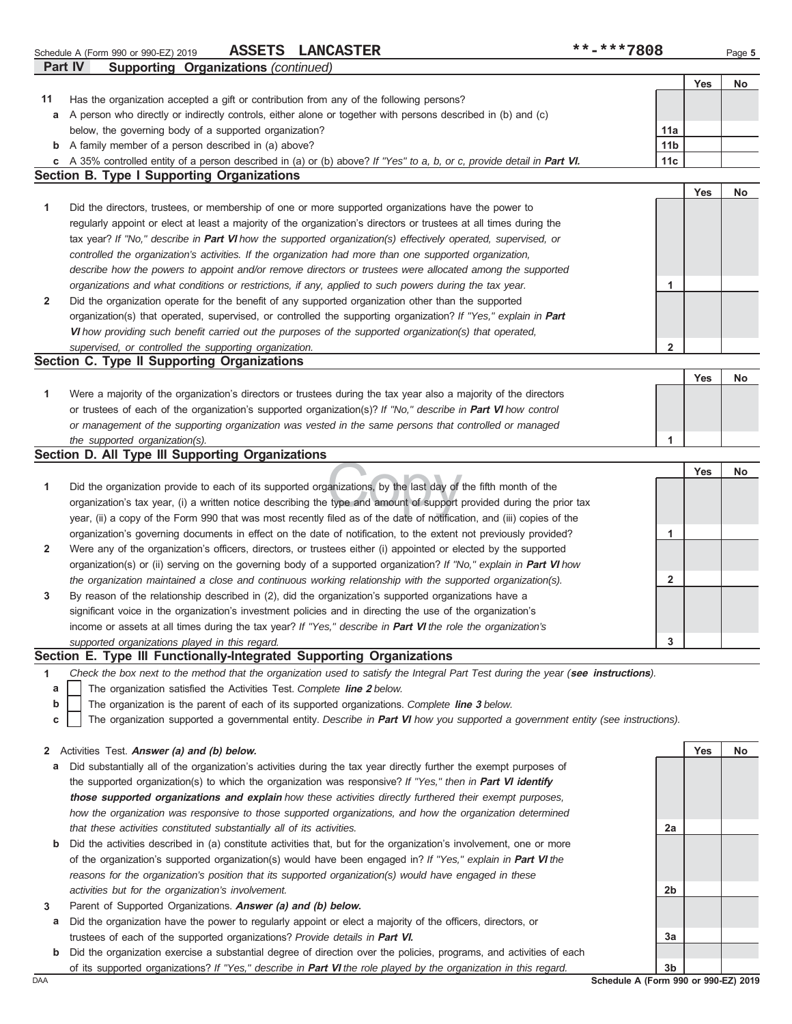|              | ASSETS LANCASTER<br>Schedule A (Form 990 or 990-EZ) 2019                                                                               | **-***7808              |            | Page 5 |
|--------------|----------------------------------------------------------------------------------------------------------------------------------------|-------------------------|------------|--------|
|              | <b>Supporting Organizations (continued)</b><br>Part IV                                                                                 |                         |            |        |
|              |                                                                                                                                        |                         | Yes        | No     |
| 11           | Has the organization accepted a gift or contribution from any of the following persons?                                                |                         |            |        |
| а            | A person who directly or indirectly controls, either alone or together with persons described in (b) and (c)                           |                         |            |        |
|              | below, the governing body of a supported organization?                                                                                 | 11a                     |            |        |
|              | <b>b</b> A family member of a person described in (a) above?                                                                           | 11 <sub>b</sub>         |            |        |
| С            | A 35% controlled entity of a person described in (a) or (b) above? If "Yes" to a, b, or c, provide detail in Part VI.                  | 11c                     |            |        |
|              | <b>Section B. Type I Supporting Organizations</b>                                                                                      |                         |            |        |
|              |                                                                                                                                        |                         | <b>Yes</b> | No     |
| 1            | Did the directors, trustees, or membership of one or more supported organizations have the power to                                    |                         |            |        |
|              | regularly appoint or elect at least a majority of the organization's directors or trustees at all times during the                     |                         |            |        |
|              | tax year? If "No," describe in Part VI how the supported organization(s) effectively operated, supervised, or                          |                         |            |        |
|              | controlled the organization's activities. If the organization had more than one supported organization,                                |                         |            |        |
|              | describe how the powers to appoint and/or remove directors or trustees were allocated among the supported                              |                         |            |        |
|              | organizations and what conditions or restrictions, if any, applied to such powers during the tax year.                                 | 1                       |            |        |
| 2            | Did the organization operate for the benefit of any supported organization other than the supported                                    |                         |            |        |
|              | organization(s) that operated, supervised, or controlled the supporting organization? If "Yes," explain in Part                        |                         |            |        |
|              | VI how providing such benefit carried out the purposes of the supported organization(s) that operated,                                 |                         |            |        |
|              | supervised, or controlled the supporting organization.                                                                                 | $\overline{\mathbf{2}}$ |            |        |
|              | Section C. Type II Supporting Organizations                                                                                            |                         |            |        |
|              |                                                                                                                                        |                         | <b>Yes</b> | No     |
| 1            | Were a majority of the organization's directors or trustees during the tax year also a majority of the directors                       |                         |            |        |
|              | or trustees of each of the organization's supported organization(s)? If "No," describe in Part VI how control                          |                         |            |        |
|              | or management of the supporting organization was vested in the same persons that controlled or managed                                 |                         |            |        |
|              | the supported organization(s).                                                                                                         | 1                       |            |        |
|              | Section D. All Type III Supporting Organizations                                                                                       |                         |            |        |
|              |                                                                                                                                        |                         | <b>Yes</b> | No     |
| 1            | Did the organization provide to each of its supported organizations, by the last day of the fifth month of the                         |                         |            |        |
|              | organization's tax year, (i) a written notice describing the type and amount of support provided during the prior tax                  |                         |            |        |
|              | year, (ii) a copy of the Form 990 that was most recently filed as of the date of notification, and (iii) copies of the                 |                         |            |        |
|              | organization's governing documents in effect on the date of notification, to the extent not previously provided?                       | 1                       |            |        |
| 2            | Were any of the organization's officers, directors, or trustees either (i) appointed or elected by the supported                       |                         |            |        |
|              | organization(s) or (ii) serving on the governing body of a supported organization? If "No," explain in Part VI how                     |                         |            |        |
|              | the organization maintained a close and continuous working relationship with the supported organization(s).                            | $\mathbf{2}$            |            |        |
| 3            | By reason of the relationship described in (2), did the organization's supported organizations have a                                  |                         |            |        |
|              | significant voice in the organization's investment policies and in directing the use of the organization's                             |                         |            |        |
|              | income or assets at all times during the tax year? If "Yes," describe in Part VI the role the organization's                           |                         |            |        |
|              | supported organizations played in this regard.                                                                                         | 3                       |            |        |
|              | Section E. Type III Functionally-Integrated Supporting Organizations                                                                   |                         |            |        |
| 1            | Check the box next to the method that the organization used to satisfy the Integral Part Test during the year (see instructions).      |                         |            |        |
| a            | The organization satisfied the Activities Test. Complete line 2 below.                                                                 |                         |            |        |
| b            | The organization is the parent of each of its supported organizations. Complete line 3 below.                                          |                         |            |        |
| c            | The organization supported a governmental entity. Describe in <b>Part VI</b> how you supported a government entity (see instructions). |                         |            |        |
|              |                                                                                                                                        |                         |            |        |
| $\mathbf{2}$ | Activities Test. Answer (a) and (b) below.                                                                                             |                         | Yes        | No     |
| а            | Did substantially all of the organization's activities during the tax year directly further the exempt purposes of                     |                         |            |        |
|              | the supported organization(s) to which the organization was responsive? If "Yes," then in Part VI identify                             |                         |            |        |
|              | those supported organizations and explain how these activities directly furthered their exempt purposes,                               |                         |            |        |
|              | how the organization was responsive to those supported organizations, and how the organization determined                              |                         |            |        |
|              | that these activities constituted substantially all of its activities.                                                                 | 2a                      |            |        |

| <b>b</b> Did the activities described in (a) constitute activities that, but for the organization's involvement, one or more |
|------------------------------------------------------------------------------------------------------------------------------|
| of the organization's supported organization(s) would have been engaged in? If "Yes," explain in <b>Part VI</b> the          |
| reasons for the organization's position that its supported organization(s) would have engaged in these                       |
| activities but for the organization's involvement.                                                                           |

- **3** Parent of Supported Organizations. **Answer (a) and (b) below.**
	- **a** Did the organization have the power to regularly appoint or elect a majority of the officers, directors, or trustees of each of the supported organizations? *Provide details in* **Part VI.**
	- **b** Did the organization exercise a substantial degree of direction over the policies, programs, and activities of each of its supported organizations? *If "Yes," describe in* **Part VI** *the role played by the organization in this regard.*

DAA **Schedule A (Form 990 or 990-EZ) 2019 3b**

**2b**

**3a**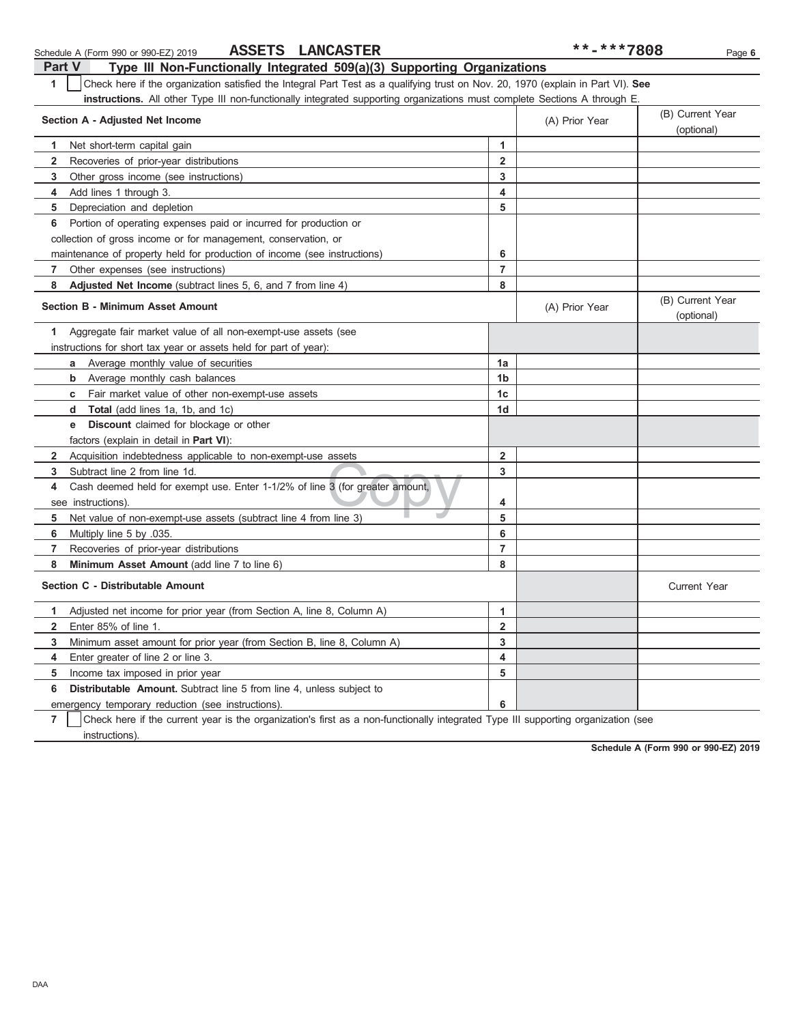| Part V<br>Type III Non-Functionally Integrated 509(a)(3) Supporting Organizations                                                     |                         |                |                                |  |  |  |  |
|---------------------------------------------------------------------------------------------------------------------------------------|-------------------------|----------------|--------------------------------|--|--|--|--|
| Check here if the organization satisfied the Integral Part Test as a qualifying trust on Nov. 20, 1970 (explain in Part VI). See<br>1 |                         |                |                                |  |  |  |  |
| <b>instructions.</b> All other Type III non-functionally integrated supporting organizations must complete Sections A through E.      |                         |                |                                |  |  |  |  |
| (B) Current Year<br>Section A - Adjusted Net Income<br>(A) Prior Year                                                                 |                         |                |                                |  |  |  |  |
|                                                                                                                                       |                         |                | (optional)                     |  |  |  |  |
| Net short-term capital gain<br>1.                                                                                                     | 1                       |                |                                |  |  |  |  |
| $\mathbf{2}$<br>Recoveries of prior-year distributions                                                                                | 2                       |                |                                |  |  |  |  |
| 3<br>Other gross income (see instructions)                                                                                            | 3                       |                |                                |  |  |  |  |
| Add lines 1 through 3.<br>4                                                                                                           | 4                       |                |                                |  |  |  |  |
| 5<br>Depreciation and depletion                                                                                                       | 5                       |                |                                |  |  |  |  |
| Portion of operating expenses paid or incurred for production or<br>6                                                                 |                         |                |                                |  |  |  |  |
| collection of gross income or for management, conservation, or                                                                        |                         |                |                                |  |  |  |  |
| maintenance of property held for production of income (see instructions)                                                              | 6                       |                |                                |  |  |  |  |
| 7<br>Other expenses (see instructions)                                                                                                | $\overline{7}$          |                |                                |  |  |  |  |
| 8<br>Adjusted Net Income (subtract lines 5, 6, and 7 from line 4)                                                                     | 8                       |                |                                |  |  |  |  |
| <b>Section B - Minimum Asset Amount</b>                                                                                               |                         | (A) Prior Year | (B) Current Year<br>(optional) |  |  |  |  |
| Aggregate fair market value of all non-exempt-use assets (see<br>1.                                                                   |                         |                |                                |  |  |  |  |
| instructions for short tax year or assets held for part of year):                                                                     |                         |                |                                |  |  |  |  |
| Average monthly value of securities<br>a                                                                                              | 1a                      |                |                                |  |  |  |  |
| <b>b</b> Average monthly cash balances                                                                                                | 1b                      |                |                                |  |  |  |  |
| <b>c</b> Fair market value of other non-exempt-use assets                                                                             | 1 <sub>c</sub>          |                |                                |  |  |  |  |
| <b>d</b> Total (add lines 1a, 1b, and 1c)                                                                                             | 1d                      |                |                                |  |  |  |  |
| <b>Discount</b> claimed for blockage or other<br>е                                                                                    |                         |                |                                |  |  |  |  |
| factors (explain in detail in <b>Part VI)</b> :                                                                                       |                         |                |                                |  |  |  |  |
| Acquisition indebtedness applicable to non-exempt-use assets<br>$\mathbf{2}$                                                          | $\overline{2}$          |                |                                |  |  |  |  |
| Subtract line 2 from line 1d.<br>3                                                                                                    | 3                       |                |                                |  |  |  |  |
| Cash deemed held for exempt use. Enter 1-1/2% of line 3 (for greater amount,<br>4                                                     |                         |                |                                |  |  |  |  |
| see instructions).                                                                                                                    | 4                       |                |                                |  |  |  |  |
| Net value of non-exempt-use assets (subtract line 4 from line 3)<br>5                                                                 | 5                       |                |                                |  |  |  |  |
| 6<br>Multiply line 5 by .035.                                                                                                         | 6                       |                |                                |  |  |  |  |
| $\overline{7}$<br>Recoveries of prior-year distributions                                                                              | $\overline{7}$          |                |                                |  |  |  |  |
| 8<br>Minimum Asset Amount (add line 7 to line 6)                                                                                      | 8                       |                |                                |  |  |  |  |
| Section C - Distributable Amount                                                                                                      |                         |                | <b>Current Year</b>            |  |  |  |  |
| Adjusted net income for prior year (from Section A, line 8, Column A)<br>1                                                            | $\mathbf{1}$            |                |                                |  |  |  |  |
| $\overline{2}$<br>Enter 85% of line 1.                                                                                                | $\overline{\mathbf{2}}$ |                |                                |  |  |  |  |
| 3<br>Minimum asset amount for prior year (from Section B, line 8, Column A)                                                           | 3                       |                |                                |  |  |  |  |
| 4<br>Enter greater of line 2 or line 3.                                                                                               | 4                       |                |                                |  |  |  |  |
| Income tax imposed in prior year<br>5                                                                                                 | 5                       |                |                                |  |  |  |  |
| 6<br><b>Distributable Amount.</b> Subtract line 5 from line 4, unless subject to                                                      |                         |                |                                |  |  |  |  |
| emergency temporary reduction (see instructions).                                                                                     | 6                       |                |                                |  |  |  |  |
|                                                                                                                                       |                         |                |                                |  |  |  |  |

Schedule A (Form 990 or 990-EZ) 2019 Page **6**

**ASSETS LANCASTER** 

**7**  $\mid$  Check here if the current year is the organization's first as a non-functionally integrated Type III supporting organization (see instructions).

**Schedule A (Form 990 or 990-EZ) 2019**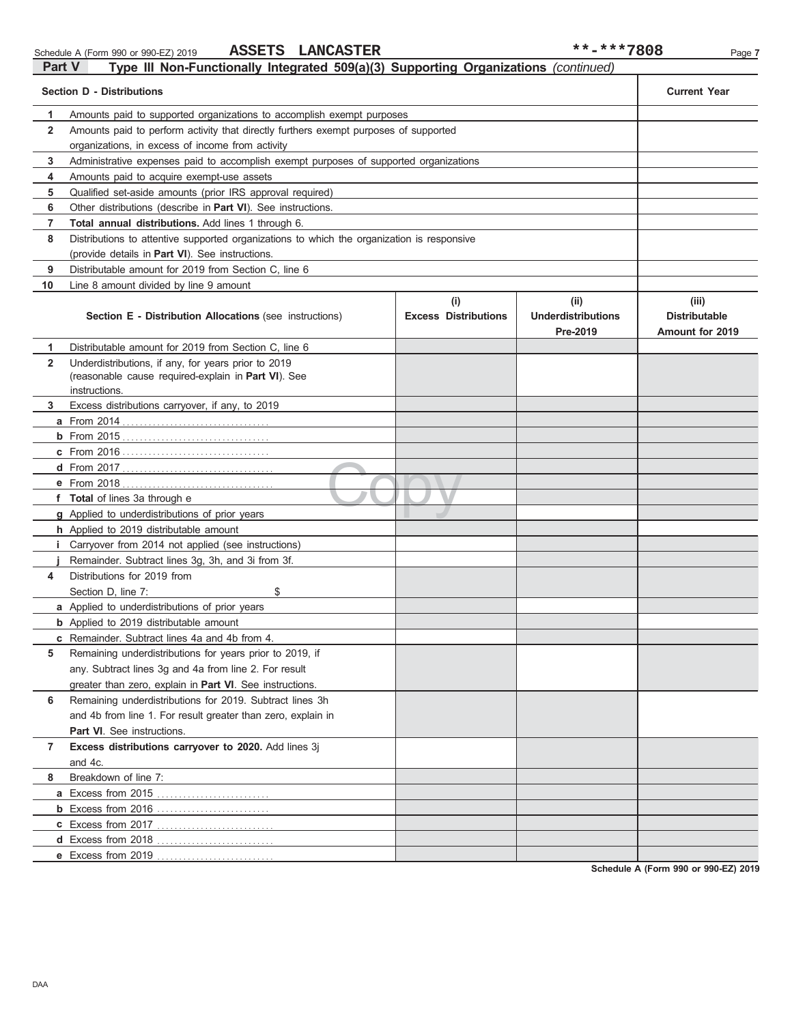| Part V<br>Type III Non-Functionally Integrated 509(a)(3) Supporting Organizations (continued) |                                                                                            |                                    |                                               |                                                  |  |  |  |
|-----------------------------------------------------------------------------------------------|--------------------------------------------------------------------------------------------|------------------------------------|-----------------------------------------------|--------------------------------------------------|--|--|--|
|                                                                                               | <b>Section D - Distributions</b>                                                           |                                    |                                               | <b>Current Year</b>                              |  |  |  |
| 1                                                                                             | Amounts paid to supported organizations to accomplish exempt purposes                      |                                    |                                               |                                                  |  |  |  |
| $\mathbf{2}$                                                                                  | Amounts paid to perform activity that directly furthers exempt purposes of supported       |                                    |                                               |                                                  |  |  |  |
|                                                                                               | organizations, in excess of income from activity                                           |                                    |                                               |                                                  |  |  |  |
| 3                                                                                             | Administrative expenses paid to accomplish exempt purposes of supported organizations      |                                    |                                               |                                                  |  |  |  |
| 4                                                                                             | Amounts paid to acquire exempt-use assets                                                  |                                    |                                               |                                                  |  |  |  |
| 5                                                                                             | Qualified set-aside amounts (prior IRS approval required)                                  |                                    |                                               |                                                  |  |  |  |
| 6                                                                                             | Other distributions (describe in Part VI). See instructions.                               |                                    |                                               |                                                  |  |  |  |
| $\overline{7}$                                                                                | Total annual distributions. Add lines 1 through 6.                                         |                                    |                                               |                                                  |  |  |  |
| 8                                                                                             | Distributions to attentive supported organizations to which the organization is responsive |                                    |                                               |                                                  |  |  |  |
|                                                                                               | (provide details in Part VI). See instructions.                                            |                                    |                                               |                                                  |  |  |  |
| 9                                                                                             | Distributable amount for 2019 from Section C, line 6                                       |                                    |                                               |                                                  |  |  |  |
| 10                                                                                            | Line 8 amount divided by line 9 amount                                                     |                                    |                                               |                                                  |  |  |  |
|                                                                                               | Section E - Distribution Allocations (see instructions)                                    | (i)<br><b>Excess Distributions</b> | (ii)<br><b>Underdistributions</b><br>Pre-2019 | (iii)<br><b>Distributable</b><br>Amount for 2019 |  |  |  |
| 1                                                                                             | Distributable amount for 2019 from Section C, line 6                                       |                                    |                                               |                                                  |  |  |  |
| $\overline{2}$                                                                                | Underdistributions, if any, for years prior to 2019                                        |                                    |                                               |                                                  |  |  |  |
|                                                                                               | (reasonable cause required-explain in Part VI). See                                        |                                    |                                               |                                                  |  |  |  |
|                                                                                               | instructions.                                                                              |                                    |                                               |                                                  |  |  |  |
| 3                                                                                             | Excess distributions carryover, if any, to 2019                                            |                                    |                                               |                                                  |  |  |  |
|                                                                                               | <b>a</b> From 2014                                                                         |                                    |                                               |                                                  |  |  |  |
|                                                                                               |                                                                                            |                                    |                                               |                                                  |  |  |  |
|                                                                                               |                                                                                            |                                    |                                               |                                                  |  |  |  |
|                                                                                               |                                                                                            |                                    |                                               |                                                  |  |  |  |
|                                                                                               | <b>e</b> From 2018                                                                         |                                    |                                               |                                                  |  |  |  |
|                                                                                               | f Total of lines 3a through e<br>g Applied to underdistributions of prior years            |                                    |                                               |                                                  |  |  |  |
|                                                                                               | h Applied to 2019 distributable amount                                                     |                                    |                                               |                                                  |  |  |  |
|                                                                                               | <i>i</i> Carryover from 2014 not applied (see instructions)                                |                                    |                                               |                                                  |  |  |  |
|                                                                                               | Remainder. Subtract lines 3g, 3h, and 3i from 3f.                                          |                                    |                                               |                                                  |  |  |  |
| 4                                                                                             | Distributions for 2019 from                                                                |                                    |                                               |                                                  |  |  |  |
|                                                                                               | Section D, line 7:<br>\$                                                                   |                                    |                                               |                                                  |  |  |  |
|                                                                                               | a Applied to underdistributions of prior years                                             |                                    |                                               |                                                  |  |  |  |
|                                                                                               | <b>b</b> Applied to 2019 distributable amount                                              |                                    |                                               |                                                  |  |  |  |
|                                                                                               | <b>c</b> Remainder. Subtract lines 4a and 4b from 4.                                       |                                    |                                               |                                                  |  |  |  |
| 5                                                                                             | Remaining underdistributions for years prior to 2019, if                                   |                                    |                                               |                                                  |  |  |  |
|                                                                                               | any. Subtract lines 3g and 4a from line 2. For result                                      |                                    |                                               |                                                  |  |  |  |
|                                                                                               | greater than zero, explain in Part VI. See instructions.                                   |                                    |                                               |                                                  |  |  |  |
| 6                                                                                             | Remaining underdistributions for 2019. Subtract lines 3h                                   |                                    |                                               |                                                  |  |  |  |
|                                                                                               | and 4b from line 1. For result greater than zero, explain in                               |                                    |                                               |                                                  |  |  |  |
|                                                                                               | Part VI. See instructions.                                                                 |                                    |                                               |                                                  |  |  |  |
| 7                                                                                             | Excess distributions carryover to 2020. Add lines 3j                                       |                                    |                                               |                                                  |  |  |  |
|                                                                                               | and 4c.                                                                                    |                                    |                                               |                                                  |  |  |  |
| 8                                                                                             | Breakdown of line 7:                                                                       |                                    |                                               |                                                  |  |  |  |
|                                                                                               | a Excess from 2015                                                                         |                                    |                                               |                                                  |  |  |  |
|                                                                                               |                                                                                            |                                    |                                               |                                                  |  |  |  |
|                                                                                               | c Excess from 2017                                                                         |                                    |                                               |                                                  |  |  |  |
|                                                                                               | d Excess from 2018                                                                         |                                    |                                               |                                                  |  |  |  |
|                                                                                               | e Excess from 2019                                                                         |                                    |                                               |                                                  |  |  |  |

**Schedule A (Form 990 or 990-EZ) 2019**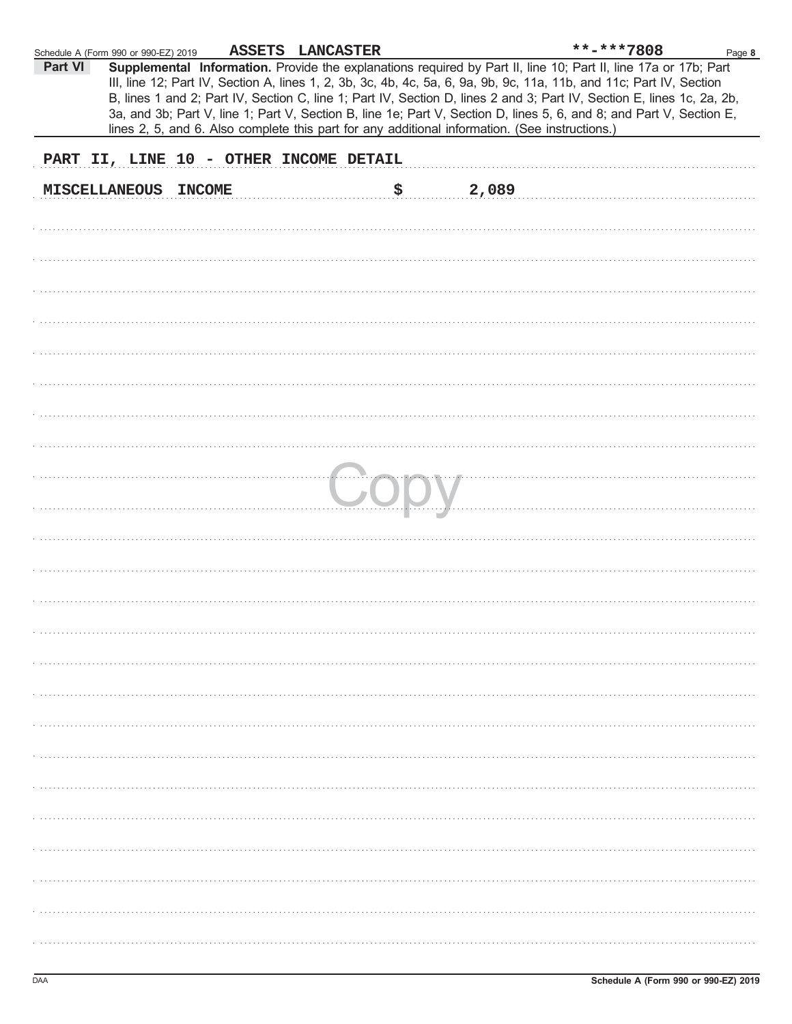| Schedule A (Form 990 or 990-EZ) 2019 |                                        | ASSETS LANCASTER |    |                                                                                                | **-***7808                                                                                                                                                                                                                                                                                                                                                                                                                                                                                | Page 8 |
|--------------------------------------|----------------------------------------|------------------|----|------------------------------------------------------------------------------------------------|-------------------------------------------------------------------------------------------------------------------------------------------------------------------------------------------------------------------------------------------------------------------------------------------------------------------------------------------------------------------------------------------------------------------------------------------------------------------------------------------|--------|
| Part VI                              |                                        |                  |    | lines 2, 5, and 6. Also complete this part for any additional information. (See instructions.) | Supplemental Information. Provide the explanations required by Part II, line 10; Part II, line 17a or 17b; Part<br>III, line 12; Part IV, Section A, lines 1, 2, 3b, 3c, 4b, 4c, 5a, 6, 9a, 9b, 9c, 11a, 11b, and 11c; Part IV, Section<br>B, lines 1 and 2; Part IV, Section C, line 1; Part IV, Section D, lines 2 and 3; Part IV, Section E, lines 1c, 2a, 2b,<br>3a, and 3b; Part V, line 1; Part V, Section B, line 1e; Part V, Section D, lines 5, 6, and 8; and Part V, Section E, |        |
|                                      | PART II, LINE 10 - OTHER INCOME DETAIL |                  |    |                                                                                                |                                                                                                                                                                                                                                                                                                                                                                                                                                                                                           |        |
|                                      | MISCELLANEOUS INCOME                   |                  | \$ | 2,089                                                                                          |                                                                                                                                                                                                                                                                                                                                                                                                                                                                                           |        |
|                                      |                                        |                  |    |                                                                                                |                                                                                                                                                                                                                                                                                                                                                                                                                                                                                           |        |
|                                      |                                        |                  |    |                                                                                                |                                                                                                                                                                                                                                                                                                                                                                                                                                                                                           |        |
|                                      |                                        |                  |    |                                                                                                |                                                                                                                                                                                                                                                                                                                                                                                                                                                                                           |        |
|                                      |                                        |                  |    |                                                                                                |                                                                                                                                                                                                                                                                                                                                                                                                                                                                                           |        |
|                                      |                                        |                  |    |                                                                                                |                                                                                                                                                                                                                                                                                                                                                                                                                                                                                           |        |
|                                      |                                        |                  |    |                                                                                                |                                                                                                                                                                                                                                                                                                                                                                                                                                                                                           |        |
|                                      |                                        |                  |    |                                                                                                |                                                                                                                                                                                                                                                                                                                                                                                                                                                                                           |        |
|                                      |                                        |                  |    |                                                                                                |                                                                                                                                                                                                                                                                                                                                                                                                                                                                                           |        |
|                                      |                                        |                  |    |                                                                                                |                                                                                                                                                                                                                                                                                                                                                                                                                                                                                           |        |
|                                      |                                        |                  |    |                                                                                                |                                                                                                                                                                                                                                                                                                                                                                                                                                                                                           |        |
|                                      |                                        |                  |    |                                                                                                |                                                                                                                                                                                                                                                                                                                                                                                                                                                                                           |        |
|                                      |                                        |                  |    |                                                                                                |                                                                                                                                                                                                                                                                                                                                                                                                                                                                                           |        |
|                                      |                                        |                  |    |                                                                                                |                                                                                                                                                                                                                                                                                                                                                                                                                                                                                           |        |
|                                      |                                        |                  |    |                                                                                                |                                                                                                                                                                                                                                                                                                                                                                                                                                                                                           |        |
|                                      |                                        |                  |    |                                                                                                |                                                                                                                                                                                                                                                                                                                                                                                                                                                                                           |        |
|                                      |                                        |                  |    |                                                                                                |                                                                                                                                                                                                                                                                                                                                                                                                                                                                                           |        |
|                                      |                                        |                  |    |                                                                                                |                                                                                                                                                                                                                                                                                                                                                                                                                                                                                           |        |
|                                      |                                        |                  |    |                                                                                                |                                                                                                                                                                                                                                                                                                                                                                                                                                                                                           |        |
|                                      |                                        |                  |    |                                                                                                |                                                                                                                                                                                                                                                                                                                                                                                                                                                                                           |        |
|                                      |                                        |                  |    |                                                                                                |                                                                                                                                                                                                                                                                                                                                                                                                                                                                                           |        |
|                                      |                                        |                  |    |                                                                                                |                                                                                                                                                                                                                                                                                                                                                                                                                                                                                           |        |
|                                      |                                        |                  |    |                                                                                                |                                                                                                                                                                                                                                                                                                                                                                                                                                                                                           |        |
|                                      |                                        |                  |    |                                                                                                |                                                                                                                                                                                                                                                                                                                                                                                                                                                                                           |        |
|                                      |                                        |                  |    |                                                                                                |                                                                                                                                                                                                                                                                                                                                                                                                                                                                                           |        |
|                                      |                                        |                  |    |                                                                                                |                                                                                                                                                                                                                                                                                                                                                                                                                                                                                           |        |
|                                      |                                        |                  |    |                                                                                                |                                                                                                                                                                                                                                                                                                                                                                                                                                                                                           |        |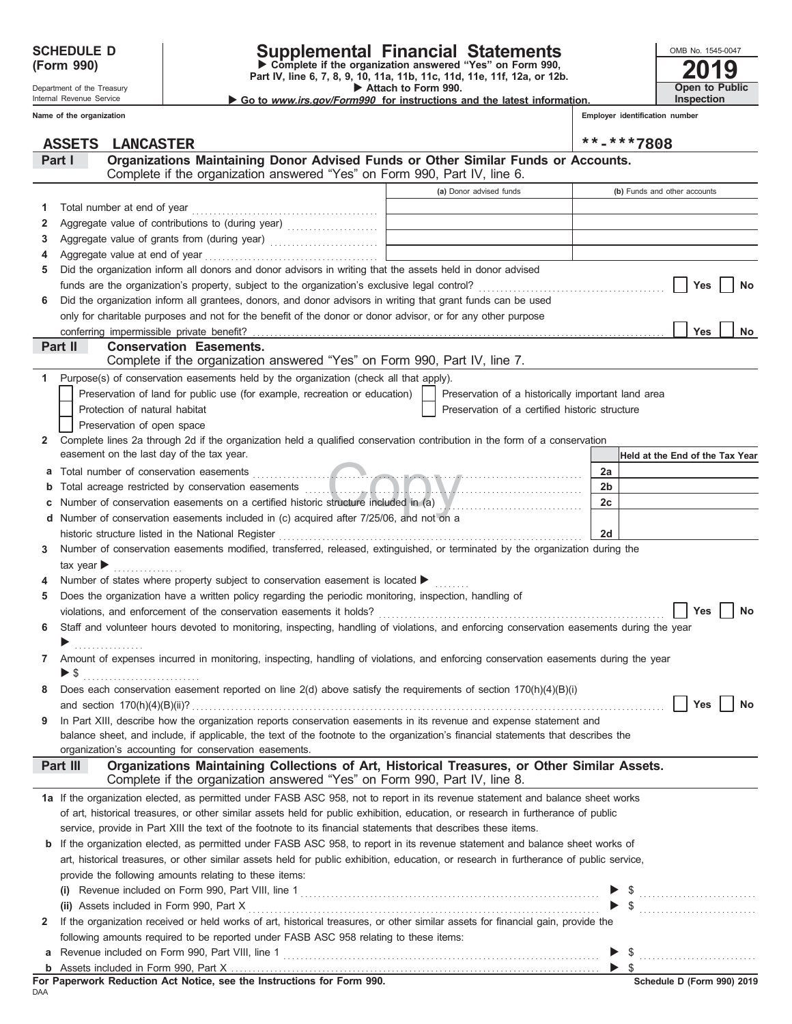Department of the Treasury Internal Revenue Service **Name of the organization**

# **SCHEDULE D Supplemental Financial Statements**

 **Attach to Form 990. (Form 990) Part IV, line 6, 7, 8, 9, 10, 11a, 11b, 11c, 11d, 11e, 11f, 12a, or 12b.**<br>Part IV, line 6, 7, 8, 9, 10, 11a, 11b, 11c, 11d, 11e, 11f, 12a, or 12b.

 **Go to www.irs.gov/Form990 for instructions and the latest information.**

**Open to Public Inspection**

**2019**

OMB No. 1545-0047

**Employer identification number**

|              | <b>ASSETS</b><br><b>LANCASTER</b>                                                                                                                                                          |                                                                            | **-***7808                      |
|--------------|--------------------------------------------------------------------------------------------------------------------------------------------------------------------------------------------|----------------------------------------------------------------------------|---------------------------------|
|              | Organizations Maintaining Donor Advised Funds or Other Similar Funds or Accounts.<br>Part I                                                                                                |                                                                            |                                 |
|              | Complete if the organization answered "Yes" on Form 990, Part IV, line 6.                                                                                                                  |                                                                            |                                 |
|              |                                                                                                                                                                                            | (a) Donor advised funds                                                    | (b) Funds and other accounts    |
| 1.           | Total number at end of year                                                                                                                                                                |                                                                            |                                 |
| 2            |                                                                                                                                                                                            |                                                                            |                                 |
| 3            |                                                                                                                                                                                            | the control of the control of the control of the control of the control of |                                 |
| 4            |                                                                                                                                                                                            |                                                                            |                                 |
| 5            | Did the organization inform all donors and donor advisors in writing that the assets held in donor advised                                                                                 |                                                                            |                                 |
|              |                                                                                                                                                                                            |                                                                            | <b>Yes</b><br>No                |
| 6            | Did the organization inform all grantees, donors, and donor advisors in writing that grant funds can be used                                                                               |                                                                            |                                 |
|              | only for charitable purposes and not for the benefit of the donor or donor advisor, or for any other purpose                                                                               |                                                                            |                                 |
|              |                                                                                                                                                                                            |                                                                            | Yes<br>No                       |
|              | Part II<br><b>Conservation Easements.</b>                                                                                                                                                  |                                                                            |                                 |
|              | Complete if the organization answered "Yes" on Form 990, Part IV, line 7.                                                                                                                  |                                                                            |                                 |
| 1.           | Purpose(s) of conservation easements held by the organization (check all that apply).                                                                                                      |                                                                            |                                 |
|              | Preservation of land for public use (for example, recreation or education)                                                                                                                 | Preservation of a historically important land area                         |                                 |
|              | Protection of natural habitat                                                                                                                                                              | Preservation of a certified historic structure                             |                                 |
|              | Preservation of open space                                                                                                                                                                 |                                                                            |                                 |
| $\mathbf{2}$ | Complete lines 2a through 2d if the organization held a qualified conservation contribution in the form of a conservation                                                                  |                                                                            |                                 |
|              | easement on the last day of the tax year.                                                                                                                                                  |                                                                            | Held at the End of the Tax Year |
| a            |                                                                                                                                                                                            |                                                                            | 2a                              |
| b            |                                                                                                                                                                                            |                                                                            | 2 <sub>b</sub>                  |
|              | Number of conservation easements on a certified historic structure included in (a) Museum museum conservation                                                                              |                                                                            | 2c                              |
|              | d Number of conservation easements included in (c) acquired after 7/25/06, and not on a                                                                                                    |                                                                            |                                 |
|              | historic structure listed in the National Register                                                                                                                                         |                                                                            | 2d                              |
| 3            | Number of conservation easements modified, transferred, released, extinguished, or terminated by the organization during the                                                               |                                                                            |                                 |
|              | tax year $\blacktriangleright$<br>.                                                                                                                                                        |                                                                            |                                 |
| 4            | Number of states where property subject to conservation easement is located ▶                                                                                                              |                                                                            |                                 |
| 5            | Does the organization have a written policy regarding the periodic monitoring, inspection, handling of                                                                                     |                                                                            |                                 |
|              |                                                                                                                                                                                            |                                                                            | Yes<br>No                       |
| 6            | Staff and volunteer hours devoted to monitoring, inspecting, handling of violations, and enforcing conservation easements during the year                                                  |                                                                            |                                 |
|              | .                                                                                                                                                                                          |                                                                            |                                 |
| $\mathbf{7}$ | Amount of expenses incurred in monitoring, inspecting, handling of violations, and enforcing conservation easements during the year                                                        |                                                                            |                                 |
|              | ▶ \$                                                                                                                                                                                       |                                                                            |                                 |
| 8            | Does each conservation easement reported on line 2(d) above satisfy the requirements of section 170(h)(4)(B)(i)                                                                            |                                                                            |                                 |
|              | and section $170(h)(4)(B)(ii)?$                                                                                                                                                            |                                                                            | Yes<br>No                       |
| 9            | In Part XIII, describe how the organization reports conservation easements in its revenue and expense statement and                                                                        |                                                                            |                                 |
|              | balance sheet, and include, if applicable, the text of the footnote to the organization's financial statements that describes the<br>organization's accounting for conservation easements. |                                                                            |                                 |
|              | Organizations Maintaining Collections of Art, Historical Treasures, or Other Similar Assets.<br>Part III                                                                                   |                                                                            |                                 |
|              | Complete if the organization answered "Yes" on Form 990, Part IV, line 8.                                                                                                                  |                                                                            |                                 |
|              | 1a If the organization elected, as permitted under FASB ASC 958, not to report in its revenue statement and balance sheet works                                                            |                                                                            |                                 |
|              | of art, historical treasures, or other similar assets held for public exhibition, education, or research in furtherance of public                                                          |                                                                            |                                 |
|              | service, provide in Part XIII the text of the footnote to its financial statements that describes these items.                                                                             |                                                                            |                                 |
| b            | If the organization elected, as permitted under FASB ASC 958, to report in its revenue statement and balance sheet works of                                                                |                                                                            |                                 |
|              | art, historical treasures, or other similar assets held for public exhibition, education, or research in furtherance of public service,                                                    |                                                                            |                                 |
|              | provide the following amounts relating to these items:                                                                                                                                     |                                                                            |                                 |
|              |                                                                                                                                                                                            |                                                                            |                                 |
|              |                                                                                                                                                                                            |                                                                            |                                 |
| $\mathbf{2}$ | If the organization received or held works of art, historical treasures, or other similar assets for financial gain, provide the                                                           |                                                                            |                                 |
|              | following amounts required to be reported under FASB ASC 958 relating to these items:                                                                                                      |                                                                            |                                 |
| a            |                                                                                                                                                                                            |                                                                            |                                 |
|              |                                                                                                                                                                                            |                                                                            | $\triangleright$ \$             |

DAA **For Paperwork Reduction Act Notice, see the Instructions for Form 990.**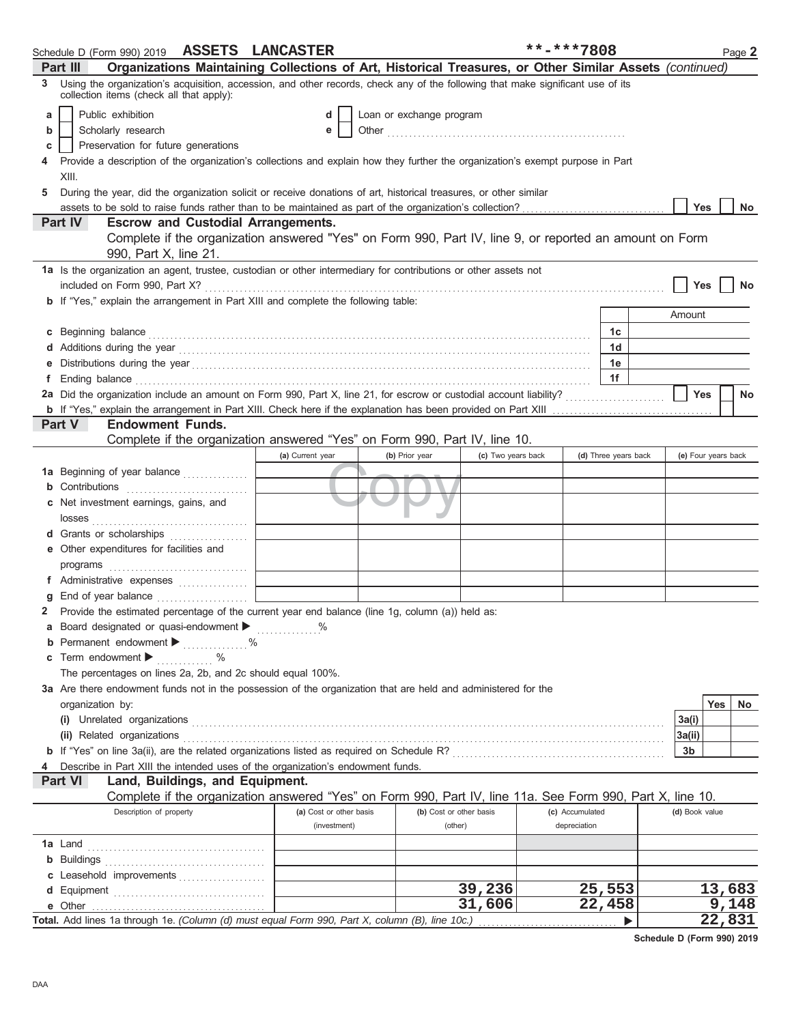|    | Schedule D (Form 990) 2019 ASSETS LANCASTER                                                                                                                                                                                          |                         |                          |                    | **-***7808      |                      |                     |        | Page 2 |
|----|--------------------------------------------------------------------------------------------------------------------------------------------------------------------------------------------------------------------------------------|-------------------------|--------------------------|--------------------|-----------------|----------------------|---------------------|--------|--------|
|    | Organizations Maintaining Collections of Art, Historical Treasures, or Other Similar Assets (continued)<br>Part III                                                                                                                  |                         |                          |                    |                 |                      |                     |        |        |
| 3. | Using the organization's acquisition, accession, and other records, check any of the following that make significant use of its<br>collection items (check all that apply):                                                          |                         |                          |                    |                 |                      |                     |        |        |
| a  | Public exhibition                                                                                                                                                                                                                    | d                       | Loan or exchange program |                    |                 |                      |                     |        |        |
| b  | Scholarly research                                                                                                                                                                                                                   | е                       |                          |                    |                 |                      |                     |        |        |
| С  | Preservation for future generations                                                                                                                                                                                                  |                         |                          |                    |                 |                      |                     |        |        |
| 4  | Provide a description of the organization's collections and explain how they further the organization's exempt purpose in Part                                                                                                       |                         |                          |                    |                 |                      |                     |        |        |
|    | XIII.                                                                                                                                                                                                                                |                         |                          |                    |                 |                      |                     |        |        |
| 5. | During the year, did the organization solicit or receive donations of art, historical treasures, or other similar                                                                                                                    |                         |                          |                    |                 |                      |                     |        |        |
|    | assets to be sold to raise funds rather than to be maintained as part of the organization's collection?                                                                                                                              |                         |                          |                    |                 |                      | Yes                 |        | No     |
|    | Part IV<br><b>Escrow and Custodial Arrangements.</b>                                                                                                                                                                                 |                         |                          |                    |                 |                      |                     |        |        |
|    | Complete if the organization answered "Yes" on Form 990, Part IV, line 9, or reported an amount on Form                                                                                                                              |                         |                          |                    |                 |                      |                     |        |        |
|    | 990, Part X, line 21.                                                                                                                                                                                                                |                         |                          |                    |                 |                      |                     |        |        |
|    | 1a Is the organization an agent, trustee, custodian or other intermediary for contributions or other assets not                                                                                                                      |                         |                          |                    |                 |                      |                     |        |        |
|    |                                                                                                                                                                                                                                      |                         |                          |                    |                 |                      | Yes                 |        | No     |
|    | <b>b</b> If "Yes," explain the arrangement in Part XIII and complete the following table:                                                                                                                                            |                         |                          |                    |                 |                      |                     |        |        |
|    |                                                                                                                                                                                                                                      |                         |                          |                    |                 |                      | Amount              |        |        |
|    | c Beginning balance <b>contract to the contract of the contract of the contract of the contract of the contract of the contract of the contract of the contract of the contract of the contract of the contract of the contract </b> |                         |                          |                    |                 | 1c                   |                     |        |        |
|    |                                                                                                                                                                                                                                      |                         |                          |                    |                 | 1 <sub>d</sub>       |                     |        |        |
|    |                                                                                                                                                                                                                                      |                         |                          |                    |                 | 1e                   |                     |        |        |
|    |                                                                                                                                                                                                                                      |                         |                          |                    |                 | 1f                   |                     |        |        |
|    | 2a Did the organization include an amount on Form 990, Part X, line 21, for escrow or custodial account liability?                                                                                                                   |                         |                          |                    |                 |                      | <b>Yes</b>          |        | No     |
|    |                                                                                                                                                                                                                                      |                         |                          |                    |                 |                      |                     |        |        |
|    | <b>Endowment Funds.</b><br><b>Part V</b>                                                                                                                                                                                             |                         |                          |                    |                 |                      |                     |        |        |
|    | Complete if the organization answered "Yes" on Form 990, Part IV, line 10.                                                                                                                                                           |                         |                          |                    |                 |                      |                     |        |        |
|    |                                                                                                                                                                                                                                      | (a) Current year        | (b) Prior year           | (c) Two years back |                 | (d) Three years back | (e) Four years back |        |        |
|    | 1a Beginning of year balance                                                                                                                                                                                                         |                         |                          |                    |                 |                      |                     |        |        |
|    | <b>b</b> Contributions                                                                                                                                                                                                               |                         |                          |                    |                 |                      |                     |        |        |
|    | c Net investment earnings, gains, and                                                                                                                                                                                                |                         |                          |                    |                 |                      |                     |        |        |
|    |                                                                                                                                                                                                                                      |                         |                          |                    |                 |                      |                     |        |        |
|    | d Grants or scholarships                                                                                                                                                                                                             |                         |                          |                    |                 |                      |                     |        |        |
|    | e Other expenditures for facilities and                                                                                                                                                                                              |                         |                          |                    |                 |                      |                     |        |        |
|    | f Administrative expenses                                                                                                                                                                                                            |                         |                          |                    |                 |                      |                     |        |        |
|    | End of year balance                                                                                                                                                                                                                  |                         |                          |                    |                 |                      |                     |        |        |
| 2. | Provide the estimated percentage of the current year end balance (line 1g, column (a)) held as:                                                                                                                                      |                         |                          |                    |                 |                      |                     |        |        |
|    | a Board designated or quasi-endowment >                                                                                                                                                                                              |                         |                          |                    |                 |                      |                     |        |        |
|    | <b>b</b> Permanent endowment $\blacktriangleright$                                                                                                                                                                                   |                         |                          |                    |                 |                      |                     |        |        |
|    | . %<br><b>c</b> Term endowment $\blacktriangleright$<br>$\ldots \ldots \ldots$ %                                                                                                                                                     |                         |                          |                    |                 |                      |                     |        |        |
|    | The percentages on lines 2a, 2b, and 2c should equal 100%.                                                                                                                                                                           |                         |                          |                    |                 |                      |                     |        |        |
|    | 3a Are there endowment funds not in the possession of the organization that are held and administered for the                                                                                                                        |                         |                          |                    |                 |                      |                     |        |        |
|    | organization by:                                                                                                                                                                                                                     |                         |                          |                    |                 |                      |                     | Yes    | No.    |
|    |                                                                                                                                                                                                                                      |                         |                          |                    |                 |                      | 3a(i)               |        |        |
|    |                                                                                                                                                                                                                                      |                         |                          |                    |                 |                      | 3a(ii)              |        |        |
|    |                                                                                                                                                                                                                                      |                         |                          |                    |                 |                      | 3b                  |        |        |
|    | Describe in Part XIII the intended uses of the organization's endowment funds.                                                                                                                                                       |                         |                          |                    |                 |                      |                     |        |        |
|    | Land, Buildings, and Equipment.<br><b>Part VI</b>                                                                                                                                                                                    |                         |                          |                    |                 |                      |                     |        |        |
|    | Complete if the organization answered "Yes" on Form 990, Part IV, line 11a. See Form 990, Part X, line 10.                                                                                                                           |                         |                          |                    |                 |                      |                     |        |        |
|    | Description of property                                                                                                                                                                                                              | (a) Cost or other basis | (b) Cost or other basis  |                    | (c) Accumulated |                      | (d) Book value      |        |        |
|    |                                                                                                                                                                                                                                      | (investment)            | (other)                  |                    | depreciation    |                      |                     |        |        |
|    |                                                                                                                                                                                                                                      |                         |                          |                    |                 |                      |                     |        |        |
|    |                                                                                                                                                                                                                                      |                         |                          |                    |                 |                      |                     |        |        |
|    | c Leasehold improvements                                                                                                                                                                                                             |                         |                          |                    |                 |                      |                     |        |        |
|    |                                                                                                                                                                                                                                      |                         |                          | 39,236             |                 | 25,553               |                     | 13,683 |        |
|    | e Other                                                                                                                                                                                                                              |                         |                          | 31,606             |                 | 22,458               |                     | 9,148  |        |
|    | Total. Add lines 1a through 1e. (Column (d) must equal Form 990, Part X, column (B), line 10c.)                                                                                                                                      |                         |                          |                    |                 |                      |                     | 22,831 |        |

**Schedule D (Form 990) 2019**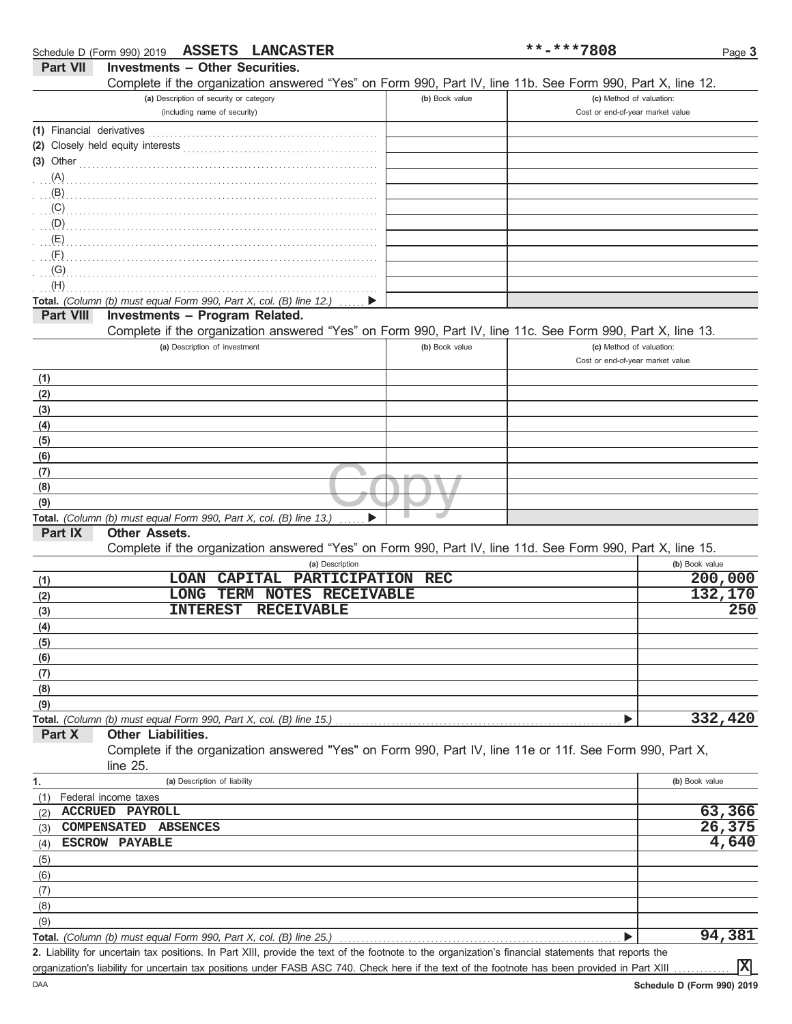|                           | Schedule D (Form 990) 2019 ASSETS LANCASTER                                                                                                        |                | **-***7808                                                   | Page 3         |
|---------------------------|----------------------------------------------------------------------------------------------------------------------------------------------------|----------------|--------------------------------------------------------------|----------------|
| <b>Part VII</b>           | <b>Investments - Other Securities.</b>                                                                                                             |                |                                                              |                |
|                           | Complete if the organization answered "Yes" on Form 990, Part IV, line 11b. See Form 990, Part X, line 12.                                         |                |                                                              |                |
|                           | (a) Description of security or category                                                                                                            | (b) Book value | (c) Method of valuation:                                     |                |
|                           | (including name of security)                                                                                                                       |                | Cost or end-of-year market value                             |                |
| (1) Financial derivatives |                                                                                                                                                    |                |                                                              |                |
|                           | (2) Closely held equity interests                                                                                                                  |                |                                                              |                |
| $(3)$ Other               |                                                                                                                                                    |                |                                                              |                |
| (A)                       |                                                                                                                                                    |                |                                                              |                |
| (B)                       |                                                                                                                                                    |                |                                                              |                |
| (C)                       |                                                                                                                                                    |                |                                                              |                |
| (D)                       |                                                                                                                                                    |                |                                                              |                |
| (E)                       |                                                                                                                                                    |                |                                                              |                |
| (F)                       |                                                                                                                                                    |                |                                                              |                |
| (G)                       |                                                                                                                                                    |                |                                                              |                |
| (H)                       |                                                                                                                                                    |                |                                                              |                |
|                           | Total. (Column (b) must equal Form 990, Part X, col. (B) line 12.)                                                                                 |                |                                                              |                |
| <b>Part VIII</b>          | Investments - Program Related.                                                                                                                     |                |                                                              |                |
|                           | Complete if the organization answered "Yes" on Form 990, Part IV, line 11c. See Form 990, Part X, line 13.                                         |                |                                                              |                |
|                           | (a) Description of investment                                                                                                                      | (b) Book value | (c) Method of valuation:<br>Cost or end-of-year market value |                |
|                           |                                                                                                                                                    |                |                                                              |                |
| (1)                       |                                                                                                                                                    |                |                                                              |                |
| (2)<br>(3)                |                                                                                                                                                    |                |                                                              |                |
| (4)                       |                                                                                                                                                    |                |                                                              |                |
| (5)                       |                                                                                                                                                    |                |                                                              |                |
| (6)                       |                                                                                                                                                    |                |                                                              |                |
| (7)                       |                                                                                                                                                    |                |                                                              |                |
| (8)                       |                                                                                                                                                    |                |                                                              |                |
| (9)                       |                                                                                                                                                    |                |                                                              |                |
|                           | Total. (Column (b) must equal Form 990, Part X, col. (B) line 13.)                                                                                 |                |                                                              |                |
| Part IX                   | <b>Other Assets.</b>                                                                                                                               |                |                                                              |                |
|                           | Complete if the organization answered "Yes" on Form 990, Part IV, line 11d. See Form 990, Part X, line 15.                                         |                |                                                              |                |
|                           | (a) Description                                                                                                                                    |                |                                                              | (b) Book value |
| (1)                       | LOAN CAPITAL<br>PARTICIPATION REC                                                                                                                  |                |                                                              | 200,000        |
| (2)                       | <b>LONG</b><br>TERM NOTES RECEIVABLE                                                                                                               |                |                                                              | 132,170        |
| (3)                       | <b>INTEREST</b><br><b>RECEIVABLE</b>                                                                                                               |                |                                                              | 250            |
| (4)                       |                                                                                                                                                    |                |                                                              |                |
| (5)                       |                                                                                                                                                    |                |                                                              |                |
| (6)                       |                                                                                                                                                    |                |                                                              |                |
| (7)                       |                                                                                                                                                    |                |                                                              |                |
| (8)                       |                                                                                                                                                    |                |                                                              |                |
| (9)                       |                                                                                                                                                    |                |                                                              |                |
|                           | Total. (Column (b) must equal Form 990, Part X, col. (B) line 15.)                                                                                 |                |                                                              | 332,420        |
| Part X                    | Other Liabilities.                                                                                                                                 |                |                                                              |                |
|                           | Complete if the organization answered "Yes" on Form 990, Part IV, line 11e or 11f. See Form 990, Part X,                                           |                |                                                              |                |
|                           | line $25$ .                                                                                                                                        |                |                                                              |                |
| 1.                        | (a) Description of liability                                                                                                                       |                |                                                              | (b) Book value |
| (1)                       | Federal income taxes<br><b>ACCRUED PAYROLL</b>                                                                                                     |                |                                                              | 63,366         |
| (2)                       | COMPENSATED ABSENCES                                                                                                                               |                |                                                              | 26,375         |
| (3)                       | <b>ESCROW PAYABLE</b>                                                                                                                              |                |                                                              | 4,640          |
| (4)                       |                                                                                                                                                    |                |                                                              |                |
| (5)<br>(6)                |                                                                                                                                                    |                |                                                              |                |
| (7)                       |                                                                                                                                                    |                |                                                              |                |
| (8)                       |                                                                                                                                                    |                |                                                              |                |
| (9)                       |                                                                                                                                                    |                |                                                              |                |
|                           | Total. (Column (b) must equal Form 990, Part X, col. (B) line 25.)                                                                                 |                |                                                              | 94,381         |
|                           | 2 Lighility for uncertain tax positions. In Part XIII provide the text of the footnote to the organization's financial statements that reports the |                |                                                              |                |

bility for uncertain tax positions. In Part XIII, provide the text of the footnote to the organization's financial statements that reports the organization's liability for uncertain tax positions under FASB ASC 740. Check here if the text of the footnote has been provided in Part XIII **2.**

**X**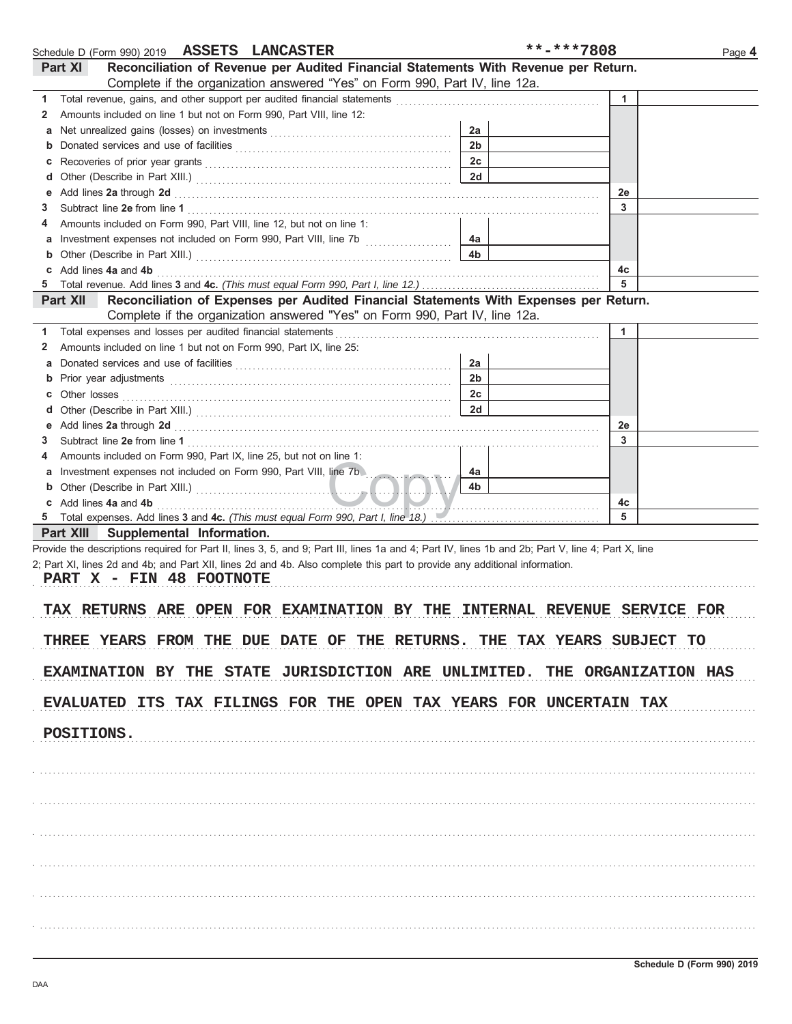|   | Schedule D (Form 990) 2019 ASSETS LANCASTER                                                                                                                                                                                    |                | **-***7808 | Page 4 |
|---|--------------------------------------------------------------------------------------------------------------------------------------------------------------------------------------------------------------------------------|----------------|------------|--------|
|   | Reconciliation of Revenue per Audited Financial Statements With Revenue per Return.<br>Part XI                                                                                                                                 |                |            |        |
|   | Complete if the organization answered "Yes" on Form 990, Part IV, line 12a.                                                                                                                                                    |                |            |        |
| 1 | Total revenue, gains, and other support per audited financial statements                                                                                                                                                       |                | 1          |        |
| 2 | Amounts included on line 1 but not on Form 990, Part VIII, line 12:                                                                                                                                                            |                |            |        |
| а |                                                                                                                                                                                                                                | 2a             |            |        |
| b |                                                                                                                                                                                                                                | 2 <sub>b</sub> |            |        |
|   |                                                                                                                                                                                                                                | 2c             |            |        |
| c |                                                                                                                                                                                                                                | 2d             |            |        |
| d |                                                                                                                                                                                                                                |                |            |        |
| е | Add lines 2a through 2d                                                                                                                                                                                                        |                | 2e<br>3    |        |
| З |                                                                                                                                                                                                                                |                |            |        |
| 4 | Amounts included on Form 990, Part VIII, line 12, but not on line 1:                                                                                                                                                           |                |            |        |
| а |                                                                                                                                                                                                                                | 4a             |            |        |
| b |                                                                                                                                                                                                                                | 4 <sub>b</sub> |            |        |
| c | Add lines 4a and 4b                                                                                                                                                                                                            |                | 4c         |        |
| 5 |                                                                                                                                                                                                                                |                | 5          |        |
|   | Reconciliation of Expenses per Audited Financial Statements With Expenses per Return.<br><b>Part XII</b>                                                                                                                       |                |            |        |
|   | Complete if the organization answered "Yes" on Form 990, Part IV, line 12a.                                                                                                                                                    |                |            |        |
| 1 | Total expenses and losses per audited financial statements                                                                                                                                                                     |                | 1          |        |
| 2 | Amounts included on line 1 but not on Form 990, Part IX, line 25:                                                                                                                                                              |                |            |        |
| а |                                                                                                                                                                                                                                | 2a             |            |        |
| b | Prior year adjustments entertainments and the contract of the contract of the contract of the contract of the contract of the contract of the contract of the contract of the contract of the contract of the contract of the  | 2 <sub>b</sub> |            |        |
| С | Other losses                                                                                                                                                                                                                   | 2c             |            |        |
| d |                                                                                                                                                                                                                                | 2d             |            |        |
| е | Add lines 2a through 2d [11] Additional Additional Additional Additional Additional Additional Additional Additional Additional Additional Additional Additional Additional Additional Additional Additional Additional Additi |                | 2e         |        |
| 3 |                                                                                                                                                                                                                                |                | 3          |        |
| 4 | Amounts included on Form 990, Part IX, line 25, but not on line 1:                                                                                                                                                             |                |            |        |
| а | Investment expenses not included on Form 990, Part VIII, line 7b                                                                                                                                                               | 4a             |            |        |
| b |                                                                                                                                                                                                                                | 4b             |            |        |
|   | c Add lines 4a and 4b                                                                                                                                                                                                          |                | 4c         |        |
| 5 | Total expenses. Add lines 3 and 4c. (This must equal Form 990, Part I, line 18.) [1] [1] Total expenses. Add lines 3 and 4c. (This must equal Form 990, Part I, line 18.)                                                      |                | 5          |        |
|   | Part XIII Supplemental Information.                                                                                                                                                                                            |                |            |        |
|   | Provide the descriptions required for Part II, lines 3, 5, and 9; Part III, lines 1a and 4; Part IV, lines 1b and 2b; Part V, line 4; Part X, line                                                                             |                |            |        |
|   | 2; Part XI, lines 2d and 4b; and Part XII, lines 2d and 4b. Also complete this part to provide any additional information.                                                                                                     |                |            |        |
|   | PART X - FIN 48 FOOTNOTE                                                                                                                                                                                                       |                |            |        |
|   |                                                                                                                                                                                                                                |                |            |        |
|   |                                                                                                                                                                                                                                |                |            |        |
|   | TAX RETURNS ARE OPEN FOR EXAMINATION BY THE INTERNAL REVENUE SERVICE FOR                                                                                                                                                       |                |            |        |
|   |                                                                                                                                                                                                                                |                |            |        |
|   | THREE YEARS FROM THE DUE DATE OF THE RETURNS. THE TAX YEARS SUBJECT TO                                                                                                                                                         |                |            |        |
|   |                                                                                                                                                                                                                                |                |            |        |
|   | EXAMINATION BY THE STATE JURISDICTION ARE UNLIMITED. THE ORGANIZATION HAS                                                                                                                                                      |                |            |        |
|   |                                                                                                                                                                                                                                |                |            |        |
|   | EVALUATED ITS TAX FILINGS FOR THE OPEN TAX YEARS FOR UNCERTAIN TAX                                                                                                                                                             |                |            |        |
|   |                                                                                                                                                                                                                                |                |            |        |
|   | POSITIONS.                                                                                                                                                                                                                     |                |            |        |
|   |                                                                                                                                                                                                                                |                |            |        |
|   |                                                                                                                                                                                                                                |                |            |        |
|   |                                                                                                                                                                                                                                |                |            |        |
|   |                                                                                                                                                                                                                                |                |            |        |
|   |                                                                                                                                                                                                                                |                |            |        |
|   |                                                                                                                                                                                                                                |                |            |        |
|   |                                                                                                                                                                                                                                |                |            |        |
|   |                                                                                                                                                                                                                                |                |            |        |
|   |                                                                                                                                                                                                                                |                |            |        |
|   |                                                                                                                                                                                                                                |                |            |        |
|   |                                                                                                                                                                                                                                |                |            |        |
|   |                                                                                                                                                                                                                                |                |            |        |
|   |                                                                                                                                                                                                                                |                |            |        |
|   |                                                                                                                                                                                                                                |                |            |        |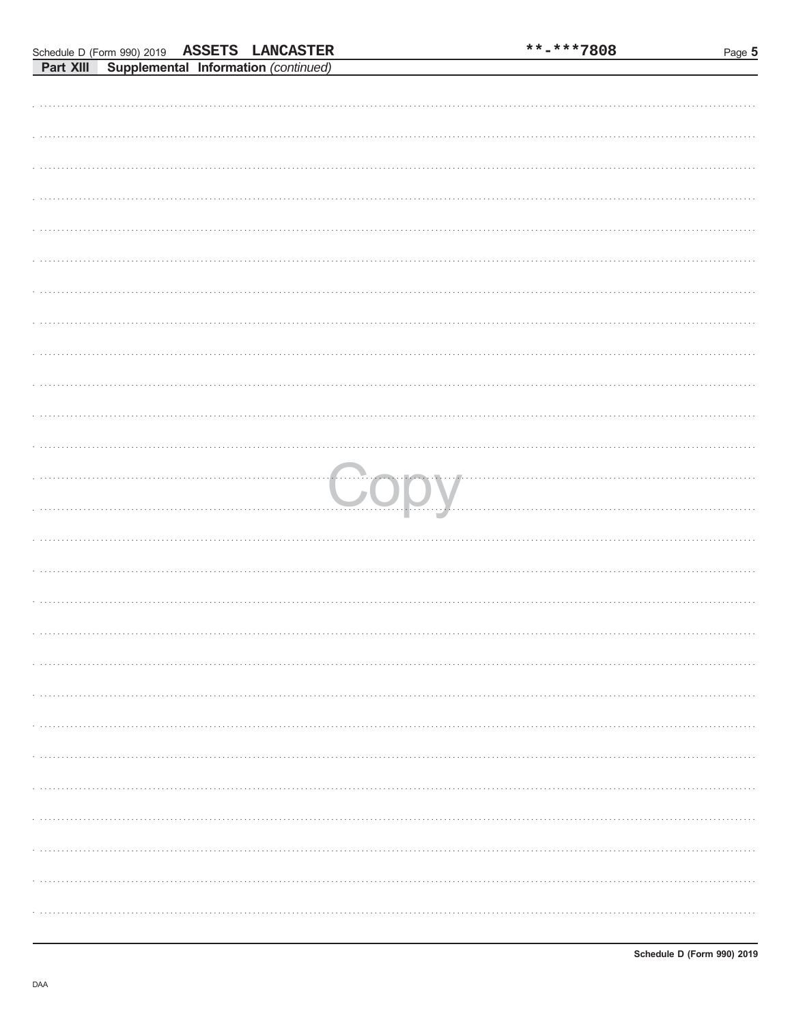|  | oupplemental implimation (commuted) |   |
|--|-------------------------------------|---|
|  |                                     |   |
|  |                                     |   |
|  |                                     |   |
|  |                                     |   |
|  |                                     |   |
|  |                                     |   |
|  |                                     |   |
|  |                                     |   |
|  |                                     |   |
|  |                                     |   |
|  |                                     |   |
|  |                                     |   |
|  |                                     |   |
|  |                                     |   |
|  |                                     |   |
|  |                                     |   |
|  |                                     |   |
|  |                                     |   |
|  | Copy                                |   |
|  |                                     |   |
|  |                                     |   |
|  |                                     |   |
|  |                                     |   |
|  |                                     |   |
|  |                                     |   |
|  |                                     |   |
|  |                                     |   |
|  |                                     |   |
|  |                                     |   |
|  |                                     |   |
|  |                                     |   |
|  |                                     |   |
|  |                                     |   |
|  |                                     |   |
|  |                                     |   |
|  |                                     |   |
|  |                                     |   |
|  |                                     |   |
|  |                                     | . |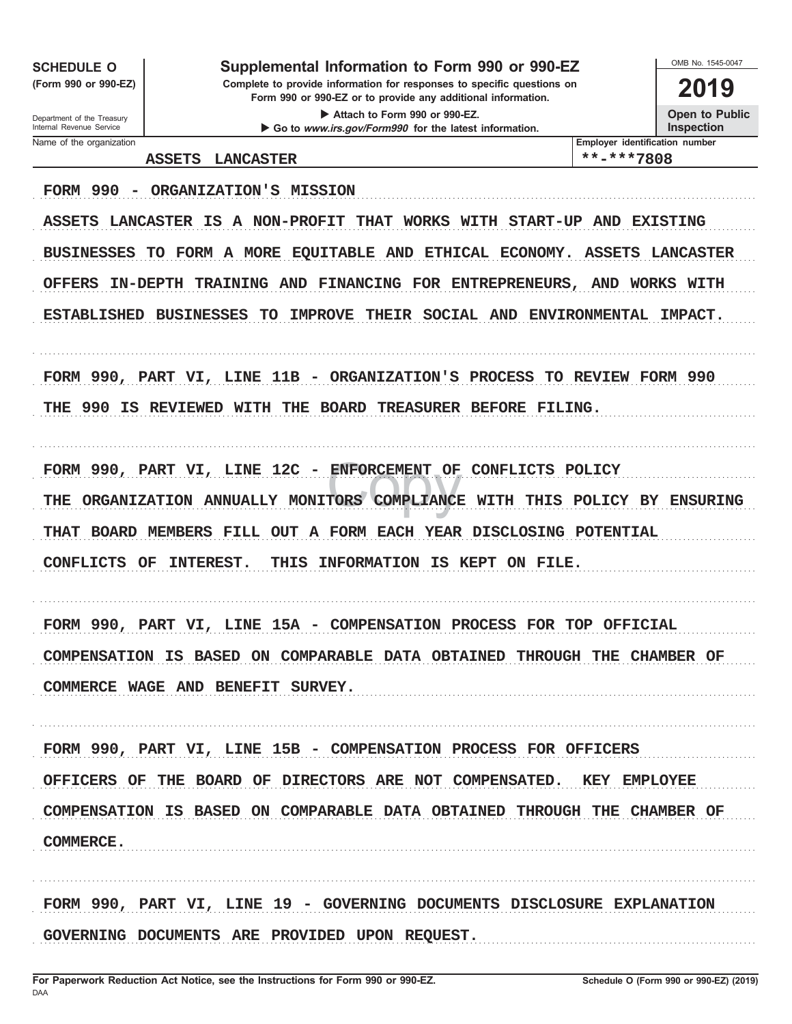**SCHEDULE O** 

(Form 990 or 990-EZ)

# Supplemental Information to Form 990 or 990-EZ

Complete to provide information for responses to specific questions on Form 990 or 990-EZ or to provide any additional information.

Attach to Form 990 or 990-EZ. Go to www.irs.gov/Form990 for the latest information. OMB No 1545-0047

2019 **Open to Public** 

Inspection

Department of the Treasury Internal Revenue Service Name of the organization

Employer identification number

\*\*-\*\*\*7808 ASSETS LANCASTER FORM 990 - ORGANIZATION'S MISSION ASSETS LANCASTER IS A NON-PROFIT THAT WORKS WITH START-UP AND EXISTING BUSINESSES TO FORM A MORE EQUITABLE AND ETHICAL ECONOMY. ASSETS LANCASTER OFFERS IN-DEPTH TRAINING AND FINANCING FOR ENTREPRENEURS, AND WORKS WITH ESTABLISHED BUSINESSES TO IMPROVE THEIR SOCIAL AND ENVIRONMENTAL IMPACT. FORM 990, PART VI, LINE 11B - ORGANIZATION'S PROCESS TO REVIEW FORM 990 THE 990 IS REVIEWED WITH THE BOARD TREASURER BEFORE FILING. FORM 990, PART VI, LINE 12C - ENFORCEMENT OF CONFLICTS POLICY THE ORGANIZATION ANNUALLY MONITORS COMPLIANCE WITH THIS POLICY BY ENSURING THAT BOARD MEMBERS FILL OUT A FORM EACH YEAR DISCLOSING POTENTIAL CONFLICTS OF INTEREST. THIS INFORMATION IS KEPT ON FILE. FORM 990, PART VI, LINE 15A - COMPENSATION PROCESS FOR TOP OFFICIAL COMPENSATION IS BASED ON COMPARABLE DATA OBTAINED THROUGH THE CHAMBER OF COMMERCE WAGE AND BENEFIT SURVEY. FORM 990, PART VI, LINE 15B - COMPENSATION PROCESS FOR OFFICERS OFFICERS OF THE BOARD OF DIRECTORS ARE NOT COMPENSATED. **KEY EMPLOYEE** COMPENSATION IS BASED ON COMPARABLE DATA OBTAINED THROUGH THE CHAMBER OF **COMMERCE.** FORM 990, PART VI, LINE 19 - GOVERNING DOCUMENTS DISCLOSURE EXPLANATION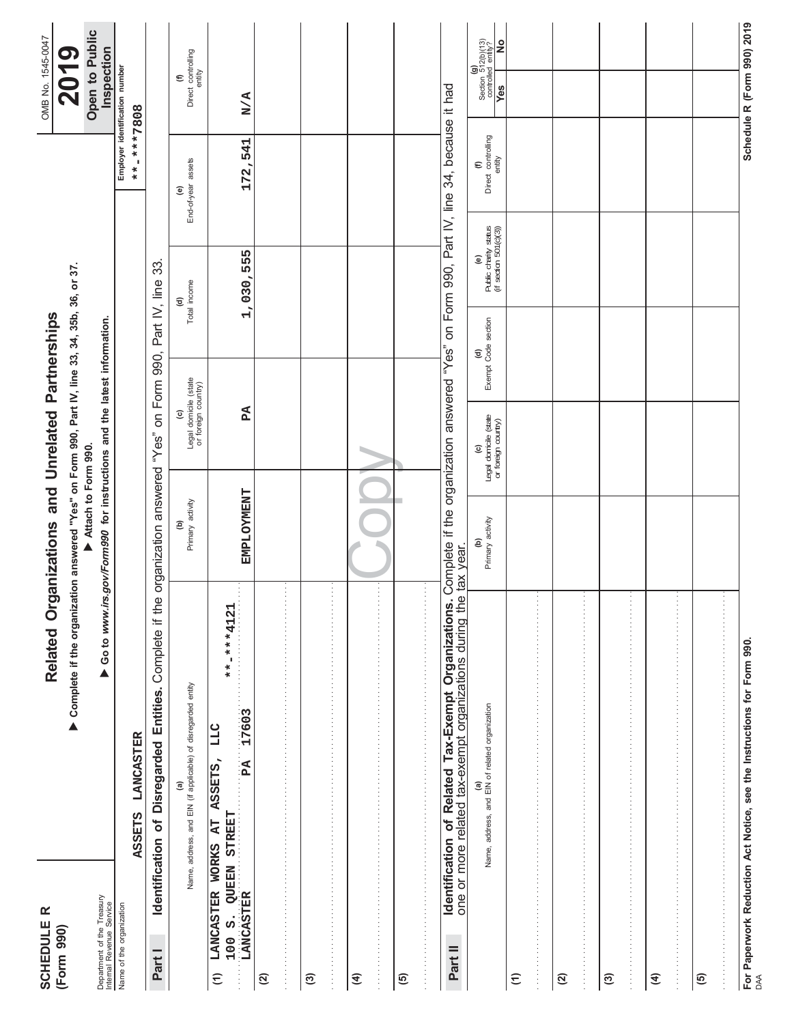| $\pmb{\propto}$<br><b>SCHEDULE</b><br>(Form 990)                     |                                                                                                                | Related Organizations and Unrelated Partnerships                                                       |                                                     |                            |                                                      |                                              | OMB No. 1545-0047                                                                                                                                          |
|----------------------------------------------------------------------|----------------------------------------------------------------------------------------------------------------|--------------------------------------------------------------------------------------------------------|-----------------------------------------------------|----------------------------|------------------------------------------------------|----------------------------------------------|------------------------------------------------------------------------------------------------------------------------------------------------------------|
|                                                                      | ▶ Complete if the organization answered "Yes" on Form 990, Part IV, line 33, 34, 35b, 36, or 37.               | Attach to Form 990.                                                                                    |                                                     |                            |                                                      |                                              | Open to Public<br>2019                                                                                                                                     |
| Department of the Treasury<br>Internal Revenue Service               |                                                                                                                | Go to www.irs.gov/Form990 for instructions and the latest information.                                 |                                                     |                            |                                                      |                                              | Inspection                                                                                                                                                 |
| Name of the organization                                             |                                                                                                                |                                                                                                        |                                                     |                            |                                                      |                                              | Employer identification number                                                                                                                             |
|                                                                      | <b>LANCASTER</b><br><b>ASSETS</b>                                                                              |                                                                                                        |                                                     |                            |                                                      | **-***7808                                   |                                                                                                                                                            |
| Part I                                                               | Identification of Disregarded Entities. Complete if the                                                        | organization answered "Yes" on Form 990, Part IV, line 33                                              |                                                     |                            |                                                      |                                              |                                                                                                                                                            |
|                                                                      | Name, address, and EIN (if applicable) of disregarded entity<br>$\widehat{\mathbf{e}}$                         | Primary activity<br>ê                                                                                  | Legal domicile (state<br>or foreign country)<br>ତ୍ର |                            | Total income<br>₹                                    | End-of-year assets<br>$\widehat{\mathbf{e}}$ | (f)<br>Direct controlling<br>entity                                                                                                                        |
| LANCASTER<br>LANCASTER<br>LANCASTER WORKS AT<br>$\widehat{\epsilon}$ | ÷,<br>**-****4121<br>PA 17603<br>LLC<br>ASSETS,                                                                | <b>EMPLOYMENT</b>                                                                                      | ደሻ                                                  |                            | 1,030,555                                            | 172,541                                      | N/A                                                                                                                                                        |
| $\widehat{\alpha}$                                                   | ÷<br>医马耳氏反应 医马耳氏反应 医马耳氏试验检尿毒素 医马耳氏试验检尿毒素 医马耳氏试验检尿道 医马耳氏试验检尿道 医马耳氏试验检尿道 医马耳氏试验检尿道 医马耳氏试验检尿道                     |                                                                                                        |                                                     |                            |                                                      |                                              |                                                                                                                                                            |
| ම                                                                    | 医马耳氏试验检尿毒素 医马耳氏试验检尿毒素 医马耳氏试验检尿道 医马耳氏试验检尿道 医马耳氏试验检尿道 医马耳氏试验检尿道 医马耳氏试验检尿道 医马耳氏试验检尿道 医马耳氏试验检尿                     |                                                                                                        |                                                     |                            |                                                      |                                              |                                                                                                                                                            |
| E                                                                    |                                                                                                                |                                                                                                        |                                                     |                            |                                                      |                                              |                                                                                                                                                            |
| $\widehat{e}$                                                        | $\cdot$                                                                                                        |                                                                                                        |                                                     |                            |                                                      |                                              |                                                                                                                                                            |
| Part II                                                              | one or more related tax-exempt organizations during the<br>Identification of Related Tax-Exempt Organizations. | Complete if the organization answered "Yes" on Form 990, Part IV, line 34, because it had<br>tax year. |                                                     |                            |                                                      |                                              |                                                                                                                                                            |
|                                                                      | (a)<br>Name, address, and EIN of related organization                                                          | Primary activity<br>ê                                                                                  | (c)<br>Legal domicile (state<br>or foreign country) | (d)<br>Exempt Code section | Public charity status<br>(if section 501(c)(3))<br>ම | (f)<br>Direct controlling<br>entity          | $\begin{array}{c} \textbf{(g)}\\ \text{Section} \hspace{0.2cm} 512 \text{(b)} \text{(13)}\\ \text{controlled entity?} \end{array}$<br>$\frac{1}{2}$<br>Yes |
| $\widehat{\epsilon}$                                                 | 医马里耳氏菌 医马里氏菌 医马里氏菌 医马里氏菌 医马里氏菌 医马里氏菌 医马里氏菌 医马里氏菌 医马里氏菌 医马里氏菌 医马里氏菌 医马里氏菌 医马里氏菌 医马里氏菌                           |                                                                                                        |                                                     |                            |                                                      |                                              |                                                                                                                                                            |
| $\widehat{\alpha}$                                                   |                                                                                                                |                                                                                                        |                                                     |                            |                                                      |                                              |                                                                                                                                                            |
| $\widehat{\mathfrak{G}}$                                             |                                                                                                                |                                                                                                        |                                                     |                            |                                                      |                                              |                                                                                                                                                            |
| $\widehat{A}$                                                        |                                                                                                                |                                                                                                        |                                                     |                            |                                                      |                                              |                                                                                                                                                            |
| $\overline{6}$                                                       | 医血管中枢 医血管中枢 医血管中枢 医血管中枢 医血管中枢 医血管中枢 医血管中枢 医血管中枢 医血管中枢 医血管中枢 医血管中枢 医血管中枢 医血管中枢 医血管                              |                                                                                                        |                                                     |                            |                                                      |                                              |                                                                                                                                                            |
|                                                                      | For Paperwork Reduction Act Notice, see the Instructions for Form 990<br><sub>DAA</sub>                        |                                                                                                        |                                                     |                            |                                                      |                                              | Schedule R (Form 990) 2019                                                                                                                                 |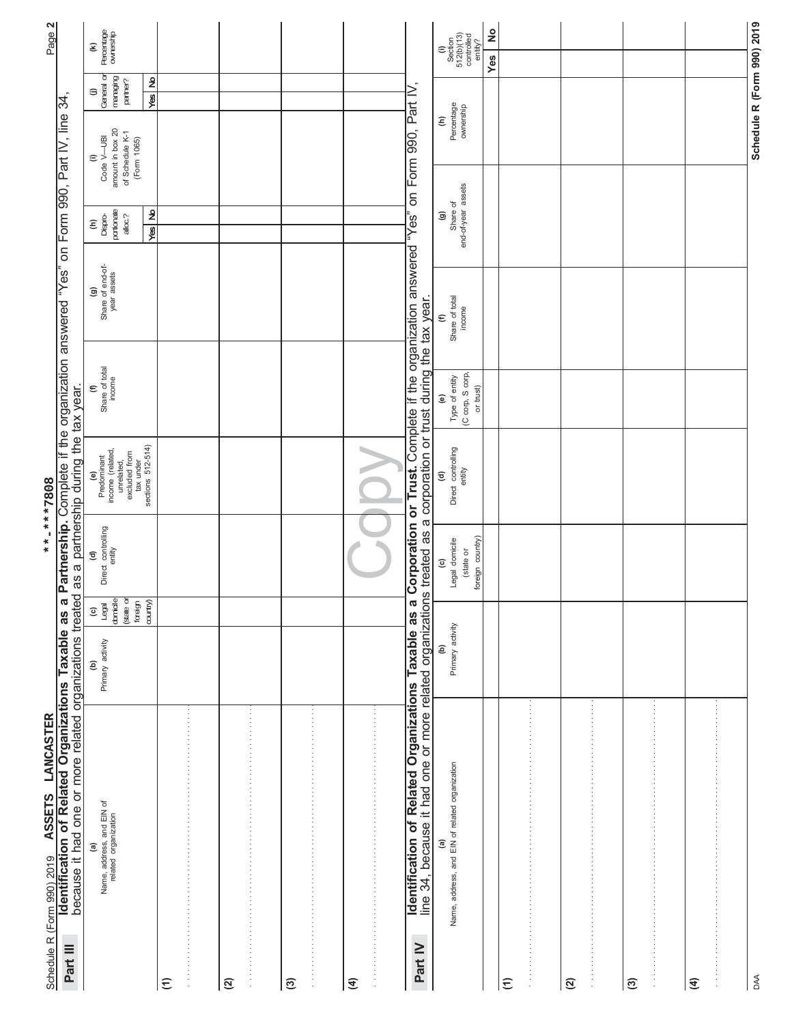| Identification of Related Organizations Taxable as a<br>ASSETS LANCASTER<br>Schedule R (Form 990) 2019<br>Part III                                                                  |                       |                                                                     | **-***7808                                             | Partnership. Complete if the organization answered                                                      |                                                                           | in Yes"                                                     |                                       | on Form 990, Part IV, line                                            | 34,                                     | Page 2                                              |
|-------------------------------------------------------------------------------------------------------------------------------------------------------------------------------------|-----------------------|---------------------------------------------------------------------|--------------------------------------------------------|---------------------------------------------------------------------------------------------------------|---------------------------------------------------------------------------|-------------------------------------------------------------|---------------------------------------|-----------------------------------------------------------------------|-----------------------------------------|-----------------------------------------------------|
| because it had one or more related organizations treated as a partnership during the tax year.                                                                                      |                       |                                                                     |                                                        |                                                                                                         |                                                                           |                                                             |                                       |                                                                       |                                         |                                                     |
| Name, address, and EIN of<br>related organization<br>$\widehat{a}$                                                                                                                  | Primary activity<br>ê | domicile<br>(state or<br>foreign<br>Legal<br>$\widehat{\mathbf{c}}$ | Direct controlling<br>$\widehat{\mathbf{c}}$           | tax under<br>sections 512-514)<br>(e)<br>Predominant<br>income (related,<br>unrelated,<br>excluded from | Share of total<br>income<br>$\epsilon$                                    | Share of end-of-<br>year assets<br>ම                        | portionate<br>Dispro-<br>alloc.?<br>ε | amount in box 20<br>of Schedule K-1<br>Code V-UBI<br>(Form 1065)<br>€ | General or<br>managing<br>partner?<br>⊜ | Percentage<br>ownership<br>€                        |
|                                                                                                                                                                                     |                       | country)                                                            |                                                        |                                                                                                         |                                                                           |                                                             | $rac{8}{1}$<br>yes <sup></sup>        |                                                                       | Ves No                                  |                                                     |
|                                                                                                                                                                                     |                       |                                                                     |                                                        |                                                                                                         |                                                                           |                                                             |                                       |                                                                       |                                         |                                                     |
|                                                                                                                                                                                     |                       |                                                                     |                                                        |                                                                                                         |                                                                           |                                                             |                                       |                                                                       |                                         |                                                     |
|                                                                                                                                                                                     |                       |                                                                     |                                                        |                                                                                                         |                                                                           |                                                             |                                       |                                                                       |                                         |                                                     |
|                                                                                                                                                                                     |                       |                                                                     |                                                        |                                                                                                         |                                                                           |                                                             |                                       |                                                                       |                                         |                                                     |
|                                                                                                                                                                                     |                       |                                                                     |                                                        |                                                                                                         |                                                                           |                                                             |                                       |                                                                       |                                         |                                                     |
| 医血管中枢 医单位性 医单位性 医单位性 医单位性 医血清性 医血清性 医血清性 医血清性 医血清性 医血清性 医血清                                                                                                                         |                       |                                                                     |                                                        |                                                                                                         |                                                                           |                                                             |                                       |                                                                       |                                         |                                                     |
| line 34, because it had one or more related organizations treated as a corporation or trust during the tax year.<br>Identification of Related Organizations Taxable as a<br>Part IV |                       |                                                                     |                                                        |                                                                                                         |                                                                           | Corporation or Trust. Complete if the organization answered | in Yes"                               | on Form 990, Part IV                                                  |                                         |                                                     |
| Name, address, and EIN of related organization<br>@                                                                                                                                 | Primary activity<br>ê |                                                                     | foreign country)<br>(c)<br>Legal domicile<br>(state or | Direct controlling<br>entity<br>$\widehat{\mathbf{c}}$                                                  | (C corp, S corp,<br>Type of entity<br>or trust)<br>$\widehat{\mathsf{e}}$ | Share of total<br>income<br>$\epsilon$                      | end-of-year assets<br>Share of<br>ම   | Percentage<br>ownership<br>Ê                                          |                                         | Section<br>512(b)(13)<br>controlled<br>entity?<br>€ |
|                                                                                                                                                                                     |                       |                                                                     |                                                        |                                                                                                         |                                                                           |                                                             |                                       |                                                                       |                                         | $\frac{1}{2}$<br>Yes                                |
|                                                                                                                                                                                     |                       |                                                                     |                                                        |                                                                                                         |                                                                           |                                                             |                                       |                                                                       |                                         |                                                     |
|                                                                                                                                                                                     |                       |                                                                     |                                                        |                                                                                                         |                                                                           |                                                             |                                       |                                                                       |                                         |                                                     |
|                                                                                                                                                                                     |                       |                                                                     |                                                        |                                                                                                         |                                                                           |                                                             |                                       |                                                                       |                                         |                                                     |
|                                                                                                                                                                                     |                       |                                                                     |                                                        |                                                                                                         |                                                                           |                                                             |                                       |                                                                       |                                         |                                                     |
|                                                                                                                                                                                     |                       |                                                                     |                                                        |                                                                                                         |                                                                           |                                                             |                                       |                                                                       |                                         |                                                     |
|                                                                                                                                                                                     |                       |                                                                     |                                                        |                                                                                                         |                                                                           |                                                             |                                       |                                                                       |                                         | Schedule R (Form 990) 2019                          |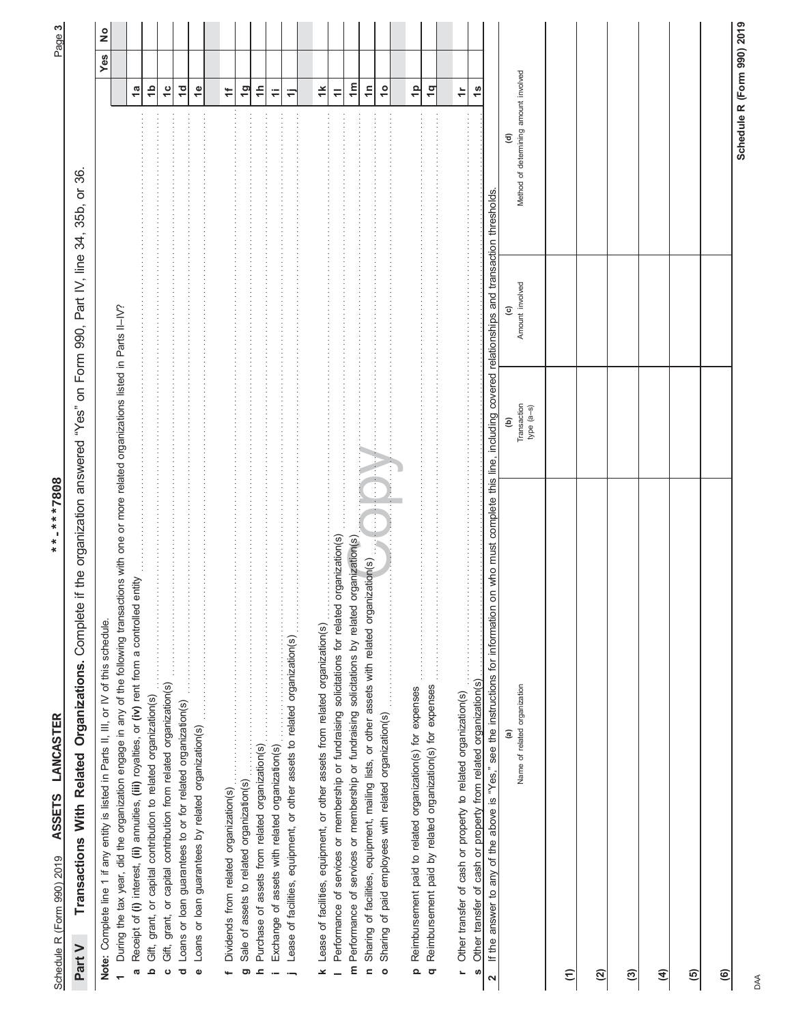| l<br>l     |
|------------|
| てましてっ      |
| 0.101<br>ļ |
| I<br>ś     |

\*\*-\*\*\*7808

Page **3**

|                                                                                                   | $\frac{1}{2}$                                                                           |                                                                                                                                                     |                                                                                                         |                                                                             |                                                                                 |                |                                                                  |           |                                                 |               |                                                 |                                                                                        |                                                                                   |                                                                                                   |                                                                                                    |                                                                                                               |                                                                   |                                                                        |                                                                             |                                                                    |                                                                      |                                                                                                                                    |                                            |                      |     |   |   |   |  |
|---------------------------------------------------------------------------------------------------|-----------------------------------------------------------------------------------------|-----------------------------------------------------------------------------------------------------------------------------------------------------|---------------------------------------------------------------------------------------------------------|-----------------------------------------------------------------------------|---------------------------------------------------------------------------------|----------------|------------------------------------------------------------------|-----------|-------------------------------------------------|---------------|-------------------------------------------------|----------------------------------------------------------------------------------------|-----------------------------------------------------------------------------------|---------------------------------------------------------------------------------------------------|----------------------------------------------------------------------------------------------------|---------------------------------------------------------------------------------------------------------------|-------------------------------------------------------------------|------------------------------------------------------------------------|-----------------------------------------------------------------------------|--------------------------------------------------------------------|----------------------------------------------------------------------|------------------------------------------------------------------------------------------------------------------------------------|--------------------------------------------|----------------------|-----|---|---|---|--|
|                                                                                                   | Yes                                                                                     |                                                                                                                                                     | $\mathbf{a}$                                                                                            | $\frac{1}{2}$                                                               | $\frac{c}{1}$                                                                   | $\overline{a}$ | $\frac{6}{1}$                                                    | $\ddot{}$ | $\overline{q}$                                  | $\ddot{\tau}$ | ≓                                               | Φ                                                                                      | $\ddot{}$                                                                         | $\equiv$                                                                                          | $\mathbf{m}$                                                                                       | $\overline{1}$                                                                                                | $\frac{1}{2}$                                                     | $\frac{1}{2}$                                                          | $\overline{\mathbf{q}}$                                                     | $\div$                                                             | $\frac{8}{1}$                                                        |                                                                                                                                    |                                            |                      |     |   |   |   |  |
|                                                                                                   |                                                                                         |                                                                                                                                                     |                                                                                                         |                                                                             |                                                                                 |                |                                                                  |           |                                                 |               |                                                 |                                                                                        |                                                                                   |                                                                                                   |                                                                                                    |                                                                                                               |                                                                   |                                                                        |                                                                             |                                                                    |                                                                      |                                                                                                                                    | Method of determining amount involved<br>ਭ |                      |     |   |   |   |  |
| on Form 990, Part IV, line 34, 35b, or 36                                                         |                                                                                         |                                                                                                                                                     |                                                                                                         |                                                                             |                                                                                 |                |                                                                  |           |                                                 |               |                                                 |                                                                                        |                                                                                   |                                                                                                   |                                                                                                    |                                                                                                               |                                                                   |                                                                        |                                                                             |                                                                    |                                                                      | line, including covered relationships and transaction thresholds.                                                                  | Amount involved                            |                      |     |   |   |   |  |
|                                                                                                   |                                                                                         |                                                                                                                                                     |                                                                                                         |                                                                             |                                                                                 |                |                                                                  |           |                                                 |               |                                                 |                                                                                        |                                                                                   |                                                                                                   |                                                                                                    |                                                                                                               |                                                                   |                                                                        |                                                                             |                                                                    |                                                                      |                                                                                                                                    | Transaction<br>$type (a-s)$<br>ê           |                      |     |   |   |   |  |
| if the organization answered "Yes"<br>Transactions With Related Organizations. Complete<br>Part V | Note: Complete line 1 if any entity is listed in Parts II, III, or IV of this schedule. | During the tax year, did the organization engage in any of the following transactions with one or more related organizations listed in Parts II-IV? | entity<br>Receipt of (I) interest, (ii) annuities, (iii) royalties, or (iv) rent from a controlled<br>a | Gift, grant, or capital contribution to related organization(s)<br>$\Omega$ | grant, or capital contribution from related organization(s)<br>Gift,<br>$\circ$ | ಕ              | Loans or loan guarantees by related organization(s)<br>$\bullet$ |           | Sale of assets to related organization(s)<br>ටා | ᇰ             | Exchange of assets with related organization(s) | $\vdots$<br>Lease of facilities, equipment, or other assets to related organization(s) | Lease of facilities, equipment, or other assets from related organization(s)<br>× | organization(s)<br>Performance of services or membership or fundraising solicitations for related | organization(s)<br>m Performance of services or membership or fundraising solicitations by related | Sharing of facilities, equipment, mailing lists, or other assets with related organization(s)<br>$\mathbf{r}$ | Sharing of paid employees with related organization(s)<br>$\circ$ | Reimbursement paid to related organization(s) for expenses<br>$\Omega$ | .<br>Reimbursement paid by related organization(s) for expenses<br>$\sigma$ | Other transfer of cash or property to related organization(s)<br>L | Other transfer of cash or property from related organization(s)<br>S | on who must complete this<br>If the answer to any of the above is "Yes," see the instructions for information<br>$\mathbf{\Omega}$ | Name of related organization               | $\widehat{\epsilon}$ | ପ୍ର | ල | E | ම |  |

DAA

**(6)**

**Schedule R (Form 990) 2019**

Schedule R (Form 990) 2019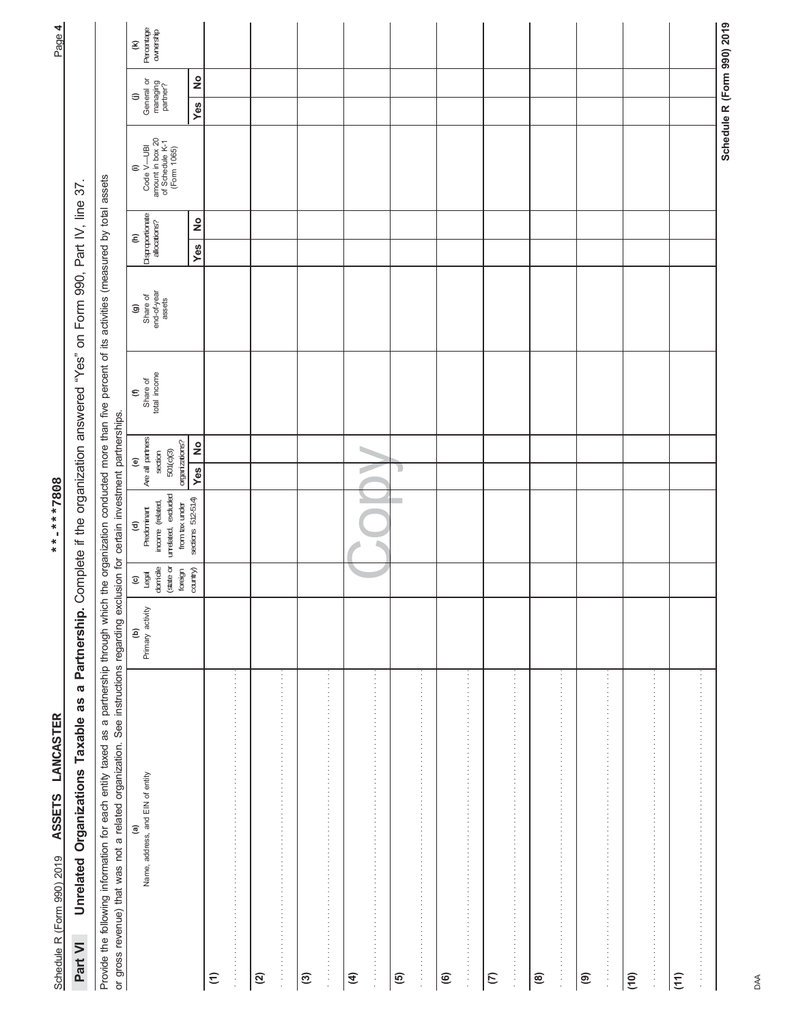| or gross revenue) that was not a related organization. See instructions regarding exclusion for certain investment partnerships. |                                   |                                        |                                                             |                                                                    |                                        |                                                             |                                          |                                                                                   |                                         |                                                              |
|----------------------------------------------------------------------------------------------------------------------------------|-----------------------------------|----------------------------------------|-------------------------------------------------------------|--------------------------------------------------------------------|----------------------------------------|-------------------------------------------------------------|------------------------------------------|-----------------------------------------------------------------------------------|-----------------------------------------|--------------------------------------------------------------|
| Name, address, and EIN of entity<br>@                                                                                            | Primary activity<br>$\widehat{e}$ | domicile<br>(state or<br>$\frac{1}{2}$ | unrelated, excluded<br>income (related,<br>Predominant<br>€ | Are all partners<br>501(c)(3)<br>section<br>$\widehat{\mathbf{e}}$ | total income<br>Share of<br>$\epsilon$ | end-of-year<br>assets<br>Share of<br>$\widehat{\mathbf{G}}$ | Disproportionate<br>$\widehat{\epsilon}$ | amount in box 20<br>of Schedule K-1<br>(Form 1065)<br>Code V-UBI<br>$\widehat{=}$ | General or<br>managing<br>partner?<br>⊜ | Percentage<br>ownership<br>$\widehat{\boldsymbol{\epsilon}}$ |
|                                                                                                                                  |                                   | country)<br>foreign                    | sections 512-514)<br>from tax under                         | organizations?<br>Yes No                                           |                                        |                                                             | $\frac{1}{2}$<br>Yes                     |                                                                                   | $\frac{1}{2}$<br>Yes                    |                                                              |
| $\widehat{z}$                                                                                                                    |                                   |                                        |                                                             |                                                                    |                                        |                                                             |                                          |                                                                                   |                                         |                                                              |
| $\mathfrak{D}$                                                                                                                   |                                   |                                        |                                                             |                                                                    |                                        |                                                             |                                          |                                                                                   |                                         |                                                              |
| $\vdots$                                                                                                                         |                                   |                                        |                                                             |                                                                    |                                        |                                                             |                                          |                                                                                   |                                         |                                                              |
| $\odot$                                                                                                                          |                                   |                                        |                                                             |                                                                    |                                        |                                                             |                                          |                                                                                   |                                         |                                                              |
|                                                                                                                                  |                                   |                                        |                                                             |                                                                    |                                        |                                                             |                                          |                                                                                   |                                         |                                                              |
| 医马利氏菌 医马利氏菌 医马利氏菌 医马利氏菌 医马利氏菌 医马利氏菌 医马利氏菌 医马利氏菌 医马利氏菌 医马利氏菌 医马利氏菌 医马利氏菌 医马利氏菌 医水杨酸<br>€                                          |                                   |                                        |                                                             |                                                                    |                                        |                                                             |                                          |                                                                                   |                                         |                                                              |
| 0                                                                                                                                |                                   |                                        |                                                             | D                                                                  |                                        |                                                             |                                          |                                                                                   |                                         |                                                              |
|                                                                                                                                  |                                   |                                        |                                                             |                                                                    |                                        |                                                             |                                          |                                                                                   |                                         |                                                              |
| $\widehat{\mathbf{e}}$                                                                                                           |                                   |                                        |                                                             |                                                                    |                                        |                                                             |                                          |                                                                                   |                                         |                                                              |
|                                                                                                                                  |                                   |                                        |                                                             |                                                                    |                                        |                                                             |                                          |                                                                                   |                                         |                                                              |
| $\epsilon$                                                                                                                       |                                   |                                        |                                                             |                                                                    |                                        |                                                             |                                          |                                                                                   |                                         |                                                              |
| .                                                                                                                                |                                   |                                        |                                                             |                                                                    |                                        |                                                             |                                          |                                                                                   |                                         |                                                              |
| @                                                                                                                                |                                   |                                        |                                                             |                                                                    |                                        |                                                             |                                          |                                                                                   |                                         |                                                              |
|                                                                                                                                  |                                   |                                        |                                                             |                                                                    |                                        |                                                             |                                          |                                                                                   |                                         |                                                              |
| ම                                                                                                                                |                                   |                                        |                                                             |                                                                    |                                        |                                                             |                                          |                                                                                   |                                         |                                                              |
| 医血清性的 医皮肤性 医皮肤性 医皮肤性 医皮肤性 医皮肤性 医血清性 医血清性 医血清性 医血清性 医血清性 医血清性 医血清性                                                                |                                   |                                        |                                                             |                                                                    |                                        |                                                             |                                          |                                                                                   |                                         |                                                              |
| (10)                                                                                                                             |                                   |                                        |                                                             |                                                                    |                                        |                                                             |                                          |                                                                                   |                                         |                                                              |
|                                                                                                                                  |                                   |                                        |                                                             |                                                                    |                                        |                                                             |                                          |                                                                                   |                                         |                                                              |
| (11)                                                                                                                             |                                   |                                        |                                                             |                                                                    |                                        |                                                             |                                          |                                                                                   |                                         |                                                              |
|                                                                                                                                  |                                   |                                        |                                                             |                                                                    |                                        |                                                             |                                          |                                                                                   |                                         |                                                              |
|                                                                                                                                  |                                   |                                        |                                                             |                                                                    |                                        |                                                             |                                          |                                                                                   |                                         | Schedule R (Form 990) 2019                                   |

Page 4 Schedule R (Form 990) 2019 **ASSETS LANCASTER**<br>Schedule R (Form 990) 2019 **ASSETS LANCASTER** 

**Part VI Unrelated Organizations Taxable as a Partnership.** Complete if the organization answered "Yes" on Form 990, Part IV, line 37.

Part VI Unrelated Organizations Taxable as a Partnership. Complete if the organization answered "Yes" on Form 990, Part IV, line 37.

**ASSETS LANCASTER \*\*-\*\*\*7808**

Schedule R (Form 990) 2019 ASSETS LANCASTER

\*\*-\*\*\*7808

DAA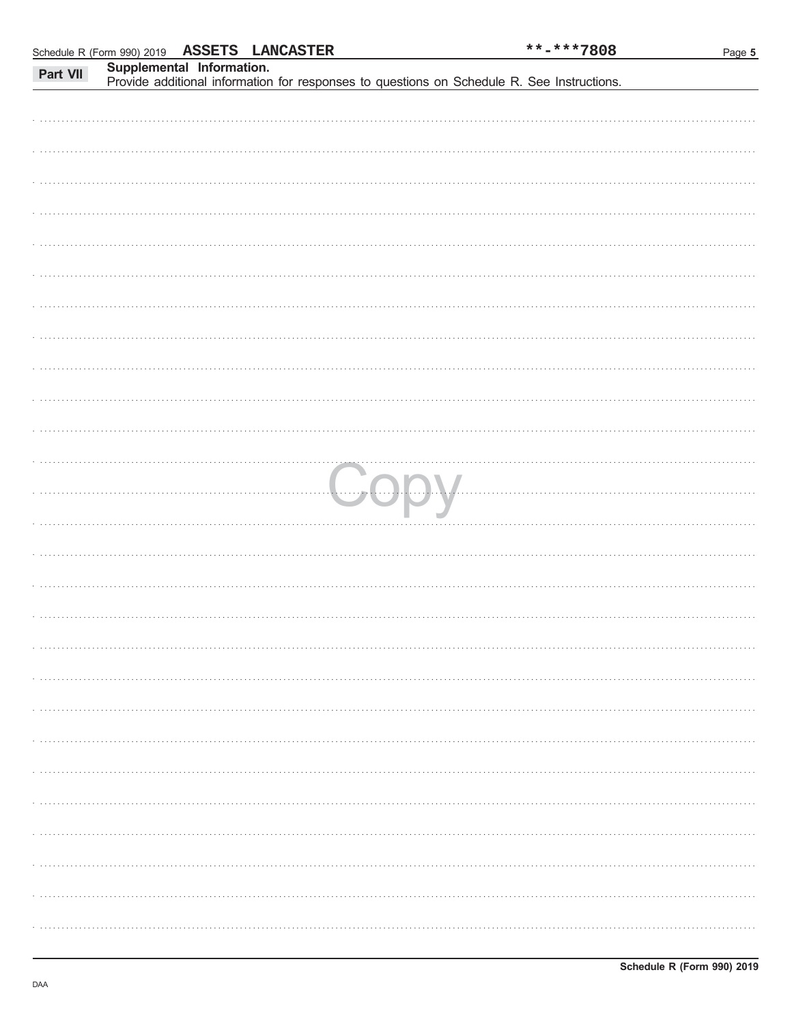|          | Schedule R (Form 990) 2019 ASSETS LANCASTER |                           |  | **-***7808                                                                                 | Page 5 |
|----------|---------------------------------------------|---------------------------|--|--------------------------------------------------------------------------------------------|--------|
| Part VII |                                             | Supplemental Information. |  |                                                                                            |        |
|          |                                             |                           |  | Provide additional information for responses to questions on Schedule R. See Instructions. |        |
|          |                                             |                           |  |                                                                                            |        |
|          |                                             |                           |  |                                                                                            |        |
|          |                                             |                           |  |                                                                                            |        |
|          |                                             |                           |  |                                                                                            |        |
|          |                                             |                           |  |                                                                                            |        |
|          |                                             |                           |  |                                                                                            |        |
|          |                                             |                           |  |                                                                                            |        |
|          |                                             |                           |  |                                                                                            |        |
|          |                                             |                           |  |                                                                                            |        |
|          |                                             |                           |  |                                                                                            |        |
|          |                                             |                           |  |                                                                                            |        |
|          |                                             |                           |  |                                                                                            |        |
|          |                                             |                           |  |                                                                                            |        |
|          |                                             |                           |  |                                                                                            |        |
|          |                                             |                           |  |                                                                                            |        |
|          |                                             |                           |  |                                                                                            |        |
|          |                                             |                           |  |                                                                                            |        |
|          |                                             |                           |  |                                                                                            |        |
|          |                                             |                           |  |                                                                                            |        |
|          |                                             |                           |  |                                                                                            |        |
|          |                                             |                           |  |                                                                                            |        |
|          |                                             |                           |  |                                                                                            |        |
|          |                                             |                           |  |                                                                                            |        |
|          |                                             |                           |  |                                                                                            |        |
|          |                                             |                           |  |                                                                                            |        |
|          |                                             |                           |  |                                                                                            |        |
|          |                                             |                           |  |                                                                                            |        |
|          |                                             |                           |  |                                                                                            |        |
|          |                                             |                           |  |                                                                                            |        |
|          |                                             |                           |  |                                                                                            |        |
|          |                                             |                           |  |                                                                                            |        |
|          |                                             |                           |  |                                                                                            |        |
|          |                                             |                           |  |                                                                                            |        |
|          |                                             |                           |  |                                                                                            |        |
|          |                                             |                           |  |                                                                                            |        |
|          |                                             |                           |  |                                                                                            |        |
|          |                                             |                           |  |                                                                                            |        |
|          |                                             |                           |  |                                                                                            |        |
|          |                                             |                           |  |                                                                                            |        |
|          |                                             |                           |  |                                                                                            |        |
|          |                                             |                           |  |                                                                                            |        |
|          |                                             |                           |  |                                                                                            |        |
|          |                                             |                           |  |                                                                                            |        |
|          |                                             |                           |  |                                                                                            |        |
|          |                                             |                           |  |                                                                                            |        |
|          |                                             |                           |  |                                                                                            |        |
|          |                                             |                           |  |                                                                                            |        |
|          |                                             |                           |  |                                                                                            |        |
|          |                                             |                           |  |                                                                                            |        |
|          |                                             |                           |  |                                                                                            |        |
|          |                                             |                           |  |                                                                                            |        |
|          |                                             |                           |  |                                                                                            |        |
|          |                                             |                           |  |                                                                                            |        |